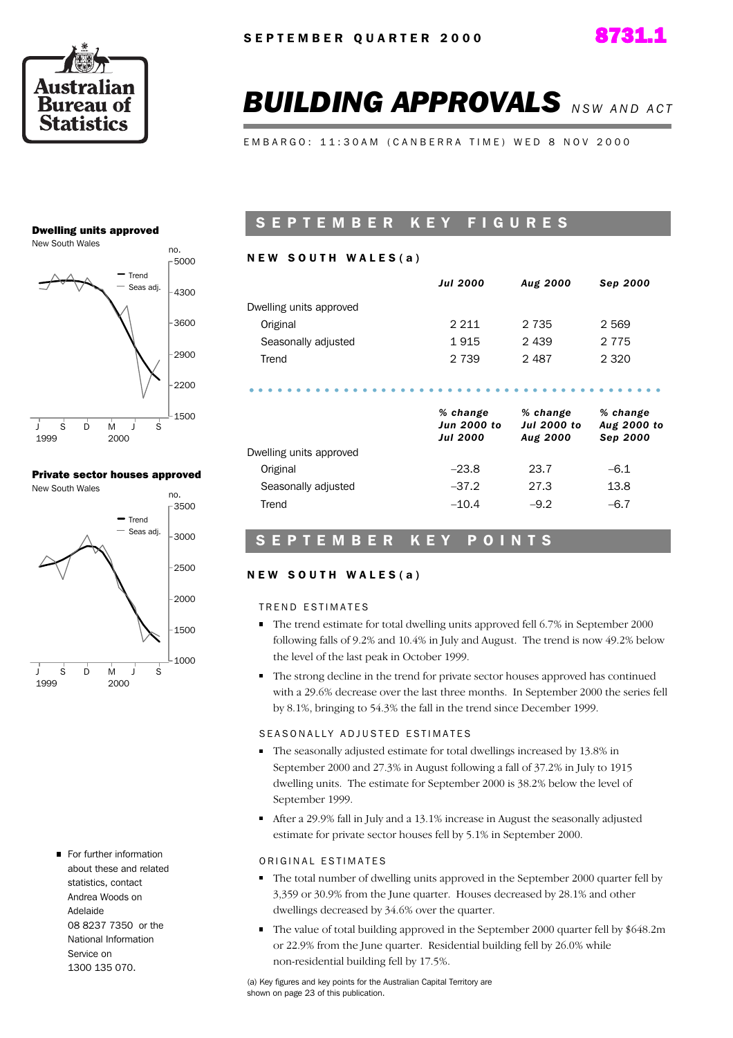



# **BUILDING APPROVALS NSW AND ACT**

E M B A R G O : 11:30 A M ( C A N B E R R A T I M E ) W E D 8 N O V 2000

#### Dwelling units approved

1500 2200 2900 3600 4300  $-5000$  $-$  Trend Seas adj. no. J 1999 S D M 2000 J S New South Wales

#### Private sector houses approved



For further information about these and related statistics, contact Andrea Woods on Adelaide 08 8237 7350 or the National Information Service on 1300 135 070.

## S E P T E M B E R K E Y F I G U R E S

#### NEW SOUTH WALES(a)

|                         | <b>Jul 2000</b> | <b>Aug 2000</b> | Sep 2000 |  |
|-------------------------|-----------------|-----------------|----------|--|
| Dwelling units approved |                 |                 |          |  |
| Original                | 2 2 1 1         | 2 7 3 5         | 2 5 6 9  |  |
| Seasonally adjusted     | 1915            | 2439            | 2 7 7 5  |  |
| Trend                   | 2 7 3 9         | 2487            | 2 3 2 0  |  |
|                         |                 |                 |          |  |
|                         |                 |                 |          |  |

|                         | % change<br><b>Jun 2000 to</b><br><b>Jul 2000</b> | % change<br><b>Jul 2000 to</b><br>Aug 2000 | % change<br>Aug 2000 to<br>Sep 2000 |
|-------------------------|---------------------------------------------------|--------------------------------------------|-------------------------------------|
| Dwelling units approved |                                                   |                                            |                                     |
| Original                | $-23.8$                                           | 23.7                                       | $-6.1$                              |
| Seasonally adjusted     | $-37.2$                                           | 27.3                                       | 13.8                                |
| Trend                   | $-10.4$                                           | $-9.2$                                     | $-6.7$                              |

### SEPTEMBER KEY POINTS

#### NEW SOUTH WALES(a)

#### TREND ESTIMATES

- The trend estimate for total dwelling units approved fell 6.7% in September 2000 following falls of 9.2% and 10.4% in July and August. The trend is now 49.2% below the level of the last peak in October 1999.
- The strong decline in the trend for private sector houses approved has continued with a 29.6% decrease over the last three months. In September 2000 the series fell by 8.1%, bringing to 54.3% the fall in the trend since December 1999.

#### SEASONALLY ADJUSTED ESTIMATES

- The seasonally adjusted estimate for total dwellings increased by 13.8% in September 2000 and 27.3% in August following a fall of 37.2% in July to 1915 dwelling units. The estimate for September 2000 is 38.2% below the level of September 1999.
- After a 29.9% fall in July and a 13.1% increase in August the seasonally adjusted estimate for private sector houses fell by 5.1% in September 2000.

#### ORIGINAL ESTIMATES

- The total number of dwelling units approved in the September 2000 quarter fell by 3,359 or 30.9% from the June quarter. Houses decreased by 28.1% and other dwellings decreased by 34.6% over the quarter.
- The value of total building approved in the September 2000 quarter fell by \$648.2m or 22.9% from the June quarter. Residential building fell by 26.0% while non-residential building fell by 17.5%.

(a) Key figures and key points for the Australian Capital Territory are shown on page 23 of this publication.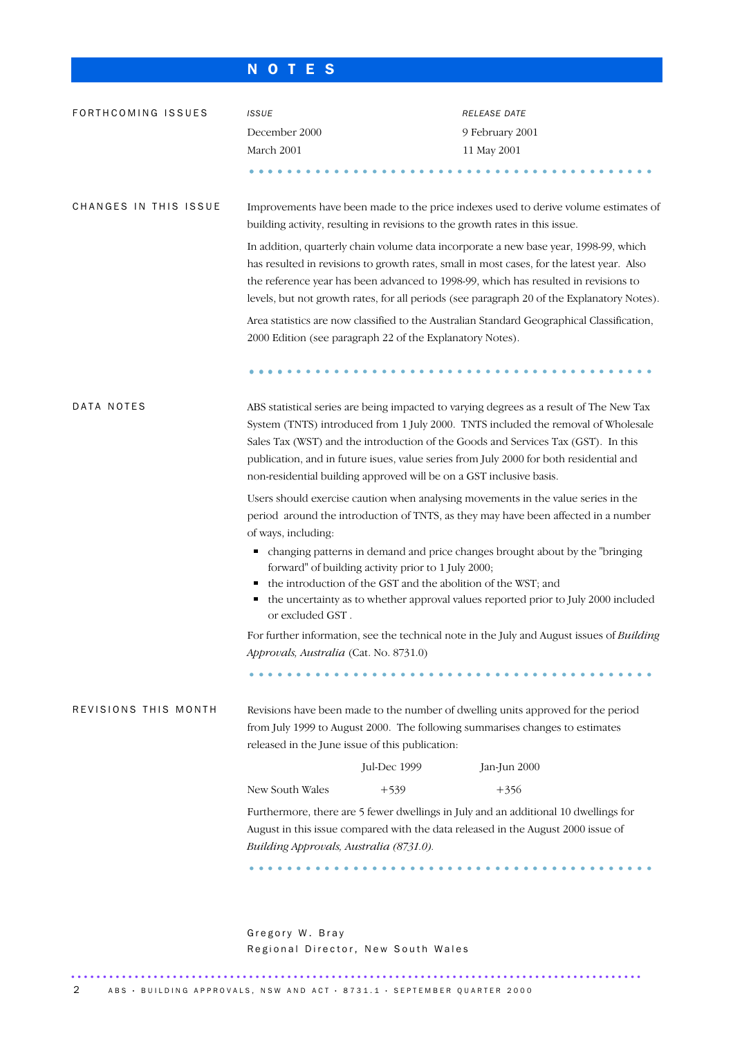## N O T E S

| FORTHCOMING ISSUES    | <b>ISSUE</b>                                                                                                                                                                                                                                                                                                                                                                                                                       |                                                                                                                                                                                                                                                                                                                                                                        | RELEASE DATE                                                                                                                                                                                                                        |  |  |  |
|-----------------------|------------------------------------------------------------------------------------------------------------------------------------------------------------------------------------------------------------------------------------------------------------------------------------------------------------------------------------------------------------------------------------------------------------------------------------|------------------------------------------------------------------------------------------------------------------------------------------------------------------------------------------------------------------------------------------------------------------------------------------------------------------------------------------------------------------------|-------------------------------------------------------------------------------------------------------------------------------------------------------------------------------------------------------------------------------------|--|--|--|
|                       | December 2000                                                                                                                                                                                                                                                                                                                                                                                                                      |                                                                                                                                                                                                                                                                                                                                                                        | 9 February 2001                                                                                                                                                                                                                     |  |  |  |
|                       | March 2001                                                                                                                                                                                                                                                                                                                                                                                                                         |                                                                                                                                                                                                                                                                                                                                                                        | 11 May 2001                                                                                                                                                                                                                         |  |  |  |
|                       |                                                                                                                                                                                                                                                                                                                                                                                                                                    |                                                                                                                                                                                                                                                                                                                                                                        |                                                                                                                                                                                                                                     |  |  |  |
| CHANGES IN THIS ISSUE | building activity, resulting in revisions to the growth rates in this issue.                                                                                                                                                                                                                                                                                                                                                       |                                                                                                                                                                                                                                                                                                                                                                        | Improvements have been made to the price indexes used to derive volume estimates of                                                                                                                                                 |  |  |  |
|                       |                                                                                                                                                                                                                                                                                                                                                                                                                                    | In addition, quarterly chain volume data incorporate a new base year, 1998-99, which<br>has resulted in revisions to growth rates, small in most cases, for the latest year. Also<br>the reference year has been advanced to 1998-99, which has resulted in revisions to<br>levels, but not growth rates, for all periods (see paragraph 20 of the Explanatory Notes). |                                                                                                                                                                                                                                     |  |  |  |
|                       | 2000 Edition (see paragraph 22 of the Explanatory Notes).                                                                                                                                                                                                                                                                                                                                                                          |                                                                                                                                                                                                                                                                                                                                                                        | Area statistics are now classified to the Australian Standard Geographical Classification,                                                                                                                                          |  |  |  |
|                       |                                                                                                                                                                                                                                                                                                                                                                                                                                    |                                                                                                                                                                                                                                                                                                                                                                        |                                                                                                                                                                                                                                     |  |  |  |
| DATA NOTES            | ABS statistical series are being impacted to varying degrees as a result of The New Tax<br>System (TNTS) introduced from 1 July 2000. TNTS included the removal of Wholesale<br>Sales Tax (WST) and the introduction of the Goods and Services Tax (GST). In this<br>publication, and in future isues, value series from July 2000 for both residential and<br>non-residential building approved will be on a GST inclusive basis. |                                                                                                                                                                                                                                                                                                                                                                        |                                                                                                                                                                                                                                     |  |  |  |
|                       | Users should exercise caution when analysing movements in the value series in the<br>period around the introduction of TNTS, as they may have been affected in a number<br>of ways, including:                                                                                                                                                                                                                                     |                                                                                                                                                                                                                                                                                                                                                                        |                                                                                                                                                                                                                                     |  |  |  |
|                       | ٠<br>٠<br>or excluded GST.                                                                                                                                                                                                                                                                                                                                                                                                         | forward" of building activity prior to 1 July 2000;                                                                                                                                                                                                                                                                                                                    | changing patterns in demand and price changes brought about by the "bringing<br>the introduction of the GST and the abolition of the WST; and<br>the uncertainty as to whether approval values reported prior to July 2000 included |  |  |  |
|                       | For further information, see the technical note in the July and August issues of <i>Building</i><br><i>Approvals, Australia (Cat. No. 8731.0)</i>                                                                                                                                                                                                                                                                                  |                                                                                                                                                                                                                                                                                                                                                                        |                                                                                                                                                                                                                                     |  |  |  |
|                       |                                                                                                                                                                                                                                                                                                                                                                                                                                    |                                                                                                                                                                                                                                                                                                                                                                        |                                                                                                                                                                                                                                     |  |  |  |
| REVISIONS THIS MONTH  | Revisions have been made to the number of dwelling units approved for the period<br>from July 1999 to August 2000. The following summarises changes to estimates<br>released in the June issue of this publication:                                                                                                                                                                                                                |                                                                                                                                                                                                                                                                                                                                                                        |                                                                                                                                                                                                                                     |  |  |  |
|                       |                                                                                                                                                                                                                                                                                                                                                                                                                                    | Jul-Dec 1999                                                                                                                                                                                                                                                                                                                                                           | Jan-Jun 2000                                                                                                                                                                                                                        |  |  |  |
|                       | New South Wales                                                                                                                                                                                                                                                                                                                                                                                                                    | $+539$                                                                                                                                                                                                                                                                                                                                                                 | $+356$                                                                                                                                                                                                                              |  |  |  |
|                       | Building Approvals, Australia (8731.0).                                                                                                                                                                                                                                                                                                                                                                                            |                                                                                                                                                                                                                                                                                                                                                                        | Furthermore, there are 5 fewer dwellings in July and an additional 10 dwellings for<br>August in this issue compared with the data released in the August 2000 issue of                                                             |  |  |  |
|                       |                                                                                                                                                                                                                                                                                                                                                                                                                                    |                                                                                                                                                                                                                                                                                                                                                                        |                                                                                                                                                                                                                                     |  |  |  |

Gregory W. Bray Regional Director, New South Wales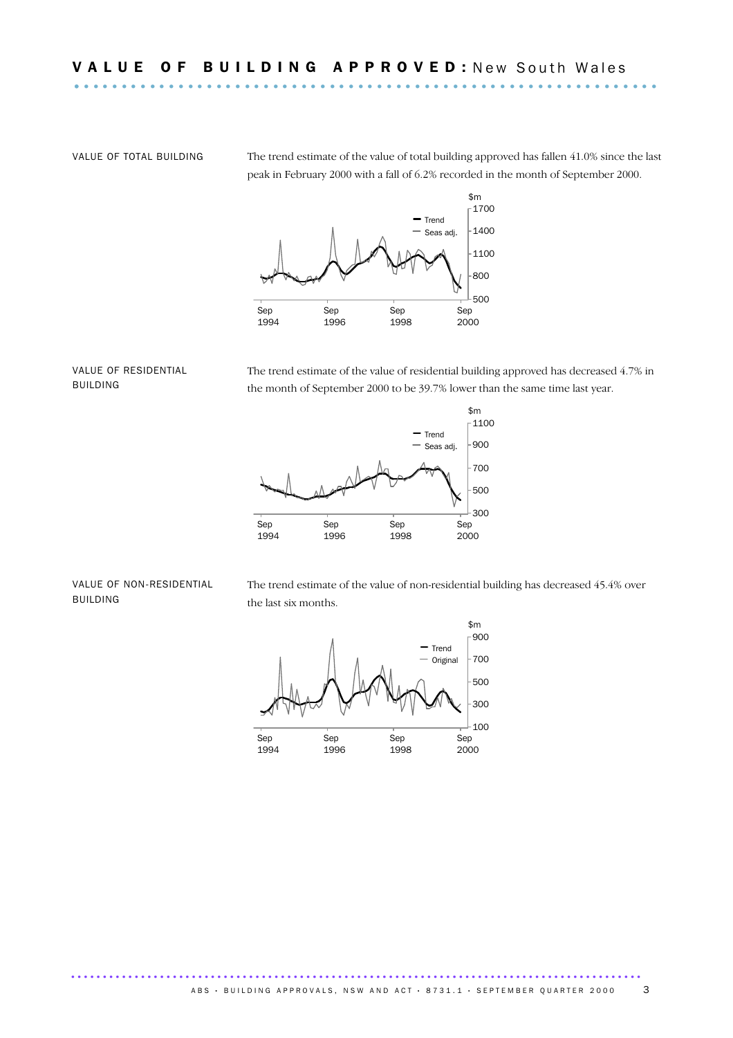VALUE OF TOTAL BUILDING The trend estimate of the value of total building approved has fallen 41.0% since the last peak in February 2000 with a fall of 6.2% recorded in the month of September 2000.



#### VALUE OF RESIDENTIAL BUILDING

The trend estimate of the value of residential building approved has decreased 4.7% in the month of September 2000 to be 39.7% lower than the same time last year.



#### VALUE OF NON-RESIDENTIAL BUILDING

The trend estimate of the value of non-residential building has decreased 45.4% over the last six months.

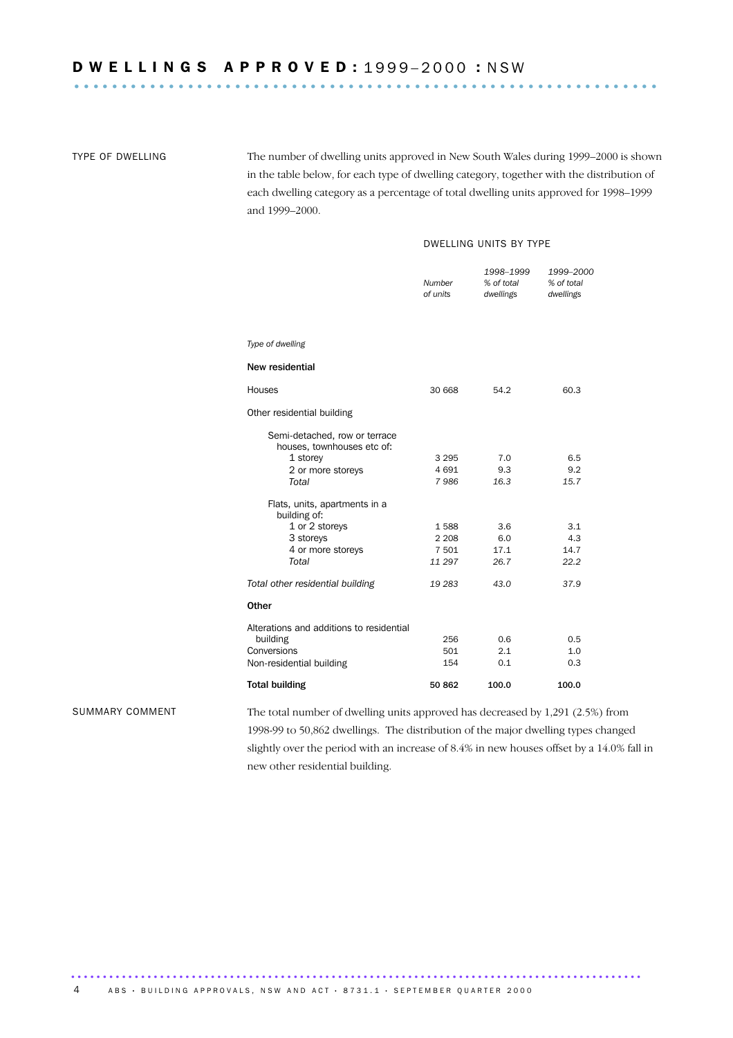TYPE OF DWELLING The number of dwelling units approved in New South Wales during 1999–2000 is shown in the table below, for each type of dwelling category, together with the distribution of each dwelling category as a percentage of total dwelling units approved for 1998–1999 and 1999–2000.

#### DWELLING UNITS BY TYPE

|                                                                                                   | Number<br>of units       | 1998–1999<br>% of total<br>dwellings | 1999–2000<br>% of total<br>dwellings |
|---------------------------------------------------------------------------------------------------|--------------------------|--------------------------------------|--------------------------------------|
| Type of dwelling                                                                                  |                          |                                      |                                      |
| New residential                                                                                   |                          |                                      |                                      |
| Houses                                                                                            | 30 668                   | 54.2                                 | 60.3                                 |
| Other residential building                                                                        |                          |                                      |                                      |
| Semi-detached, row or terrace<br>houses, townhouses etc of:<br>1 storey                           | 3 2 9 5                  | 7.0                                  | 6.5                                  |
| 2 or more storeys                                                                                 | 4 6 9 1                  | 9.3                                  | 9.2                                  |
| Total                                                                                             | 7986                     | 16.3                                 | 15.7                                 |
| Flats, units, apartments in a<br>building of:<br>1 or 2 storeys<br>3 storeys<br>4 or more storeys | 1588<br>2 2 0 8<br>7 501 | 3.6<br>6.0<br>17.1                   | 3.1<br>4.3<br>14.7                   |
| Total                                                                                             | 11 297                   | 26.7                                 | 22.2                                 |
| Total other residential building                                                                  | 19 283                   | 43.0                                 | 37.9                                 |
| Other                                                                                             |                          |                                      |                                      |
| Alterations and additions to residential<br>building<br>Conversions<br>Non-residential building   | 256<br>501<br>154        | 0.6<br>2.1<br>0.1                    | 0.5<br>1.0<br>0.3                    |
| <b>Total building</b>                                                                             | 50862                    | 100.0                                | 100.0                                |

SUMMARY COMMENT The total number of dwelling units approved has decreased by 1,291 (2.5%) from 1998-99 to 50,862 dwellings. The distribution of the major dwelling types changed slightly over the period with an increase of 8.4% in new houses offset by a 14.0% fall in new other residential building.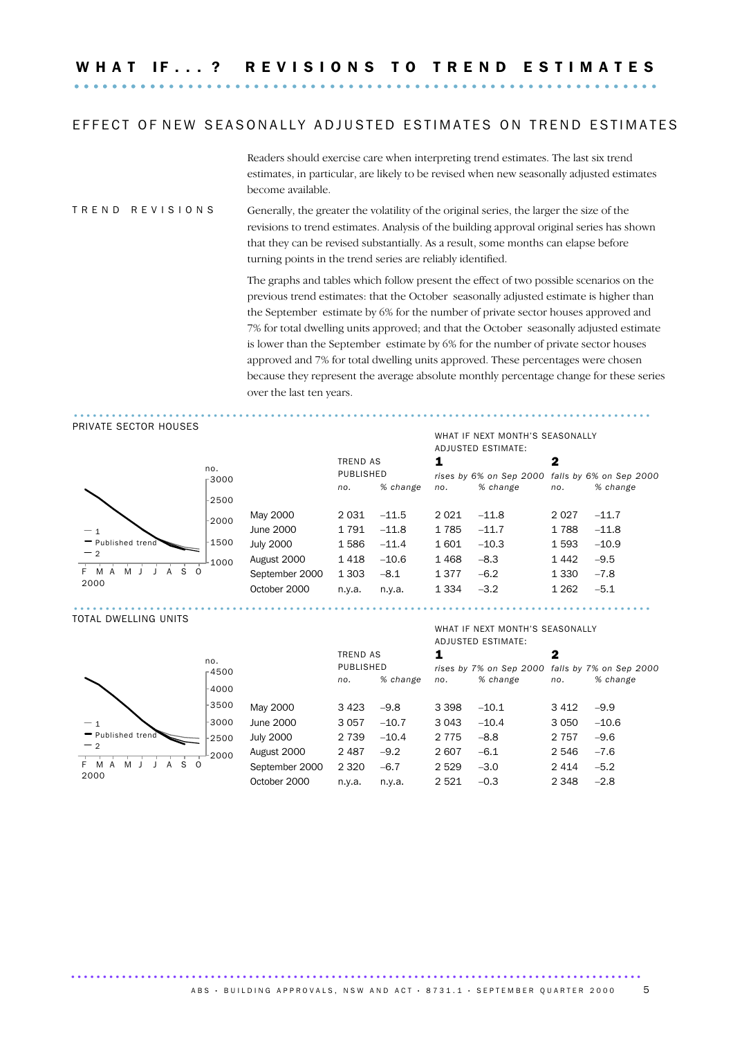#### EFFECT OF NEW SEASONALLY ADJUSTED ESTIMATES ON TREND ESTIMATES

Readers should exercise care when interpreting trend estimates. The last six trend estimates, in particular, are likely to be revised when new seasonally adjusted estimates become available.

#### T R E N D R E V I S I O N S Generally, the greater the volatility of the original series, the larger the size of the revisions to trend estimates. Analysis of the building approval original series has shown that they can be revised substantially. As a result, some months can elapse before turning points in the trend series are reliably identified.

The graphs and tables which follow present the effect of two possible scenarios on the previous trend estimates: that the October seasonally adjusted estimate is higher than the September estimate by 6% for the number of private sector houses approved and 7% for total dwelling units approved; and that the October seasonally adjusted estimate is lower than the September estimate by 6% for the number of private sector houses approved and 7% for total dwelling units approved. These percentages were chosen because they represent the average absolute monthly percentage change for these series over the last ten years.

### ........................................................................................... PRIVATE SECTOR HOUSES



#### TREND AS PUBLISHED 1 2 *rises by 6% on Sep 2000 falls by 6% on Sep 2000 no. % change no. % change no. % change* May 2000 2 031 -11.5 2 021 -11.8 2 027 -11.7 June 2000 1791 -11.8 1785 -11.7 1788 -11.8 July 2000 1 586 -11.4 1 601 -10.3 1 593 -10.9 August 2000 1 418 -10.6 1 468 -8.3 1 442 -9.5 September 2000 1 303 -8.1 1 377 -6.2 1 330 -7.8 October 2000 n.y.a. n.y.a. 1 334 –3.2 1 262 –5.1

#### TOTAL DWELLING UNITS



#### WHAT IF NEXT MONTH'S SEASONALLY ADJUSTED ESTIMATE:

...........................................................................................

WHAT IF NEXT MONTH'S SEASONALLY

ADJUSTED ESTIMATE:

|                  | <b>TREND AS</b><br>PUBLISHED<br>no. | % change | 1<br>no. | rises by 7% on Sep 2000 falls by 7% on Sep 2000<br>% change | 2<br>no. | % change |
|------------------|-------------------------------------|----------|----------|-------------------------------------------------------------|----------|----------|
|                  |                                     |          |          |                                                             |          |          |
| May 2000         | 3423                                | $-9.8$   | 3 3 9 8  | $-10.1$                                                     | 3412     | $-9.9$   |
| June 2000        | 3057                                | $-10.7$  | 3043     | $-10.4$                                                     | 3 0 5 0  | $-10.6$  |
| <b>July 2000</b> | 2 7 3 9                             | $-10.4$  | 2 7 7 5  | $-8.8$                                                      | 2 7 5 7  | $-9.6$   |
| August 2000      | 2 4 8 7                             | $-9.2$   | 2607     | $-6.1$                                                      | 2 546    | $-7.6$   |
| September 2000   | 2 3 2 0                             | $-6.7$   | 2 5 2 9  | $-3.0$                                                      | 2 4 1 4  | $-5.2$   |
| October 2000     | n.y.a.                              | n.v.a.   | 2 5 2 1  | $-0.3$                                                      | 2 3 4 8  | $-2.8$   |

#### ABS · BUILDING APPROVALS, NSW AND ACT · 8731.1 · SEPTEMBER QUARTER 2000 5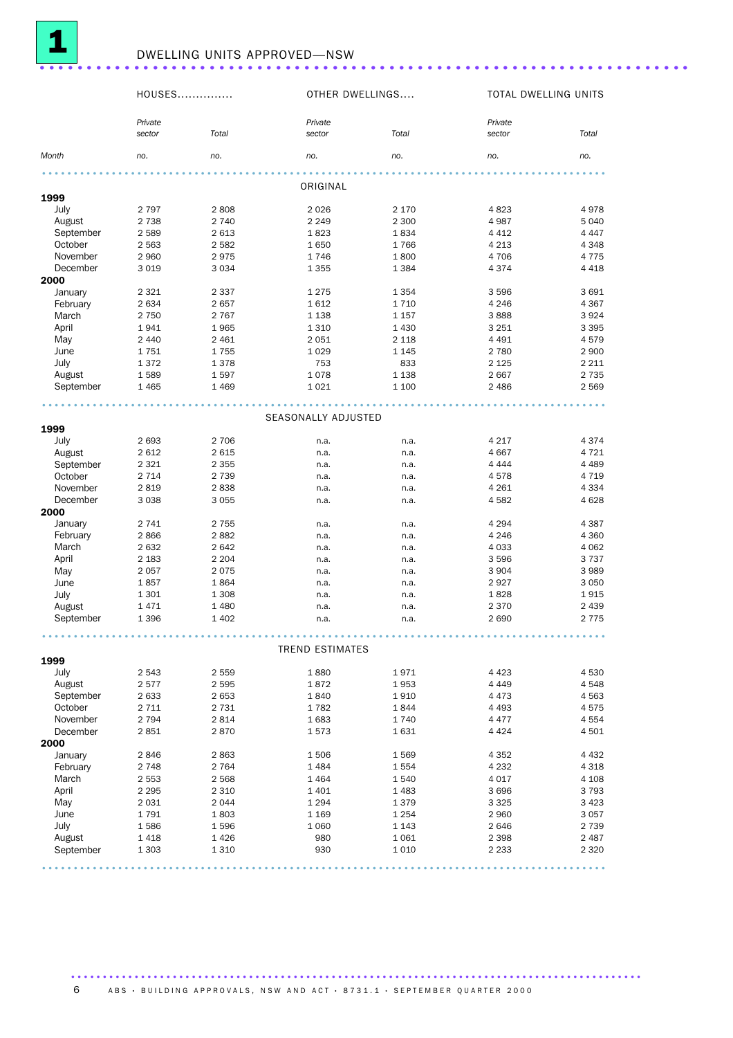

|                  | Private |         | Private                |         | Private |         |
|------------------|---------|---------|------------------------|---------|---------|---------|
|                  | sector  | Total   | sector                 | Total   | sector  | Total   |
| Month            | no.     | no.     | no.                    | no.     | no.     | no.     |
|                  |         |         | ORIGINAL               |         |         |         |
| 1999             |         |         |                        |         |         |         |
| July             | 2 7 9 7 | 2808    | 2026                   | 2 1 7 0 | 4823    | 4978    |
| August           | 2 7 3 8 | 2 7 4 0 | 2 2 4 9                | 2 3 0 0 | 4 9 8 7 | 5 0 4 0 |
| September        | 2 5 8 9 | 2 6 1 3 | 1823                   | 1834    | 4 4 1 2 | 4 4 4 7 |
| October          | 2 5 6 3 | 2 5 8 2 | 1650                   | 1766    | 4 2 1 3 | 4 3 4 8 |
| November         | 2 9 6 0 | 2975    | 1746                   | 1800    | 4 70 6  | 4775    |
| December         | 3019    | 3 0 3 4 | 1 3 5 5                | 1 3 8 4 | 4 3 7 4 | 4 4 1 8 |
| 2000             |         |         |                        |         |         |         |
| January          | 2 3 2 1 | 2 3 3 7 | 1 2 7 5                | 1 3 5 4 | 3 5 9 6 | 3691    |
| February         | 2 6 3 4 | 2657    | 1612                   | 1 7 1 0 | 4 2 4 6 | 4 3 6 7 |
| March            | 2 7 5 0 | 2 7 6 7 | 1 1 3 8                | 1 1 5 7 | 3888    | 3924    |
| April            | 1941    | 1965    | 1 3 1 0                | 1 4 3 0 | 3 2 5 1 | 3 3 9 5 |
| May              | 2 4 4 0 | 2 4 6 1 | 2051                   | 2 1 1 8 | 4 4 9 1 | 4579    |
| June             | 1751    | 1755    | 1 0 2 9                | 1 1 4 5 | 2 7 8 0 | 2 9 0 0 |
| July             | 1372    | 1378    | 753                    | 833     | 2 1 2 5 | 2 2 1 1 |
| August           | 1589    | 1597    | 1078                   | 1 1 3 8 | 2 6 6 7 | 2 7 3 5 |
| September        | 1465    | 1 4 6 9 | 1021                   | 1 100   | 2 4 8 6 | 2 5 6 9 |
|                  |         |         |                        |         |         |         |
| 1999             |         |         | SEASONALLY ADJUSTED    |         |         |         |
| July             | 2 6 9 3 | 2 7 0 6 | n.a.                   | n.a.    | 4 2 1 7 | 4374    |
| August           | 2 6 1 2 | 2615    | n.a.                   | n.a.    | 4 6 6 7 | 4 7 2 1 |
| September        | 2 3 2 1 | 2 3 5 5 | n.a.                   | n.a.    | 4 4 4 4 | 4 4 8 9 |
| October          | 2 7 1 4 | 2 7 3 9 | n.a.                   | n.a.    | 4578    | 4 7 1 9 |
| November         | 2819    | 2838    | n.a.                   | n.a.    | 4 2 6 1 | 4 3 3 4 |
| December         | 3 0 3 8 | 3 0 5 5 | n.a.                   | n.a.    | 4582    | 4 6 28  |
| 2000             |         |         |                        |         |         |         |
| January          | 2 7 4 1 | 2 7 5 5 | n.a.                   | n.a.    | 4 2 9 4 | 4 3 8 7 |
| February         | 2866    | 2882    | n.a.                   | n.a.    | 4 2 4 6 | 4 3 6 0 |
| March            | 2632    | 2642    | n.a.                   | n.a.    | 4 0 3 3 | 4 0 6 2 |
| April            | 2 1 8 3 | 2 2 0 4 | n.a.                   | n.a.    | 3 5 9 6 | 3737    |
| May              | 2 0 5 7 | 2075    | n.a.                   | n.a.    | 3 9 0 4 | 3 9 8 9 |
| June             | 1857    | 1864    | n.a.                   | n.a.    | 2927    | 3 0 5 0 |
| July             | 1 3 0 1 | 1 3 0 8 | n.a.                   | n.a.    | 1828    | 1915    |
| August           | 1471    | 1 4 8 0 | n.a.                   | n.a.    | 2 3 7 0 | 2 4 3 9 |
| September        | 1 3 9 6 | 1 4 0 2 | n.a.                   | n.a.    | 2690    | 2 7 7 5 |
|                  |         |         |                        |         |         |         |
|                  |         |         | <b>TREND ESTIMATES</b> |         |         |         |
| 1999             |         |         |                        |         |         |         |
| July             | 2 5 4 3 | 2 5 5 9 | 1880                   | 1971    | 4 4 2 3 | 4530    |
| August           | 2577    | 2 5 9 5 | 1872                   | 1953    | 4 4 4 9 | 4548    |
| September        | 2 6 3 3 | 2 6 5 3 | 1840                   | 1910    | 4 4 7 3 | 4563    |
| October          | 2 7 1 1 | 2 7 3 1 | 1782                   | 1844    | 4 4 9 3 | 4575    |
| November         | 2 7 9 4 | 2814    | 1683                   | 1740    | 4 4 7 7 | 4554    |
| December<br>2000 | 2851    | 2870    | 1573                   | 1631    | 4 4 2 4 | 4 5 0 1 |
| January          | 2846    | 2863    | 1506                   | 1569    | 4 3 5 2 | 4 4 3 2 |
| February         | 2 7 4 8 | 2 7 6 4 | 1484                   | 1554    | 4 2 3 2 | 4 3 1 8 |
| March            | 2 5 5 3 | 2 5 6 8 | 1464                   | 1540    | 4 0 1 7 | 4 1 0 8 |
| April            | 2 2 9 5 | 2 3 1 0 | 1 4 0 1                | 1 4 8 3 | 3 6 9 6 | 3 7 9 3 |
| May              | 2 0 3 1 | 2044    | 1 2 9 4                | 1379    | 3 3 2 5 | 3 4 2 3 |
| June             | 1791    | 1803    | 1 1 6 9                | 1 2 5 4 | 2 9 6 0 | 3 0 5 7 |
| July             | 1586    | 1596    | 1 0 6 0                | 1 1 4 3 | 2 6 4 6 | 2 7 3 9 |
| August           | 1418    | 1 4 2 6 | 980                    | 1 0 6 1 | 2 3 9 8 | 2 4 8 7 |
| September        | 1 3 0 3 | 1 3 1 0 | 930                    | 1 0 1 0 | 2 2 3 3 | 2 3 2 0 |
|                  |         |         |                        |         |         |         |

HOUSES............... OTHER DWELLINGS.... TOTAL DWELLING UNITS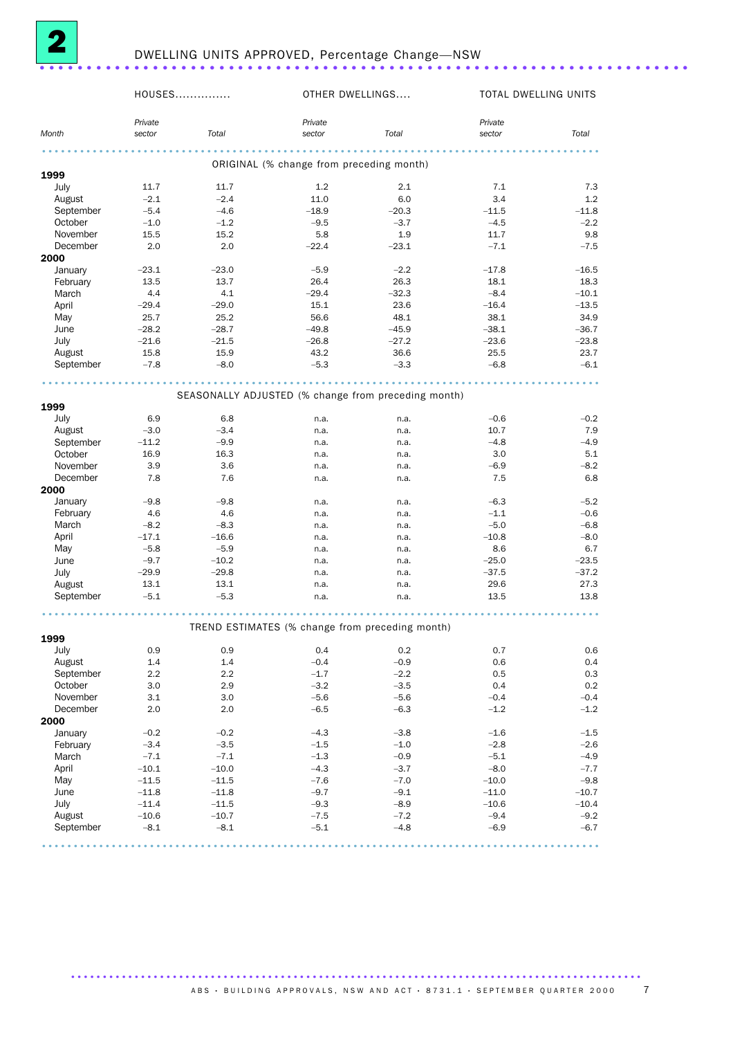

|                     | HOUSES        |               | OTHER DWELLINGS                                     |              | TOTAL DWELLING UNITS |                  |
|---------------------|---------------|---------------|-----------------------------------------------------|--------------|----------------------|------------------|
|                     | Private       |               | Private                                             |              | Private              |                  |
| Month               | sector        | Total         | sector                                              | Total        | sector               | Total            |
|                     |               |               |                                                     |              |                      |                  |
| 1999                |               |               | ORIGINAL (% change from preceding month)            |              |                      |                  |
| July                | 11.7          | 11.7          | 1.2                                                 | 2.1          | 7.1                  | 7.3              |
| August              | $-2.1$        | $-2.4$        | 11.0                                                | 6.0          | 3.4                  | 1.2              |
| September           | $-5.4$        | $-4.6$        | $-18.9$                                             | $-20.3$      | $-11.5$              | $-11.8$          |
| October             | $-1.0$        | $-1.2$        | $-9.5$                                              | $-3.7$       | $-4.5$               | $-2.2$           |
| November            | 15.5          | 15.2          | 5.8                                                 | 1.9          | 11.7                 | 9.8              |
| December            | 2.0           | 2.0           | $-22.4$                                             | $-23.1$      | $-7.1$               | $-7.5$           |
| 2000                |               |               |                                                     |              |                      |                  |
| January             | $-23.1$       | $-23.0$       | $-5.9$                                              | $-2.2$       | $-17.8$              | $-16.5$          |
| February            | 13.5          | 13.7          | 26.4                                                | 26.3         | 18.1                 | 18.3             |
| March               | 4.4           | 4.1           | $-29.4$                                             | $-32.3$      | $-8.4$               | $-10.1$          |
| April               | $-29.4$       | $-29.0$       | 15.1                                                | 23.6         | $-16.4$              | $-13.5$          |
| May                 | 25.7          | 25.2          | 56.6                                                | 48.1         | 38.1                 | 34.9             |
| June                | $-28.2$       | $-28.7$       | $-49.8$                                             | $-45.9$      | $-38.1$              | $-36.7$          |
| July                | $-21.6$       | $-21.5$       | $-26.8$                                             | $-27.2$      | $-23.6$              | $-23.8$          |
| August              | 15.8          | 15.9          | 43.2                                                | 36.6         | 25.5                 | 23.7             |
| September           | $-7.8$        | $-8.0$        | $-5.3$                                              | $-3.3$       | $-6.8$               | $-6.1$           |
|                     |               | .             |                                                     |              |                      |                  |
|                     |               |               | SEASONALLY ADJUSTED (% change from preceding month) |              |                      |                  |
| 1999                |               |               |                                                     |              |                      |                  |
| July                | 6.9           | 6.8           | n.a.                                                | n.a.         | $-0.6$               | $-0.2$           |
| August              | $-3.0$        | $-3.4$        | n.a.                                                | n.a.         | 10.7                 | 7.9              |
| September           | $-11.2$       | $-9.9$        | n.a.                                                | n.a.         | $-4.8$               | $-4.9$           |
| October             | 16.9          | 16.3          | n.a.                                                | n.a.         | 3.0                  | 5.1              |
| November            | 3.9           | 3.6           | n.a.                                                | n.a.         | $-6.9$               | $-8.2$           |
| December            | 7.8           | 7.6           | n.a.                                                | n.a.         | 7.5                  | 6.8              |
| 2000                |               |               |                                                     |              |                      |                  |
| January<br>February | $-9.8$<br>4.6 | $-9.8$<br>4.6 | n.a.<br>n.a.                                        | n.a.<br>n.a. | $-6.3$<br>$-1.1$     | $-5.2$<br>$-0.6$ |
| March               | $-8.2$        | $-8.3$        | n.a.                                                | n.a.         | $-5.0$               | $-6.8$           |
| April               | $-17.1$       | $-16.6$       | n.a.                                                | n.a.         | $-10.8$              | $-8.0$           |
| May                 | $-5.8$        | $-5.9$        | n.a.                                                | n.a.         | 8.6                  | 6.7              |
| June                | $-9.7$        | $-10.2$       | n.a.                                                | n.a.         | $-25.0$              | $-23.5$          |
| July                | $-29.9$       | $-29.8$       | n.a.                                                | n.a.         | $-37.5$              | $-37.2$          |
| August              | 13.1          | 13.1          | n.a.                                                | n.a.         | 29.6                 | 27.3             |
| September           | $-5.1$        | $-5.3$        | n.a.                                                | n.a.         | 13.5                 | 13.8             |
|                     |               |               |                                                     |              |                      |                  |
|                     |               |               | TREND ESTIMATES (% change from preceding month)     |              |                      |                  |
| 1999                |               |               |                                                     |              |                      |                  |
| July                | 0.9           | 0.9           | 0.4                                                 | 0.2          | 0.7                  | 0.6              |
| August              | 1.4           | 1.4           | $-0.4$                                              | $-0.9$       | 0.6                  | 0.4              |
| September           | 2.2           | 2.2           | $-1.7$                                              | $-2.2$       | 0.5                  | 0.3              |
| October             | 3.0           | 2.9           | $-3.2$                                              | $-3.5$       | 0.4                  | 0.2              |
| November            | 3.1           | 3.0           | $-5.6$                                              | $-5.6$       | $-0.4$               | $-0.4$           |
| December            | 2.0           | 2.0           | $-6.5$                                              | $-6.3$       | $-1.2$               | $-1.2$           |
| 2000                |               |               |                                                     |              |                      |                  |
| January             | $-0.2$        | $-0.2$        | $-4.3$                                              | $-3.8$       | $-1.6$               | $-1.5$           |
| February            | $-3.4$        | $-3.5$        | $-1.5$                                              | $-1.0$       | $-2.8$               | $-2.6$           |
| March               | $-7.1$        | $-7.1$        | $-1.3$                                              | $-0.9$       | $-5.1$               | $-4.9$           |
| April               | $-10.1$       | $-10.0$       | $-4.3$                                              | $-3.7$       | $-8.0$               | $-7.7$           |
| May                 | $-11.5$       | $-11.5$       | $-7.6$                                              | $-7.0$       | $-10.0$              | $-9.8$           |
| June                | $-11.8$       | $-11.8$       | $-9.7$                                              | $-9.1$       | $-11.0$              | $-10.7$          |
| July                | $-11.4$       | $-11.5$       | $-9.3$                                              | $-8.9$       | $-10.6$              | $-10.4$          |
| August              | $-10.6$       | $-10.7$       | $-7.5$                                              | $-7.2$       | $-9.4$               | $-9.2$           |
| September           | $-8.1$        | $-8.1$        | $-5.1$                                              | $-4.8$       | $-6.9$               | $-6.7$           |
|                     |               |               |                                                     |              |                      |                  |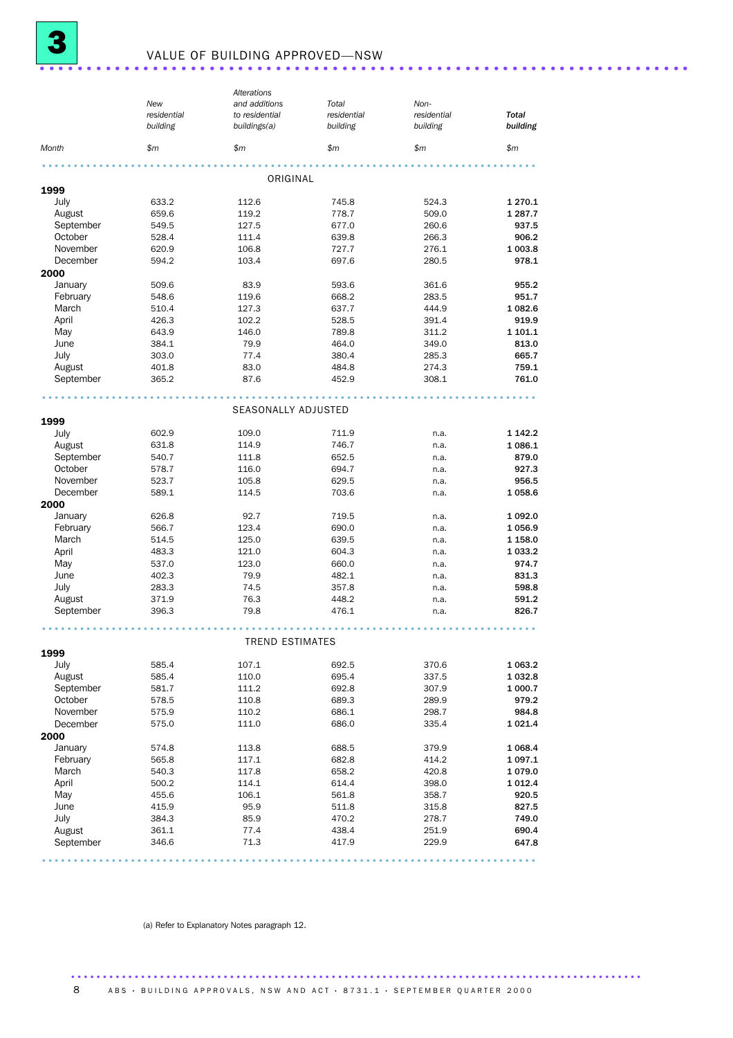|                      |                | Alterations                                                                                           |                                                                                                                 |                |                                                                                                                 |
|----------------------|----------------|-------------------------------------------------------------------------------------------------------|-----------------------------------------------------------------------------------------------------------------|----------------|-----------------------------------------------------------------------------------------------------------------|
|                      | <b>New</b>     | and additions                                                                                         | Total                                                                                                           | Non-           |                                                                                                                 |
|                      | residential    | to residential                                                                                        | residential                                                                                                     | residential    | <b>Total</b>                                                                                                    |
|                      | building       | buildings(a)                                                                                          | building                                                                                                        | building       | building                                                                                                        |
| Month                | \$m            | \$m                                                                                                   | \$m                                                                                                             | \$m\$          | \$m                                                                                                             |
|                      |                |                                                                                                       |                                                                                                                 |                |                                                                                                                 |
| 1999                 |                | ORIGINAL                                                                                              |                                                                                                                 |                |                                                                                                                 |
| July                 | 633.2          | 112.6                                                                                                 | 745.8                                                                                                           | 524.3          | 1 270.1                                                                                                         |
| August               | 659.6          | 119.2                                                                                                 | 778.7                                                                                                           | 509.0          | 1 287.7                                                                                                         |
| September            | 549.5          | 127.5                                                                                                 | 677.0                                                                                                           | 260.6          | 937.5                                                                                                           |
| October              | 528.4          | 111.4                                                                                                 | 639.8                                                                                                           | 266.3          | 906.2                                                                                                           |
| November             | 620.9          | 106.8                                                                                                 | 727.7                                                                                                           | 276.1          | 1 003.8                                                                                                         |
| December             | 594.2          | 103.4                                                                                                 | 697.6                                                                                                           | 280.5          | 978.1                                                                                                           |
| 2000                 |                |                                                                                                       |                                                                                                                 |                |                                                                                                                 |
| January              | 509.6          | 83.9                                                                                                  | 593.6                                                                                                           | 361.6          | 955.2                                                                                                           |
| February             | 548.6          | 119.6                                                                                                 | 668.2                                                                                                           | 283.5          | 951.7                                                                                                           |
| March                | 510.4          | 127.3                                                                                                 | 637.7                                                                                                           | 444.9          | 1 082.6                                                                                                         |
| April                | 426.3          | 102.2                                                                                                 | 528.5                                                                                                           | 391.4          | 919.9                                                                                                           |
| May                  | 643.9          | 146.0                                                                                                 | 789.8                                                                                                           | 311.2          | 1 101.1                                                                                                         |
| June                 | 384.1          | 79.9                                                                                                  | 464.0                                                                                                           | 349.0          | 813.0                                                                                                           |
| July                 | 303.0          | 77.4                                                                                                  | 380.4                                                                                                           | 285.3          | 665.7                                                                                                           |
| August               | 401.8          | 83.0                                                                                                  | 484.8                                                                                                           | 274.3          | 759.1                                                                                                           |
| September            | 365.2          | 87.6                                                                                                  | 452.9                                                                                                           | 308.1          | 761.0                                                                                                           |
|                      |                |                                                                                                       |                                                                                                                 |                |                                                                                                                 |
| 1999                 |                | SEASONALLY ADJUSTED                                                                                   |                                                                                                                 |                |                                                                                                                 |
| July                 | 602.9          | 109.0                                                                                                 | 711.9                                                                                                           | n.a.           | 1 142.2                                                                                                         |
| August               | 631.8          | 114.9                                                                                                 | 746.7                                                                                                           | n.a.           | 1 0 8 6.1                                                                                                       |
| September            | 540.7          | 111.8                                                                                                 | 652.5                                                                                                           | n.a.           | 879.0                                                                                                           |
| October              | 578.7          | 116.0                                                                                                 | 694.7                                                                                                           | n.a.           | 927.3                                                                                                           |
| November             | 523.7          | 105.8                                                                                                 | 629.5                                                                                                           | n.a.           | 956.5                                                                                                           |
| December             | 589.1          | 114.5                                                                                                 | 703.6                                                                                                           | n.a.           | 1058.6                                                                                                          |
| 2000                 |                |                                                                                                       |                                                                                                                 |                |                                                                                                                 |
| January              | 626.8          | 92.7                                                                                                  | 719.5                                                                                                           | n.a.           | 1 0 9 2.0                                                                                                       |
| February             | 566.7          | 123.4                                                                                                 | 690.0                                                                                                           | n.a.           | 1 0 5 6.9                                                                                                       |
| March                | 514.5          | 125.0                                                                                                 | 639.5                                                                                                           | n.a.           | 1 158.0                                                                                                         |
| April                | 483.3          | 121.0                                                                                                 | 604.3                                                                                                           | n.a.           | 1 033.2                                                                                                         |
| May                  | 537.0          | 123.0                                                                                                 | 660.0                                                                                                           | n.a.           | 974.7                                                                                                           |
| June                 | 402.3          | 79.9                                                                                                  | 482.1                                                                                                           | n.a.           | 831.3                                                                                                           |
| July                 | 283.3          | 74.5                                                                                                  | 357.8                                                                                                           | n.a.           | 598.8                                                                                                           |
| August               | 371.9          | 76.3                                                                                                  | 448.2                                                                                                           | n.a.           | 591.2                                                                                                           |
| September            | 396.3          | 79.8                                                                                                  | 476.1                                                                                                           | n.a.           | 826.7                                                                                                           |
|                      |                |                                                                                                       |                                                                                                                 |                |                                                                                                                 |
|                      |                | <b>TREND ESTIMATES</b>                                                                                |                                                                                                                 |                |                                                                                                                 |
| 1999                 |                |                                                                                                       |                                                                                                                 |                |                                                                                                                 |
| July                 | 585.4          | 107.1                                                                                                 | 692.5                                                                                                           | 370.6          | 1 063.2                                                                                                         |
| August               | 585.4          | 110.0                                                                                                 | 695.4                                                                                                           | 337.5          | 1 0 3 2.8                                                                                                       |
| September<br>October | 581.7<br>578.5 | 111.2<br>110.8                                                                                        | 692.8<br>689.3                                                                                                  | 307.9<br>289.9 | 1 000.7<br>979.2                                                                                                |
| November             | 575.9          | 110.2                                                                                                 | 686.1                                                                                                           | 298.7          | 984.8                                                                                                           |
| December             | 575.0          | 111.0                                                                                                 | 686.0                                                                                                           | 335.4          | 1 0 2 1.4                                                                                                       |
| 2000                 |                |                                                                                                       |                                                                                                                 |                |                                                                                                                 |
| January              | 574.8          | 113.8                                                                                                 | 688.5                                                                                                           | 379.9          | 1 0 68.4                                                                                                        |
| February             | 565.8          | 117.1                                                                                                 | 682.8                                                                                                           | 414.2          | 1 0 9 7 . 1                                                                                                     |
| March                | 540.3          | 117.8                                                                                                 | 658.2                                                                                                           | 420.8          | 1079.0                                                                                                          |
| April                | 500.2          | 114.1                                                                                                 | 614.4                                                                                                           | 398.0          | 1 0 1 2.4                                                                                                       |
| May                  | 455.6          | 106.1                                                                                                 | 561.8                                                                                                           | 358.7          | 920.5                                                                                                           |
| June                 | 415.9          | 95.9                                                                                                  | 511.8                                                                                                           | 315.8          | 827.5                                                                                                           |
| July                 | 384.3          | 85.9                                                                                                  | 470.2                                                                                                           | 278.7          | 749.0                                                                                                           |
| August               | 361.1          | 77.4                                                                                                  | 438.4                                                                                                           | 251.9          | 690.4                                                                                                           |
| September            | 346.6          | 71.3                                                                                                  | 417.9                                                                                                           | 229.9          | 647.8                                                                                                           |
|                      |                | $\begin{array}{cccccccccccccc} \bullet & \bullet & \bullet & \bullet & \bullet & \bullet \end{array}$ | $\begin{array}{cccccccccccccc} \bullet & \bullet & \bullet & \bullet & \bullet & \bullet & \bullet \end{array}$ |                | $\begin{array}{cccccccccccccc} \bullet & \bullet & \bullet & \bullet & \bullet & \bullet & \bullet \end{array}$ |

(a) Refer to Explanatory Notes paragraph 12.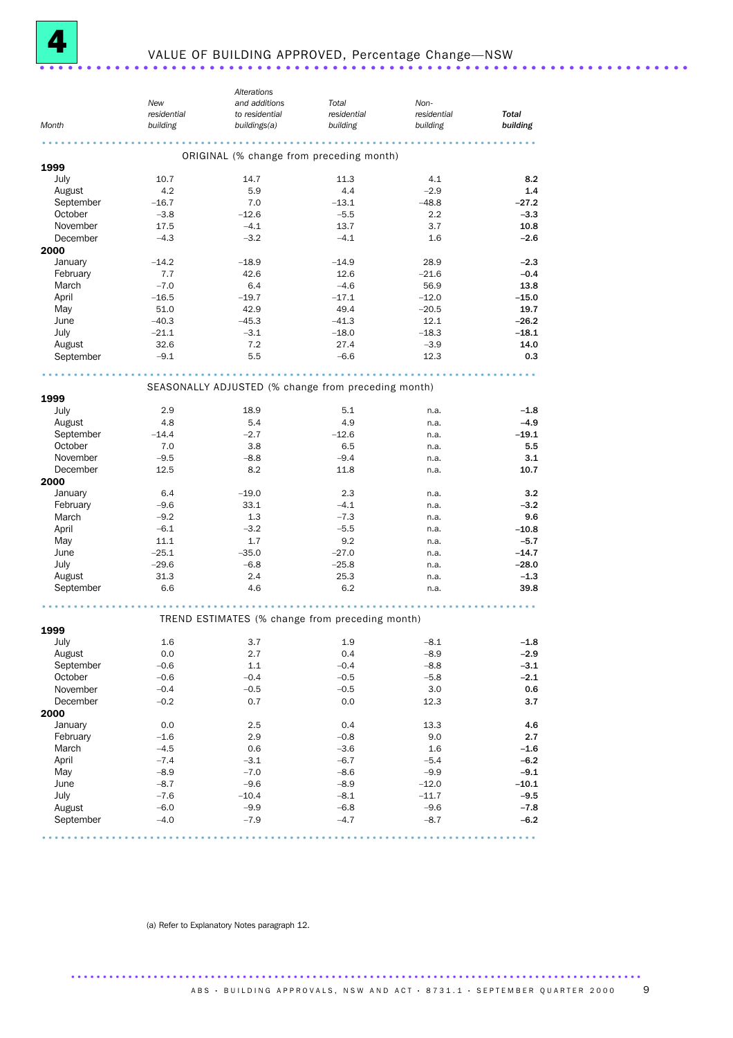

|             |             | Alterations                                         |             |             |              |
|-------------|-------------|-----------------------------------------------------|-------------|-------------|--------------|
|             | New         | and additions                                       | Total       | Non-        |              |
|             | residential | to residential                                      | residential | residential | <b>Total</b> |
| Month       | building    | buildings(a)                                        | building    | building    | building     |
|             |             | ORIGINAL (% change from preceding month)            | .           |             |              |
| 1999        |             |                                                     |             |             |              |
| July        | 10.7        | 14.7                                                | 11.3        | 4.1         | 8.2          |
| August      | 4.2         | 5.9                                                 | 4.4         | $-2.9$      | 1.4          |
| September   | $-16.7$     | 7.0                                                 | $-13.1$     | $-48.8$     | $-27.2$      |
| October     | $-3.8$      | $-12.6$                                             | $-5.5$      | $2.2\,$     | $-3.3$       |
| November    | 17.5        | $-4.1$                                              | 13.7        | 3.7         | 10.8         |
| December    | $-4.3$      | $-3.2$                                              | $-4.1$      | 1.6         | $-2.6$       |
| 2000        |             |                                                     |             |             |              |
| January     | $-14.2$     | $-18.9$                                             | $-14.9$     | 28.9        | $-2.3$       |
| February    | 7.7         | 42.6                                                | 12.6        | $-21.6$     | $-0.4$       |
| March       | $-7.0$      | 6.4                                                 | $-4.6$      | 56.9        | 13.8         |
| April       | $-16.5$     | $-19.7$                                             | $-17.1$     | $-12.0$     | $-15.0$      |
| May         | 51.0        | 42.9                                                | 49.4        | $-20.5$     | 19.7         |
| June        | $-40.3$     | $-45.3$                                             | $-41.3$     | 12.1        | $-26.2$      |
| July        | $-21.1$     | $-3.1$                                              | $-18.0$     | $-18.3$     | $-18.1$      |
| August      | 32.6        | 7.2                                                 | 27.4        | $-3.9$      | 14.0         |
| September   | $-9.1$      | 5.5                                                 | $-6.6$      | 12.3        | 0.3          |
|             |             |                                                     |             |             |              |
|             |             |                                                     |             |             |              |
|             |             | SEASONALLY ADJUSTED (% change from preceding month) |             |             |              |
| 1999        |             |                                                     |             |             |              |
| <b>July</b> | 2.9         | 18.9                                                | 5.1         | n.a.        | $-1.8$       |
| August      | 4.8         | 5.4                                                 | 4.9         | n.a.        | $-4.9$       |
| September   | $-14.4$     | $-2.7$                                              | $-12.6$     | n.a.        | $-19.1$      |
| October     | 7.0         | 3.8                                                 | 6.5         | n.a.        | 5.5          |
| November    | $-9.5$      | $-8.8$                                              | $-9.4$      | n.a.        | 3.1          |
| December    | 12.5        | 8.2                                                 | 11.8        | n.a.        | 10.7         |
| 2000        |             |                                                     |             |             |              |
| January     | 6.4         | $-19.0$                                             | 2.3         | n.a.        | 3.2          |
| February    | $-9.6$      | 33.1                                                | $-4.1$      | n.a.        | $-3.2$       |
| March       | $-9.2$      | 1.3                                                 | $-7.3$      | n.a.        | 9.6          |
| April       | $-6.1$      | $-3.2$                                              | $-5.5$      | n.a.        | $-10.8$      |
| May         | 11.1        | 1.7                                                 | 9.2         | n.a.        | $-5.7$       |
| June        | $-25.1$     | $-35.0$                                             | $-27.0$     | n.a.        | $-14.7$      |
| July        | $-29.6$     | $-6.8$                                              | $-25.8$     | n.a.        | $-28.0$      |
| August      | 31.3        | 2.4                                                 | 25.3        | n.a.        | $-1.3$       |
| September   | 6.6         | 4.6                                                 | 6.2         | n.a.        | 39.8         |
|             |             |                                                     |             |             |              |
|             |             | TREND ESTIMATES (% change from preceding month)     |             |             |              |
| 1999        |             |                                                     |             |             |              |
| July        | 1.6         | 3.7                                                 | 1.9         | $-8.1$      | $-1.8$       |
| August      | 0.0         | 2.7                                                 | 0.4         | $-8.9$      | $-2.9$       |
| September   | $-0.6$      | 1.1                                                 | $-0.4$      | $-8.8$      | $-3.1$       |
| October     | $-0.6$      | $-0.4$                                              | $-0.5$      | $-5.8$      | $-2.1$       |
| November    | $-0.4$      | $-0.5$                                              | $-0.5$      | 3.0         | 0.6          |
| December    | $-0.2$      | 0.7                                                 | 0.0         | 12.3        | 3.7          |
| 2000        |             |                                                     |             |             |              |
| January     | 0.0         | 2.5                                                 | 0.4         | 13.3        | 4.6          |
| February    | $-1.6$      | 2.9                                                 | $-0.8$      | 9.0         | 2.7          |
| March       | $-4.5$      | 0.6                                                 | $-3.6$      | 1.6         | $-1.6$       |
| April       | $-7.4$      | $-3.1$                                              | $-6.7$      | $-5.4$      | $-6.2$       |
| May         | $-8.9$      | $-7.0$                                              | $-8.6$      | $-9.9$      | $-9.1$       |
| June        | $-8.7$      | $-9.6$                                              | $-8.9$      | $-12.0$     | $-10.1$      |
| July        | $-7.6$      | $-10.4$                                             | $-8.1$      | $-11.7$     | $-9.5$       |
| August      | $-6.0$      | $-9.9$                                              | $-6.8$      | $-9.6$      | $-7.8$       |
| September   | $-4.0$      | $-7.9$                                              | $-4.7$      | $-8.7$      | $-6.2$       |
|             |             |                                                     |             |             |              |
|             |             |                                                     |             |             |              |

(a) Refer to Explanatory Notes paragraph 12.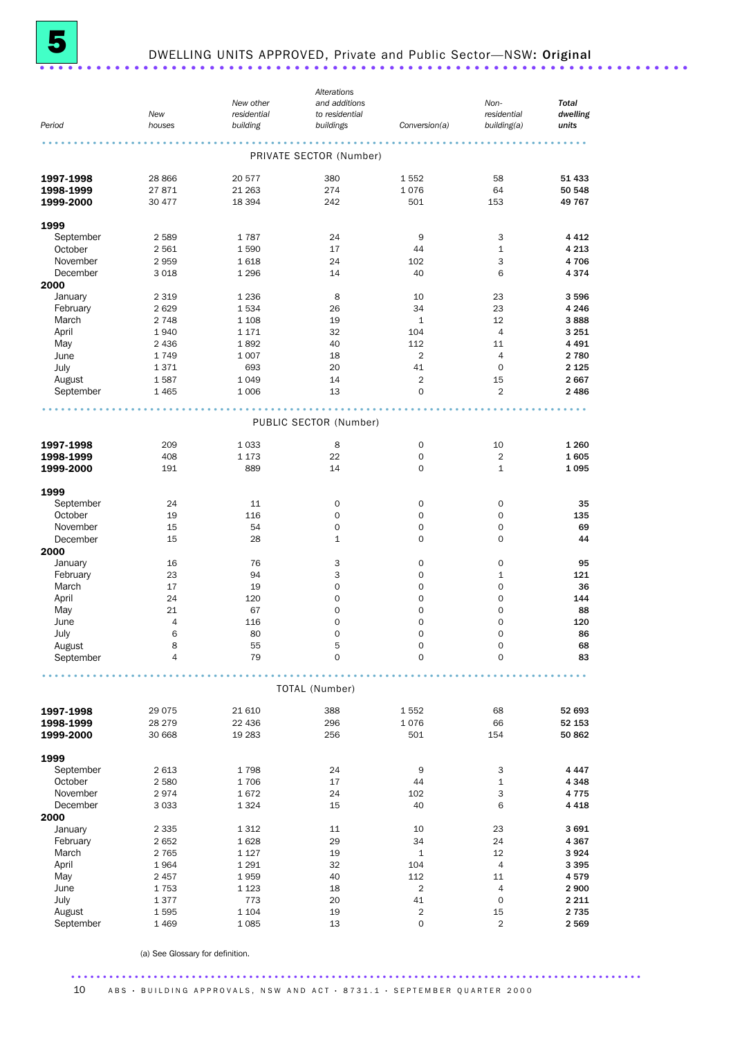# <sup>5</sup> DWELLING UNITS APPROVED, Private and Public Sector—NSW: Original .....................................................................

|                   |                |             | Alterations             |                     |                     |              |
|-------------------|----------------|-------------|-------------------------|---------------------|---------------------|--------------|
|                   |                | New other   | and additions           |                     | Non-                | <b>Total</b> |
|                   | New            | residential | to residential          |                     | residential         | dwelling     |
| Period            | houses         | building    | buildings               | Conversion(a)       | building(a)         | units        |
|                   |                |             |                         |                     |                     |              |
|                   |                |             | PRIVATE SECTOR (Number) |                     |                     |              |
| 1997-1998         | 28 866         | 20 577      | 380                     | 1552                | 58                  | 51 433       |
| 1998-1999         | 27871          | 21 263      | 274                     | 1076                | 64                  | 50 548       |
| 1999-2000         | 30 477         | 18 3 94     | 242                     | 501                 | 153                 | 49 767       |
|                   |                |             |                         |                     |                     |              |
| 1999<br>September | 2 5 8 9        | 1787        | 24                      | 9                   | 3                   | 4 4 1 2      |
| October           | 2 5 6 1        | 1590        | 17                      | 44                  | $1\,$               | 4 2 1 3      |
| November          | 2959           | 1618        | 24                      | 102                 | 3                   | 4706         |
| December          | 3 0 18         | 1 2 9 6     | 14                      | 40                  | 6                   | 4374         |
| 2000              |                |             |                         |                     |                     |              |
| January           | 2 3 1 9        | 1 2 3 6     | 8                       | 10                  | 23                  | 3596         |
| February          | 2 6 2 9        | 1534        | 26                      | 34                  | 23                  | 4 2 4 6      |
| March             | 2 7 4 8        | 1 1 0 8     | 19                      | $\mathbf{1}$        | 12                  | 3888         |
| April             | 1940           | 1 1 7 1     | 32                      | 104                 | $\overline{4}$      | 3 2 5 1      |
| May               | 2 4 3 6        | 1892        | 40                      | 112                 | 11                  | 4 4 9 1      |
| June              | 1 7 4 9        | 1 0 0 7     | 18                      | $\overline{2}$      | $\overline{4}$      | 2780         |
| July              | 1371           | 693         | 20                      | 41                  | $\mathbf 0$         | 2 1 2 5      |
| August            | 1587           | 1049        | 14                      | $\overline{2}$      | 15                  | 2667         |
| September         | 1 4 6 5        | 1 0 0 6     | 13                      | $\mathbf 0$         | $\overline{2}$      | 2486         |
|                   |                |             |                         |                     |                     |              |
|                   |                |             | PUBLIC SECTOR (Number)  |                     |                     |              |
| 1997-1998         | 209            | 1 0 3 3     | 8                       | 0                   | 10                  | 1 2 6 0      |
| 1998-1999         | 408            | 1 1 7 3     | 22                      | 0                   | $\overline{2}$      | 1605         |
| 1999-2000         | 191            | 889         | 14                      | 0                   | $\mathbf{1}$        | 1095         |
| 1999              |                |             |                         |                     |                     |              |
| September         | 24             | 11          | 0                       | $\mathbf 0$         | $\mathbf 0$         | 35           |
| October           | 19             | 116         | 0                       | 0                   | 0                   | 135          |
| November          | 15             | 54          | 0                       | $\mathbf 0$         | 0                   | 69           |
| December          | 15             | 28          | 1                       | $\overline{0}$      | 0                   | 44           |
| 2000              |                |             |                         |                     |                     |              |
| January           | 16             | 76          | 3                       | $\mathbf 0$         | $\mathbf 0$         | 95           |
| February          | 23             | 94          | 3                       | $\mathbf 0$         | $1\,$               | 121          |
| March             | 17             | 19          | 0                       | $\mathbf 0$         | 0                   | 36           |
| April             | 24             | 120         | 0                       | $\overline{0}$      | 0                   | 144          |
| May               | 21             | 67          | 0                       | $\mathbf 0$         | 0                   | 88           |
| June              | $\overline{4}$ | 116         | 0                       | $\mathbf 0$         | 0                   | 120          |
| July              | 6              | 80          | 0                       | 0                   | 0                   | 86           |
| August            | 8              | 55          | 5                       | 0                   | 0                   | 68           |
| September         | 4              | 79          | 0                       | $\mathbf 0$         | $\mathsf{O}\xspace$ | 83           |
|                   |                |             |                         |                     |                     |              |
|                   |                |             | TOTAL (Number)          |                     |                     |              |
| 1997-1998         | 29 0 75        | 21 610      | 388                     | 1552                | 68                  | 52 693       |
| 1998-1999         | 28 279         | 22 4 36     | 296                     | 1076                | 66                  | 52 153       |
| 1999-2000         | 30 668         | 19 28 3     | 256                     | 501                 | 154                 | 50 862       |
| 1999              |                |             |                         |                     |                     |              |
| September         | 2 6 1 3        | 1798        | 24                      | 9                   | 3                   | 4 4 4 7      |
| October           | 2 5 8 0        | 1706        | 17                      | 44                  | $\mathbf 1$         | 4348         |
| November          | 2974           | 1672        | 24                      | 102                 | 3                   | 4775         |
| December          | 3 0 3 3        | 1 3 2 4     | 15                      | 40                  | 6                   | 4 4 1 8      |
| 2000              |                |             |                         |                     |                     |              |
| January           | 2 3 3 5        | 1 3 1 2     | 11                      | 10                  | 23                  | 3691         |
| February          | 2 6 5 2        | 1628        | 29                      | 34                  | 24                  | 4367         |
| March             | 2 7 6 5        | 1 1 2 7     | 19                      | $\mathbf 1$         | 12                  | 3924         |
| April             | 1964           | 1 2 9 1     | 32                      | 104                 | 4                   | 3 3 9 5      |
| May               | 2 4 5 7        | 1959        | 40                      | 112                 | 11                  | 4579         |
| June              | 1753           | 1 1 2 3     | 18                      | $\overline{c}$      | 4                   | 2 9 0 0      |
| July              | 1377           | 773         | 20                      | 41                  | 0                   | 2 2 1 1      |
| August            | 1595           | 1 1 0 4     | 19                      | $\sqrt{2}$          | 15                  | 2 7 3 5      |
| September         | 1469           | 1 0 8 5     | 13                      | $\mathsf{O}\xspace$ | $\overline{2}$      | 2569         |
|                   |                |             |                         |                     |                     |              |

(a) See Glossary for definition.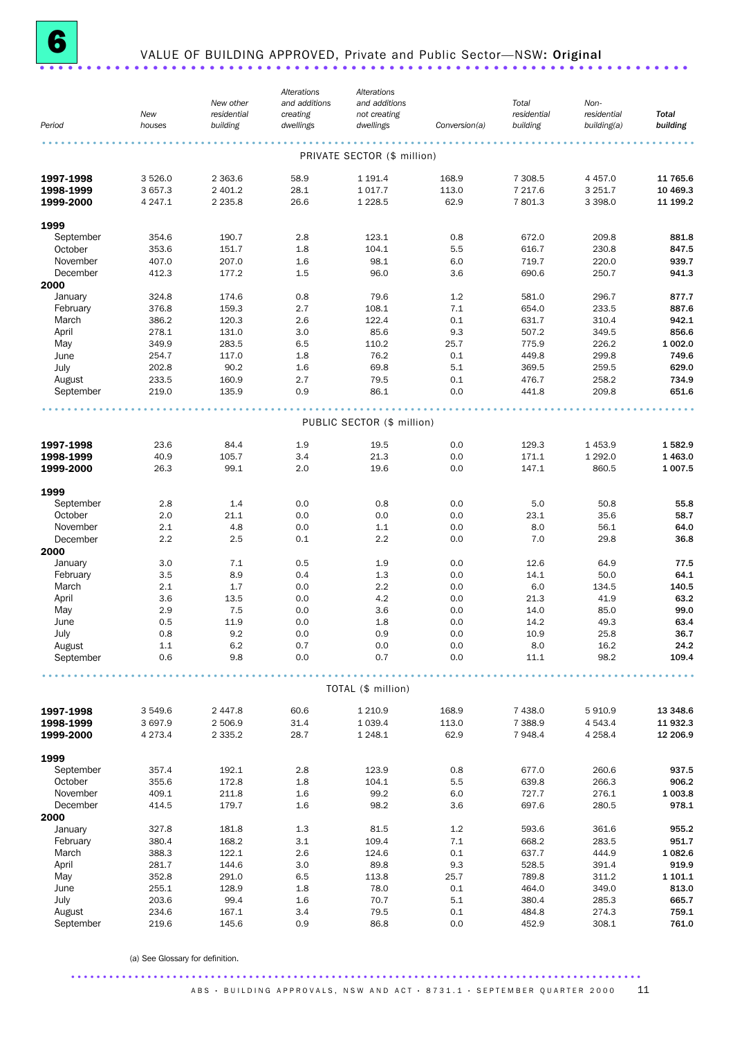

# <sup>6</sup> VALUE OF BUILDING APPROVED, Private and Public Sector—NSW: Original .....................................................................

|                   |         |             | Alterations   | Alterations                 |               |             |             |              |
|-------------------|---------|-------------|---------------|-----------------------------|---------------|-------------|-------------|--------------|
|                   |         | New other   | and additions | and additions               |               | Total       | Non-        |              |
|                   | New     | residential | creating      | not creating                |               | residential | residential | <b>Total</b> |
| Period            | houses  | building    | dwellings     | dwellings                   | Conversion(a) | building    | building(a) | building     |
|                   |         |             |               |                             |               |             |             |              |
|                   |         |             |               | PRIVATE SECTOR (\$ million) |               |             |             |              |
| 1997-1998         | 3526.0  | 2 3 6 3.6   | 58.9          | 1 1 9 1 . 4                 | 168.9         | 7 3 0 8.5   | 4 4 5 7 .0  | 11 765.6     |
| 1998-1999         | 3 657.3 | 2 401.2     | 28.1          | 1 0 1 7 . 7                 | 113.0         | 7 217.6     | 3 2 5 1.7   | 10 469.3     |
| 1999-2000         | 4 247.1 | 2 2 3 5.8   | 26.6          | 1 2 2 8.5                   | 62.9          | 7 801.3     | 3 3 9 8.0   | 11 199.2     |
|                   |         |             |               |                             |               |             |             |              |
| 1999<br>September | 354.6   | 190.7       | 2.8           | 123.1                       | 0.8           | 672.0       | 209.8       | 881.8        |
| October           | 353.6   | 151.7       | 1.8           | 104.1                       | 5.5           | 616.7       | 230.8       | 847.5        |
|                   |         |             |               |                             |               |             |             |              |
| November          | 407.0   | 207.0       | 1.6           | 98.1                        | 6.0           | 719.7       | 220.0       | 939.7        |
| December          | 412.3   | 177.2       | 1.5           | 96.0                        | 3.6           | 690.6       | 250.7       | 941.3        |
| 2000              |         |             |               |                             |               |             |             |              |
| January           | 324.8   | 174.6       | 0.8           | 79.6                        | 1.2           | 581.0       | 296.7       | 877.7        |
| February          | 376.8   | 159.3       | 2.7           | 108.1                       | 7.1           | 654.0       | 233.5       | 887.6        |
| March             | 386.2   | 120.3       | 2.6           | 122.4                       | 0.1           | 631.7       | 310.4       | 942.1        |
| April             | 278.1   | 131.0       | 3.0           | 85.6                        | 9.3           | 507.2       | 349.5       | 856.6        |
| May               | 349.9   | 283.5       | 6.5           | 110.2                       | 25.7          | 775.9       | 226.2       | 1 002.0      |
| June              | 254.7   | 117.0       | 1.8           | 76.2                        | 0.1           | 449.8       | 299.8       | 749.6        |
| <b>July</b>       | 202.8   | 90.2        | 1.6           | 69.8                        | 5.1           | 369.5       | 259.5       | 629.0        |
| August            | 233.5   | 160.9       | 2.7           | 79.5                        | 0.1           | 476.7       | 258.2       | 734.9        |
|                   |         |             |               |                             |               |             |             |              |
| September         | 219.0   | 135.9       | 0.9           | 86.1                        | 0.0           | 441.8       | 209.8       | 651.6        |
|                   |         |             |               | PUBLIC SECTOR (\$ million)  |               |             |             |              |
|                   |         |             |               |                             |               |             |             |              |
| 1997-1998         | 23.6    | 84.4        | 1.9           | 19.5                        | 0.0           | 129.3       | 1453.9      | 1582.9       |
| 1998-1999         | 40.9    | 105.7       | 3.4           | 21.3                        | 0.0           | 171.1       | 1 2 9 2.0   | 1463.0       |
| 1999-2000         | 26.3    | 99.1        | 2.0           | 19.6                        | 0.0           | 147.1       | 860.5       | 1 007.5      |
| 1999              |         |             |               |                             |               |             |             |              |
| September         | 2.8     | 1.4         | 0.0           | 0.8                         | 0.0           | 5.0         | 50.8        | 55.8         |
| October           | 2.0     | 21.1        | 0.0           | 0.0                         | 0.0           | 23.1        | 35.6        | 58.7         |
| November          | 2.1     | 4.8         | 0.0           | 1.1                         | 0.0           | 8.0         | 56.1        | 64.0         |
| December          | 2.2     |             |               | 2.2                         |               | 7.0         |             |              |
|                   |         | 2.5         | 0.1           |                             | 0.0           |             | 29.8        | 36.8         |
| 2000              |         |             |               |                             |               |             |             |              |
| January           | 3.0     | 7.1         | 0.5           | 1.9                         | 0.0           | 12.6        | 64.9        | 77.5         |
| February          | 3.5     | 8.9         | 0.4           | 1.3                         | 0.0           | 14.1        | 50.0        | 64.1         |
| March             | 2.1     | 1.7         | 0.0           | 2.2                         | 0.0           | 6.0         | 134.5       | 140.5        |
| April             | 3.6     | 13.5        | 0.0           | 4.2                         | 0.0           | 21.3        | 41.9        | 63.2         |
| May               | 2.9     | 7.5         | 0.0           | 3.6                         | 0.0           | 14.0        | 85.0        | 99.0         |
| June              | 0.5     | 11.9        | 0.0           | 1.8                         | 0.0           | 14.2        | 49.3        | 63.4         |
| July              | 0.8     | 9.2         | 0.0           | 0.9                         | 0.0           | 10.9        | 25.8        | 36.7         |
| August            | 1.1     | 6.2         | 0.7           | 0.0                         | 0.0           | 8.0         | 16.2        | 24.2         |
| September         | 0.6     | 9.8         | 0.0           | 0.7                         | 0.0           | 11.1        | 98.2        | 109.4        |
|                   |         |             |               |                             |               |             |             |              |
|                   |         |             |               | TOTAL (\$ million)          |               |             |             |              |
| 1997-1998         | 3 549.6 | 2 447.8     | 60.6          | 1 2 1 0.9                   | 168.9         | 7 438.0     | 5910.9      | 13 348.6     |
| 1998-1999         | 3697.9  | 2 506.9     | 31.4          | 1 0 3 9.4                   | 113.0         | 7 388.9     | 4543.4      | 11 932.3     |
| 1999-2000         | 4 273.4 | 2 3 3 5 . 2 | 28.7          | 1 2 4 8.1                   | 62.9          | 7948.4      | 4 2 5 8.4   | 12 206.9     |
| 1999              |         |             |               |                             |               |             |             |              |
| September         | 357.4   | 192.1       | 2.8           | 123.9                       | 0.8           | 677.0       | 260.6       | 937.5        |
| October           |         |             |               |                             |               |             |             | 906.2        |
|                   | 355.6   | 172.8       | 1.8           | 104.1                       | 5.5           | 639.8       | 266.3       |              |
| November          | 409.1   | 211.8       | 1.6           | 99.2                        | 6.0           | 727.7       | 276.1       | 1 003.8      |
| December          | 414.5   | 179.7       | 1.6           | 98.2                        | 3.6           | 697.6       | 280.5       | 978.1        |
| 2000              |         |             |               |                             |               |             |             |              |
| January           | 327.8   | 181.8       | 1.3           | 81.5                        | 1.2           | 593.6       | 361.6       | 955.2        |
| February          | 380.4   | 168.2       | 3.1           | 109.4                       | 7.1           | 668.2       | 283.5       | 951.7        |
| March             | 388.3   | 122.1       | 2.6           | 124.6                       | 0.1           | 637.7       | 444.9       | 1 0 8 2.6    |
| April             | 281.7   | 144.6       | 3.0           | 89.8                        | 9.3           | 528.5       | 391.4       | 919.9        |
| May               | 352.8   | 291.0       | 6.5           | 113.8                       | 25.7          | 789.8       | 311.2       | 1 101.1      |
| June              | 255.1   | 128.9       | 1.8           | 78.0                        | 0.1           | 464.0       | 349.0       | 813.0        |
| July              | 203.6   | 99.4        | 1.6           | 70.7                        | 5.1           | 380.4       | 285.3       | 665.7        |
| August            | 234.6   | 167.1       | 3.4           | 79.5                        | 0.1           | 484.8       | 274.3       | 759.1        |
| September         | 219.6   | 145.6       | 0.9           | 86.8                        | 0.0           | 452.9       | 308.1       | 761.0        |
|                   |         |             |               |                             |               |             |             |              |

(a) See Glossary for definition.

#### ..........................................................................................  $ABS$  · BUILDING APPROVALS, NSW AND ACT · 8731.1 · SEPTEMBER QUARTER 2000 11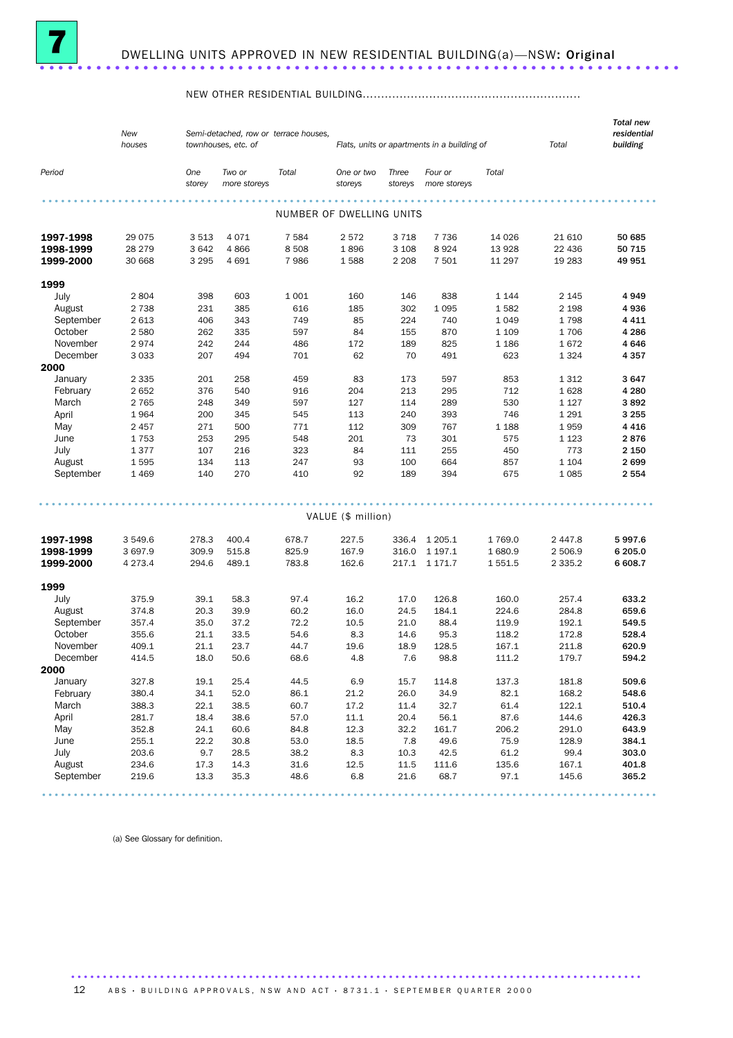

#### NEW OTHER RESIDENTIAL BUILDING...........................................................

|           | New<br>houses |               | townhouses, etc. of    | Semi-detached, row or terrace houses, | Flats, units or apartments in a building of |                  |                         |         | Total     | <b>Total new</b><br>residential<br>building |  |
|-----------|---------------|---------------|------------------------|---------------------------------------|---------------------------------------------|------------------|-------------------------|---------|-----------|---------------------------------------------|--|
| Period    |               | One<br>storey | Two or<br>more storeys | Total                                 | One or two<br>storeys                       | Three<br>storeys | Four or<br>more storeys | Total   |           |                                             |  |
|           |               |               |                        | NUMBER OF DWELLING UNITS              |                                             |                  |                         |         |           |                                             |  |
| 1997-1998 | 29 0 75       | 3513          | 4071                   | 7 5 8 4                               | 2572                                        | 3 7 1 8          | 7 7 3 6                 | 14 0 26 | 21 610    | 50 685                                      |  |
| 1998-1999 | 28 279        | 3642          | 4866                   | 8 5 0 8                               | 1896                                        | 3 1 0 8          | 8924                    | 13 928  | 22 436    | 50 715                                      |  |
| 1999-2000 | 30 668        | 3 2 9 5       | 4 6 9 1                | 7986                                  | 1588                                        | 2 2 0 8          | 7 501                   | 11 297  | 19 283    | 49 951                                      |  |
| 1999      |               |               |                        |                                       |                                             |                  |                         |         |           |                                             |  |
| July      | 2804          | 398           | 603                    | 1 0 0 1                               | 160                                         | 146              | 838                     | 1 1 4 4 | 2 1 4 5   | 4949                                        |  |
| August    | 2 7 3 8       | 231           | 385                    | 616                                   | 185                                         | 302              | 1 0 9 5                 | 1582    | 2 1 9 8   | 4936                                        |  |
| September | 2 6 1 3       | 406           | 343                    | 749                                   | 85                                          | 224              | 740                     | 1 0 4 9 | 1798      | 4 4 1 1                                     |  |
| October   | 2 5 8 0       | 262           | 335                    | 597                                   | 84                                          | 155              | 870                     | 1 1 0 9 | 1706      | 4 2 8 6                                     |  |
| November  | 2974          | 242           | 244                    | 486                                   | 172                                         | 189              | 825                     | 1 1 8 6 | 1672      | 4646                                        |  |
| December  | 3 0 3 3       | 207           | 494                    | 701                                   | 62                                          | 70               | 491                     | 623     | 1 3 2 4   | 4 3 5 7                                     |  |
| 2000      |               |               |                        |                                       |                                             |                  |                         |         |           |                                             |  |
| January   | 2 3 3 5       | 201           | 258                    | 459                                   | 83                                          | 173              | 597                     | 853     | 1 3 1 2   | 3647                                        |  |
| February  | 2652          | 376           | 540                    | 916                                   | 204                                         | 213              | 295                     | 712     | 1628      | 4 2 8 0                                     |  |
| March     | 2 7 6 5       | 248           | 349                    | 597                                   | 127                                         | 114              | 289                     | 530     | 1 1 2 7   | 3892                                        |  |
| April     | 1964          | 200           | 345                    | 545                                   | 113                                         | 240              | 393                     | 746     | 1 2 9 1   | 3 2 5 5                                     |  |
| May       | 2 4 5 7       | 271           | 500                    | 771                                   | 112                                         | 309              | 767                     | 1 1 8 8 | 1959      | 4 4 1 6                                     |  |
| June      | 1753          | 253           | 295                    | 548                                   | 201                                         | 73               | 301                     | 575     | 1 1 2 3   | 2876                                        |  |
| July      | 1377          | 107           | 216                    | 323                                   | 84                                          | 111              | 255                     | 450     | 773       | 2 150                                       |  |
| August    | 1595          | 134           | 113                    | 247                                   | 93                                          | 100              | 664                     | 857     | 1 1 0 4   | 2699                                        |  |
| September | 1 4 6 9       | 140           | 270                    | 410                                   | 92                                          | 189              | 394                     | 675     | 1 0 8 5   | 2 5 5 4                                     |  |
|           |               |               |                        |                                       |                                             |                  |                         |         |           |                                             |  |
|           |               |               |                        |                                       | VALUE (\$ million)                          |                  |                         |         |           |                                             |  |
| 1997-1998 | 3 549.6       | 278.3         | 400.4                  | 678.7                                 | 227.5                                       | 336.4            | 1 205.1                 | 1769.0  | 2 447.8   | 5997.6                                      |  |
| 1998-1999 | 3 697.9       | 309.9         | 515.8                  | 825.9                                 | 167.9                                       | 316.0            | 1 197.1                 | 1680.9  | 2 506.9   | 6 205.0                                     |  |
| 1999-2000 | 4 2 7 3 . 4   | 294.6         | 489.1                  | 783.8                                 | 162.6                                       |                  | 217.1 1 171.7           | 1 551.5 | 2 3 3 5.2 | 6 608.7                                     |  |
| 1999      |               |               |                        |                                       |                                             |                  |                         |         |           |                                             |  |
| July      | 375.9         | 39.1          | 58.3                   | 97.4                                  | 16.2                                        | 17.0             | 126.8                   | 160.0   | 257.4     | 633.2                                       |  |
| August    | 374.8         | 20.3          | 39.9                   | 60.2                                  | 16.0                                        | 24.5             | 184.1                   | 224.6   | 284.8     | 659.6                                       |  |
| September | 357.4         | 35.0          | 37.2                   | 72.2                                  | 10.5                                        | 21.0             | 88.4                    | 119.9   | 192.1     | 549.5                                       |  |
| October   | 355.6         | 21.1          | 33.5                   | 54.6                                  | 8.3                                         | 14.6             | 95.3                    | 118.2   | 172.8     | 528.4                                       |  |
| November  | 409.1         | 21.1          | 23.7                   | 44.7                                  | 19.6                                        | 18.9             | 128.5                   | 167.1   | 211.8     | 620.9                                       |  |
| December  | 414.5         | 18.0          | 50.6                   | 68.6                                  | 4.8                                         | 7.6              | 98.8                    | 111.2   | 179.7     | 594.2                                       |  |
| 2000      |               |               |                        |                                       |                                             |                  |                         |         |           |                                             |  |
| January   | 327.8         | 19.1          | 25.4                   | 44.5                                  | 6.9                                         | 15.7             | 114.8                   | 137.3   | 181.8     | 509.6                                       |  |
| February  | 380.4         | 34.1          | 52.0                   | 86.1                                  | 21.2                                        | 26.0             | 34.9                    | 82.1    | 168.2     | 548.6                                       |  |
| March     | 388.3         | 22.1          | 38.5                   | 60.7                                  | 17.2                                        | 11.4             | 32.7                    | 61.4    | 122.1     | 510.4                                       |  |
| April     | 281.7         | 18.4          | 38.6                   | 57.0                                  | 11.1                                        | 20.4             | 56.1                    | 87.6    | 144.6     | 426.3                                       |  |
| May       | 352.8         | 24.1          | 60.6                   | 84.8                                  | 12.3                                        | 32.2             | 161.7                   | 206.2   | 291.0     | 643.9                                       |  |
| June      | 255.1         | 22.2          | 30.8                   | 53.0                                  | 18.5                                        | 7.8              | 49.6                    | 75.9    | 128.9     | 384.1                                       |  |
| July      | 203.6         | 9.7           | 28.5                   | 38.2                                  | 8.3                                         | 10.3             | 42.5                    | 61.2    | 99.4      | 303.0                                       |  |
| August    | 234.6         | 17.3          | 14.3                   | 31.6                                  | 12.5                                        | 11.5             | 111.6                   | 135.6   | 167.1     | 401.8                                       |  |
| September | 219.6         | 13.3          | 35.3                   | 48.6                                  | 6.8                                         | 21.6             | 68.7                    | 97.1    | 145.6     | 365.2                                       |  |
|           |               |               |                        |                                       |                                             |                  |                         |         |           |                                             |  |

(a) See Glossary for definition.

12 A B S · BUILDING APPROVALS, NSW AND ACT · 8731.1 · SEPTEMBER QUARTER 2000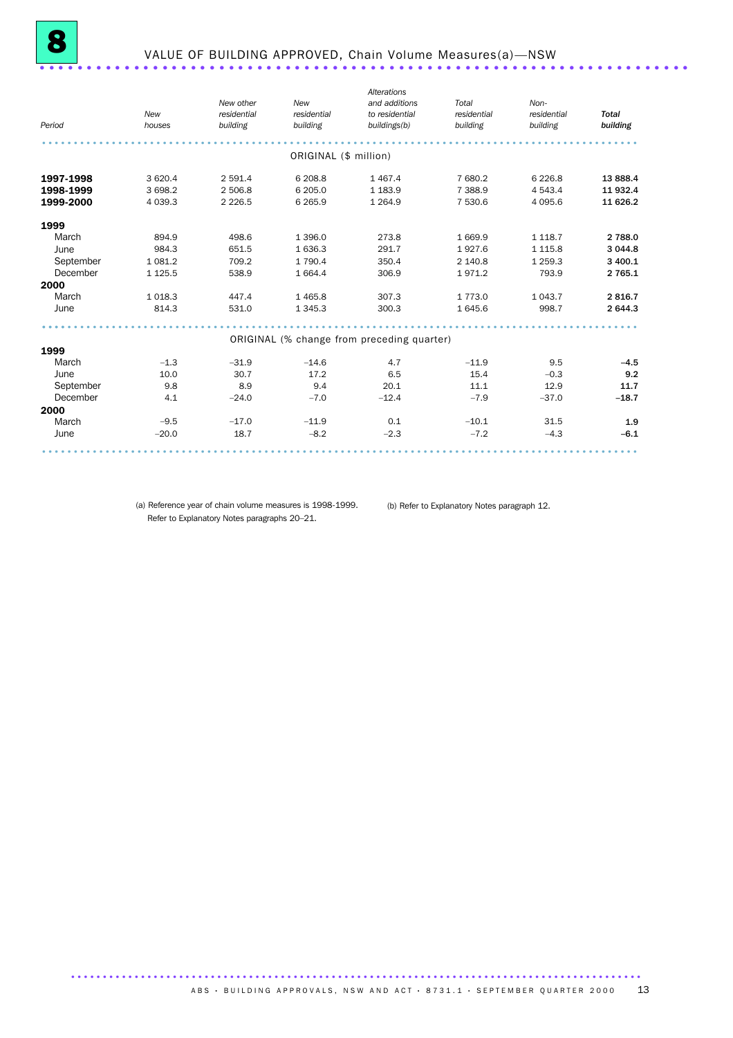

| Period    | New<br>houses | New other<br>residential<br>building | New<br>residential<br>building | Alterations<br>and additions<br>to residential<br>buildings(b) | Total<br>residential<br>building | Non-<br>residential<br>building | <b>Total</b><br>building |
|-----------|---------------|--------------------------------------|--------------------------------|----------------------------------------------------------------|----------------------------------|---------------------------------|--------------------------|
|           |               |                                      | ORIGINAL (\$ million)          |                                                                |                                  |                                 |                          |
| 1997-1998 | 3 6 20.4      | 2 591.4                              | 6 208.8                        | 1 4 6 7 . 4                                                    | 7 680.2                          | 6 2 2 6.8                       | 13 888.4                 |
| 1998-1999 | 3 698.2       | 2 506.8                              | 6 205.0                        | 1 1 8 3 . 9                                                    | 7 3 8 8.9                        | 4 5 4 3 . 4                     | 11 932.4                 |
| 1999-2000 | 4 0 39.3      | 2 2 2 6.5                            | 6 2 6 5 . 9                    | 1 2 6 4 .9                                                     | 7 530.6                          | 4 0 9 5.6                       | 11 626.2                 |
| 1999      |               |                                      |                                |                                                                |                                  |                                 |                          |
| March     | 894.9         | 498.6                                | 1 3 9 6.0                      | 273.8                                                          | 1 669.9                          | 1 1 1 8.7                       | 2 788.0                  |
| June      | 984.3         | 651.5                                | 1 636.3                        | 291.7                                                          | 1927.6                           | 1 1 1 5.8                       | 3 0 4 4.8                |
| September | 1 081.2       | 709.2                                | 1 7 9 0.4                      | 350.4                                                          | 2 140.8                          | 1 2 5 9 . 3                     | 3 400.1                  |
| December  | 1 1 2 5 .5    | 538.9                                | 1 6 6 4 . 4                    | 306.9                                                          | 1971.2                           | 793.9                           | 2 7 6 5 . 1              |
| 2000      |               |                                      |                                |                                                                |                                  |                                 |                          |
| March     | 1 0 18.3      | 447.4                                | 1465.8                         | 307.3                                                          | 1 7 7 3 .0                       | 1 0 4 3 . 7                     | 2 8 1 6.7                |
| June      | 814.3         | 531.0                                | 1 3 4 5 . 3                    | 300.3                                                          | 1 645.6                          | 998.7                           | 2 644.3                  |
|           |               |                                      |                                |                                                                |                                  |                                 |                          |
| 1999      |               |                                      |                                | ORIGINAL (% change from preceding quarter)                     |                                  |                                 |                          |
| March     | $-1.3$        | $-31.9$                              | $-14.6$                        | 4.7                                                            | $-11.9$                          | 9.5                             | $-4.5$                   |
| June      | 10.0          | 30.7                                 | 17.2                           | 6.5                                                            | 15.4                             | $-0.3$                          | 9.2                      |
| September | 9.8           | 8.9                                  | 9.4                            | 20.1                                                           | 11.1                             | 12.9                            | 11.7                     |
| December  | 4.1           | $-24.0$                              | $-7.0$                         | $-12.4$                                                        | $-7.9$                           | $-37.0$                         | $-18.7$                  |
| 2000      |               |                                      |                                |                                                                |                                  |                                 |                          |
| March     | $-9.5$        | $-17.0$                              | $-11.9$                        | 0.1                                                            | $-10.1$                          | 31.5                            | 1.9                      |
| June      | $-20.0$       | 18.7                                 | $-8.2$                         | $-2.3$                                                         | $-7.2$                           | $-4.3$                          | $-6.1$                   |
|           |               |                                      |                                |                                                                |                                  |                                 |                          |
|           |               |                                      |                                |                                                                |                                  |                                 |                          |

(a) Reference year of chain volume measures is 1998-1999. Refer to Explanatory Notes paragraphs 20–21.

(b) Refer to Explanatory Notes paragraph 12.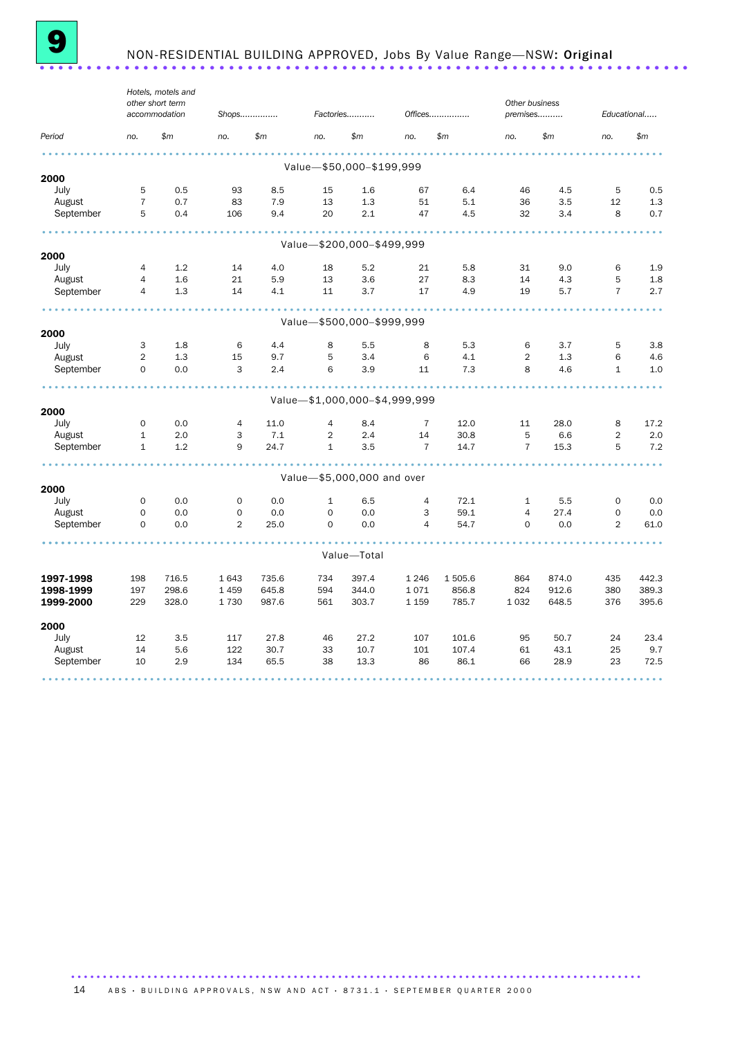

# <sup>9</sup> NON-RESIDENTIAL BUILDING APPROVED, Jobs By Value Range—NSW: Original .....................................................................

|           |                | Hotels, motels and<br>other short term |                |       |                |                            |                               |         | Other business |       |                |             |
|-----------|----------------|----------------------------------------|----------------|-------|----------------|----------------------------|-------------------------------|---------|----------------|-------|----------------|-------------|
|           |                | accommodation                          |                | Shops |                | Factories                  |                               | Offices | premises       |       |                | Educational |
| Period    | no.            | \$m\$                                  | no.            | \$m\$ | no.            | \$m\$                      | no.                           | \$m\$   | no.            | \$m\$ | no.            | \$m\$       |
|           |                |                                        |                |       |                | Value-\$50,000-\$199,999   |                               |         |                |       |                |             |
| 2000      |                |                                        |                |       |                |                            |                               |         |                |       |                |             |
| July      | 5              | 0.5                                    | 93             | 8.5   | 15             | 1.6                        | 67                            | 6.4     | 46             | 4.5   | 5              | 0.5         |
| August    | $\overline{7}$ | 0.7                                    | 83             | 7.9   | 13             | 1.3                        | 51                            | 5.1     | 36             | 3.5   | 12             | 1.3         |
| September | 5              | 0.4                                    | 106            | 9.4   | 20             | 2.1                        | 47                            | 4.5     | 32             | 3.4   | 8              | 0.7         |
|           |                |                                        |                |       |                |                            |                               |         |                |       |                |             |
| 2000      |                |                                        |                |       |                | Value-\$200,000-\$499,999  |                               |         |                |       |                |             |
| July      | $\overline{4}$ | 1.2                                    | 14             | 4.0   | 18             | 5.2                        | 21                            | 5.8     | 31             | 9.0   | 6              | 1.9         |
| August    | 4              | 1.6                                    | 21             | 5.9   | 13             | 3.6                        | 27                            | 8.3     | 14             | 4.3   | 5              | 1.8         |
| September | 4              | 1.3                                    | 14             | 4.1   | 11             | 3.7                        | 17                            | 4.9     | 19             | 5.7   | $\overline{7}$ | 2.7         |
|           |                |                                        |                |       |                |                            |                               |         |                |       |                |             |
| 2000      |                |                                        |                |       |                | Value-\$500,000-\$999,999  |                               |         |                |       |                |             |
| July      | 3              | 1.8                                    | 6              | 4.4   | 8              | 5.5                        | 8                             | 5.3     | 6              | 3.7   | 5              | 3.8         |
| August    | $\overline{2}$ | 1.3                                    | 15             | 9.7   | 5              | 3.4                        | 6                             | 4.1     | $\overline{2}$ | 1.3   | 6              | 4.6         |
| September | $\mathsf{O}$   | 0.0                                    | 3              | 2.4   | 6              | 3.9                        | 11                            | 7.3     | 8              | 4.6   | $\mathbf{1}$   | 1.0         |
|           |                |                                        |                |       |                |                            | Value-\$1,000,000-\$4,999,999 |         |                |       |                |             |
| 2000      |                |                                        |                |       |                |                            |                               |         |                |       |                |             |
| July      | 0              | 0.0                                    | $\overline{4}$ | 11.0  | 4              | 8.4                        | 7                             | 12.0    | 11             | 28.0  | 8              | 17.2        |
| August    | $\mathbf{1}$   | 2.0                                    | 3              | 7.1   | $\overline{2}$ | 2.4                        | 14                            | 30.8    | 5              | 6.6   | $\overline{2}$ | 2.0         |
| September | $\mathbf{1}$   | 1.2                                    | 9              | 24.7  | $\mathbf{1}$   | 3.5                        | $\overline{7}$                | 14.7    | $\overline{7}$ | 15.3  | 5              | 7.2         |
|           |                |                                        |                |       |                | Value-\$5,000,000 and over |                               |         |                |       |                |             |
| 2000      |                |                                        |                |       |                |                            |                               |         |                |       |                |             |
| July      | $\mathbf 0$    | 0.0                                    | $\mathbf 0$    | 0.0   | $\mathbf{1}$   | 6.5                        | $\overline{4}$                | 72.1    | $\mathbf{1}$   | 5.5   | 0              | 0.0         |
| August    | 0              | 0.0                                    | $\mathbf 0$    | 0.0   | $\mathbf 0$    | 0.0                        | 3                             | 59.1    | 4              | 27.4  | $\mathbf 0$    | 0.0         |
| September | $\mathbf 0$    | 0.0                                    | $\overline{2}$ | 25.0  | $\mathbf 0$    | 0.0                        | $\overline{4}$                | 54.7    | $\circ$        | 0.0   | $\overline{2}$ | 61.0        |
|           |                |                                        |                |       |                | Value-Total                |                               |         |                |       |                |             |
|           |                |                                        |                |       |                |                            |                               |         |                |       |                |             |
| 1997-1998 | 198            | 716.5                                  | 1643           | 735.6 | 734            | 397.4                      | 1 2 4 6                       | 1505.6  | 864            | 874.0 | 435            | 442.3       |
| 1998-1999 | 197            | 298.6                                  | 1459           | 645.8 | 594            | 344.0                      | 1071                          | 856.8   | 824            | 912.6 | 380            | 389.3       |
| 1999-2000 | 229            | 328.0                                  | 1730           | 987.6 | 561            | 303.7                      | 1 1 5 9                       | 785.7   | 1 0 3 2        | 648.5 | 376            | 395.6       |
| 2000      |                |                                        |                |       |                |                            |                               |         |                |       |                |             |
| July      | 12             | 3.5                                    | 117            | 27.8  | 46             | 27.2                       | 107                           | 101.6   | 95             | 50.7  | 24             | 23.4        |
| August    | 14             | 5.6                                    | 122            | 30.7  | 33             | 10.7                       | 101                           | 107.4   | 61             | 43.1  | 25             | 9.7         |
| September | 10             | 2.9                                    | 134            | 65.5  | 38             | 13.3                       | 86                            | 86.1    | 66             | 28.9  | 23             | 72.5        |
|           |                |                                        |                |       |                |                            |                               |         |                |       |                |             |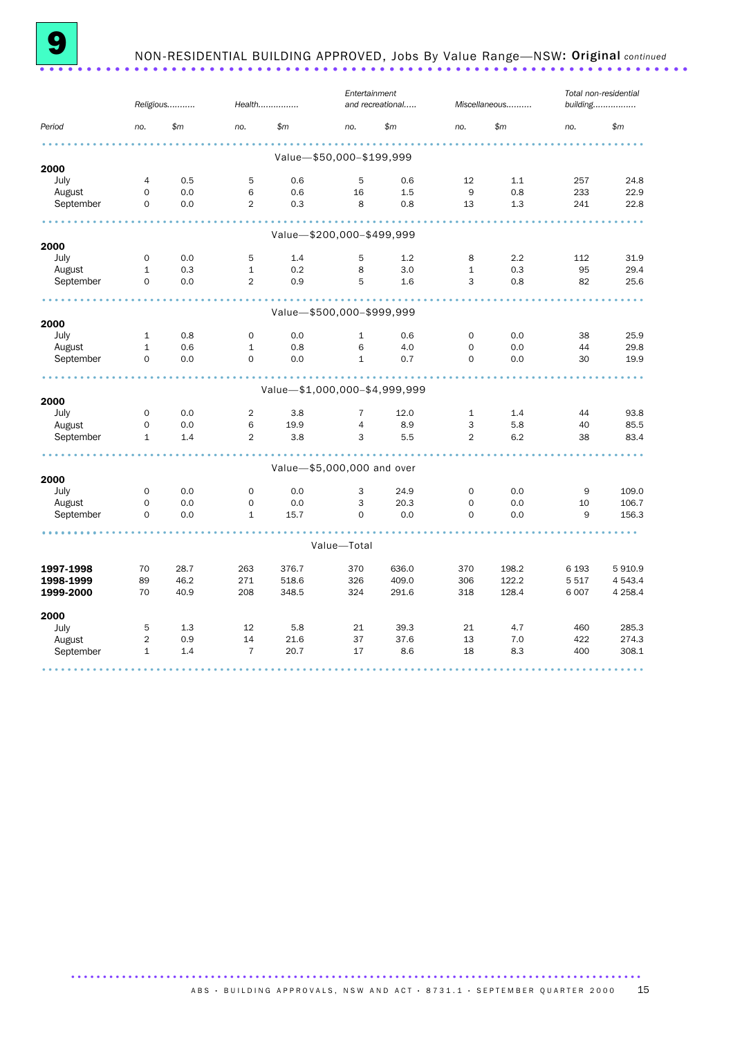

# NON-RESIDENTIAL BUILDING APPROVED, Jobs By Value Range—NSW: Original *continued* .....................................................................

|           |                | Religious |                     | Health                        | Entertainment            | and recreational |                | Miscellaneous |         | Total non-residential<br>building |
|-----------|----------------|-----------|---------------------|-------------------------------|--------------------------|------------------|----------------|---------------|---------|-----------------------------------|
| Period    | no.            | \$m\$     | no.                 | \$m\$                         | no.                      | \$m              | no.            | \$m\$         | no.     | \$m\$                             |
|           |                |           |                     |                               | Value-\$50,000-\$199,999 |                  |                |               |         |                                   |
| 2000      |                |           |                     |                               |                          |                  |                |               |         |                                   |
| July      | 4              | 0.5       | 5                   | 0.6                           | 5                        | 0.6              | 12             | 1.1           | 257     | 24.8                              |
| August    | $\mathbf 0$    | 0.0       | 6                   | 0.6                           | 16                       | 1.5              | 9              | 0.8           | 233     | 22.9                              |
| September | $\mathbf 0$    | 0.0       | $\overline{2}$      | 0.3                           | 8                        | 0.8              | 13             | 1.3           | 241     | 22.8                              |
|           |                |           |                     |                               |                          |                  |                |               |         |                                   |
| 2000      |                |           |                     | Value-\$200,000-\$499,999     |                          |                  |                |               |         |                                   |
| July      | 0              | 0.0       | 5                   | 1.4                           | 5                        | 1.2              | 8              | 2.2           | 112     | 31.9                              |
| August    | $\mathbf{1}$   | 0.3       | $\mathbf 1$         | 0.2                           | 8                        | 3.0              | $\mathbf 1$    | 0.3           | 95      | 29.4                              |
| September | $\mathbf 0$    | 0.0       | $\overline{2}$      | 0.9                           | 5                        | 1.6              | 3              | 0.8           | 82      | 25.6                              |
|           |                |           |                     |                               |                          |                  |                |               |         |                                   |
| 2000      |                |           |                     | Value-\$500,000-\$999,999     |                          |                  |                |               |         |                                   |
| July      | $\mathbf{1}$   | 0.8       | $\mathbf 0$         | 0.0                           | $\mathbf{1}$             | 0.6              | $\mathbf 0$    | 0.0           | 38      | 25.9                              |
| August    | $\mathbf{1}$   | 0.6       | $\mathbf{1}$        | 0.8                           | 6                        | 4.0              | $\mathbf 0$    | 0.0           | 44      | 29.8                              |
| September | $\mathbf 0$    | 0.0       | $\mathsf{O}\xspace$ | 0.0                           | $\mathbf{1}$             | 0.7              | $\mathbf 0$    | 0.0           | 30      | 19.9                              |
|           |                |           |                     |                               |                          |                  |                |               |         |                                   |
|           |                |           |                     | Value-\$1,000,000-\$4,999,999 |                          |                  |                |               |         |                                   |
| 2000      |                |           |                     |                               |                          |                  |                |               |         |                                   |
| July      | $\mathbf 0$    | 0.0       | $\overline{2}$      | 3.8                           | 7                        | 12.0             | $\mathbf{1}$   | 1.4           | 44      | 93.8                              |
| August    | $\mathbf 0$    | 0.0       | 6                   | 19.9                          | 4                        | 8.9              | 3              | 5.8           | 40      | 85.5                              |
| September | $\mathbf{1}$   | 1.4       | $\overline{2}$      | 3.8                           | 3                        | 5.5              | $\overline{2}$ | 6.2           | 38      | 83.4                              |
|           |                |           |                     |                               |                          |                  |                |               |         |                                   |
| 2000      |                |           |                     | Value-\$5,000,000 and over    |                          |                  |                |               |         |                                   |
| July      | 0              | 0.0       | 0                   | 0.0                           | 3                        | 24.9             | 0              | 0.0           | 9       | 109.0                             |
| August    | $\mathbf 0$    | 0.0       | $\mathbf 0$         | 0.0                           | 3                        | 20.3             | $\mathbf 0$    | 0.0           | 10      | 106.7                             |
| September | $\mathbf 0$    | 0.0       | $\mathbf{1}$        | 15.7                          | $\mathbf 0$              | 0.0              | $\mathbf 0$    | 0.0           | 9       | 156.3                             |
|           |                |           |                     |                               | Value-Total              |                  |                |               |         |                                   |
|           |                |           |                     |                               |                          |                  |                |               |         |                                   |
| 1997-1998 | 70             | 28.7      | 263                 | 376.7                         | 370                      | 636.0            | 370            | 198.2         | 6 1 9 3 | 5910.9                            |
| 1998-1999 | 89             | 46.2      | 271                 | 518.6                         | 326                      | 409.0            | 306            | 122.2         | 5 5 1 7 | 4 5 4 3.4                         |
| 1999-2000 | 70             | 40.9      | 208                 | 348.5                         | 324                      | 291.6            | 318            | 128.4         | 6 0 0 7 | 4 2 5 8.4                         |
| 2000      |                |           |                     |                               |                          |                  |                |               |         |                                   |
| July      | 5              | 1.3       | 12                  | 5.8                           | 21                       | 39.3             | 21             | 4.7           | 460     | 285.3                             |
| August    | $\overline{2}$ | 0.9       | 14                  | 21.6                          | 37                       | 37.6             | 13             | 7.0           | 422     | 274.3                             |
| September | $\mathbf{1}$   | 1.4       | $\overline{7}$      | 20.7                          | 17                       | 8.6              | 18             | 8.3           | 400     | 308.1                             |
|           |                |           |                     |                               |                          |                  |                |               |         |                                   |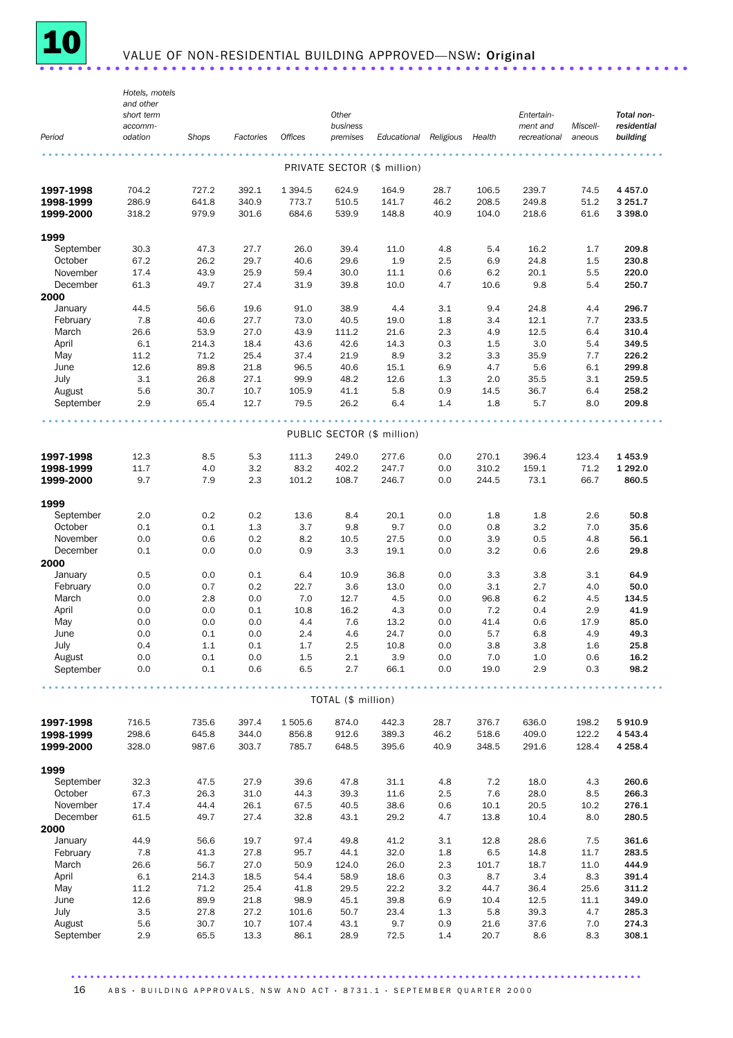

|                        | Hotels, motels<br>and other<br>short term |                |                |                | Other                |                             |              |                | Entertain-               |                    | Total non-               |
|------------------------|-------------------------------------------|----------------|----------------|----------------|----------------------|-----------------------------|--------------|----------------|--------------------------|--------------------|--------------------------|
| Period                 | accomm-<br>odation                        | Shops          | Factories      | <b>Offices</b> | business<br>premises | Educational Religious       |              | Health         | ment and<br>recreational | Miscell-<br>aneous | residential<br>building  |
|                        |                                           |                |                |                |                      |                             |              |                |                          |                    |                          |
|                        |                                           |                |                |                |                      | PRIVATE SECTOR (\$ million) |              |                |                          |                    |                          |
| 1997-1998              | 704.2                                     | 727.2          | 392.1          | 1 3 9 4 .5     | 624.9                | 164.9                       | 28.7         | 106.5          | 239.7                    | 74.5               | 4 4 5 7 .0               |
| 1998-1999<br>1999-2000 | 286.9<br>318.2                            | 641.8<br>979.9 | 340.9<br>301.6 | 773.7<br>684.6 | 510.5<br>539.9       | 141.7<br>148.8              | 46.2<br>40.9 | 208.5<br>104.0 | 249.8<br>218.6           | 51.2               | 3 2 5 1.7<br>3 3 9 8 . 0 |
|                        |                                           |                |                |                |                      |                             |              |                |                          | 61.6               |                          |
| 1999                   |                                           |                |                |                |                      |                             |              |                |                          |                    |                          |
| September              | 30.3                                      | 47.3           | 27.7           | 26.0           | 39.4                 | 11.0                        | 4.8          | 5.4            | 16.2                     | 1.7                | 209.8                    |
| October<br>November    | 67.2<br>17.4                              | 26.2<br>43.9   | 29.7<br>25.9   | 40.6<br>59.4   | 29.6<br>30.0         | 1.9<br>11.1                 | 2.5<br>0.6   | 6.9<br>6.2     | 24.8<br>20.1             | 1.5<br>5.5         | 230.8<br>220.0           |
| December               | 61.3                                      | 49.7           | 27.4           | 31.9           | 39.8                 | 10.0                        | 4.7          | 10.6           | 9.8                      | 5.4                | 250.7                    |
| 2000                   |                                           |                |                |                |                      |                             |              |                |                          |                    |                          |
| January                | 44.5                                      | 56.6           | 19.6           | 91.0           | 38.9                 | 4.4                         | 3.1          | 9.4            | 24.8                     | 4.4                | 296.7                    |
| February               | 7.8                                       | 40.6           | 27.7           | 73.0           | 40.5                 | 19.0                        | 1.8          | 3.4            | 12.1                     | 7.7                | 233.5                    |
| March<br>April         | 26.6<br>6.1                               | 53.9           | 27.0<br>18.4   | 43.9<br>43.6   | 111.2<br>42.6        | 21.6                        | 2.3          | 4.9            | 12.5<br>3.0              | 6.4                | 310.4<br>349.5           |
| May                    | 11.2                                      | 214.3<br>71.2  | 25.4           | 37.4           | 21.9                 | 14.3<br>8.9                 | 0.3<br>3.2   | 1.5<br>3.3     | 35.9                     | 5.4<br>7.7         | 226.2                    |
| June                   | 12.6                                      | 89.8           | 21.8           | 96.5           | 40.6                 | 15.1                        | 6.9          | 4.7            | 5.6                      | 6.1                | 299.8                    |
| July                   | 3.1                                       | 26.8           | 27.1           | 99.9           | 48.2                 | 12.6                        | 1.3          | 2.0            | 35.5                     | 3.1                | 259.5                    |
| August                 | 5.6                                       | 30.7           | 10.7           | 105.9          | 41.1                 | 5.8                         | 0.9          | 14.5           | 36.7                     | 6.4                | 258.2                    |
| September              | 2.9                                       | 65.4           | 12.7           | 79.5           | 26.2                 | 6.4                         | 1.4          | 1.8            | 5.7                      | 8.0                | 209.8                    |
|                        |                                           |                |                |                |                      |                             |              |                |                          |                    |                          |
|                        |                                           |                |                |                |                      | PUBLIC SECTOR (\$ million)  |              |                |                          |                    |                          |
| 1997-1998              | 12.3                                      | 8.5            | 5.3            | 111.3          | 249.0                | 277.6                       | 0.0          | 270.1          | 396.4                    | 123.4              | 1453.9                   |
| 1998-1999              | 11.7                                      | 4.0            | 3.2            | 83.2           | 402.2                | 247.7                       | 0.0          | 310.2          | 159.1                    | 71.2               | 1 2 9 2.0                |
| 1999-2000              | 9.7                                       | 7.9            | 2.3            | 101.2          | 108.7                | 246.7                       | 0.0          | 244.5          | 73.1                     | 66.7               | 860.5                    |
| 1999                   |                                           |                |                |                |                      |                             |              |                |                          |                    |                          |
| September              | 2.0                                       | 0.2            | 0.2            | 13.6           | 8.4                  | 20.1                        | 0.0          | 1.8            | 1.8                      | 2.6                | 50.8                     |
| October                | 0.1                                       | 0.1            | 1.3            | 3.7            | 9.8                  | 9.7                         | 0.0          | 0.8            | 3.2                      | 7.0                | 35.6                     |
| November               | 0.0                                       | 0.6            | 0.2            | 8.2            | 10.5                 | 27.5                        | 0.0          | 3.9            | 0.5                      | 4.8                | 56.1                     |
| December               | 0.1                                       | 0.0            | 0.0            | 0.9            | 3.3                  | 19.1                        | 0.0          | 3.2            | 0.6                      | 2.6                | 29.8                     |
| 2000<br>January        | 0.5                                       | 0.0            | 0.1            | 6.4            | 10.9                 | 36.8                        | 0.0          | 3.3            | 3.8                      | 3.1                | 64.9                     |
| February               | 0.0                                       | 0.7            | 0.2            | 22.7           | 3.6                  | 13.0                        | 0.0          | 3.1            | 2.7                      | 4.0                | 50.0                     |
| March                  | 0.0                                       | 2.8            | 0.0            | 7.0            | 12.7                 | 4.5                         | 0.0          | 96.8           | 6.2                      | 4.5                | 134.5                    |
| April                  | 0.0                                       | 0.0            | 0.1            | 10.8           | 16.2                 | 4.3                         | 0.0          | 7.2            | 0.4                      | 2.9                | 41.9                     |
| May                    | 0.0                                       | 0.0            | 0.0            | 4.4            | 7.6                  | 13.2                        | 0.0          | 41.4           | 0.6                      | 17.9               | 85.0                     |
| June                   | 0.0                                       | 0.1            | 0.0            | 2.4            | 4.6                  | 24.7                        | 0.0          | 5.7            | 6.8                      | 4.9                | 49.3                     |
| July.<br>August        | 0.4<br>0.0                                | 1.1<br>0.1     | 0.1<br>0.0     | 1.7<br>1.5     | 2.5<br>2.1           | 10.8<br>3.9                 | 0.0<br>0.0   | 3.8<br>7.0     | 3.8<br>1.0               | 1.6<br>0.6         | 25.8<br>16.2             |
| September              | 0.0                                       | 0.1            | 0.6            | 6.5            | 2.7                  | 66.1                        | 0.0          | 19.0           | 2.9                      | 0.3                | 98.2                     |
|                        |                                           |                |                |                |                      |                             |              |                |                          |                    |                          |
|                        |                                           |                |                |                | TOTAL (\$ million)   |                             |              |                |                          |                    |                          |
| 1997-1998              | 716.5                                     | 735.6          | 397.4          | 1 505.6        | 874.0                | 442.3                       | 28.7         | 376.7          | 636.0                    | 198.2              | 5910.9                   |
| 1998-1999              | 298.6                                     | 645.8          | 344.0          | 856.8          | 912.6                | 389.3                       | 46.2         | 518.6          | 409.0                    | 122.2              | 4543.4                   |
| 1999-2000              | 328.0                                     | 987.6          | 303.7          | 785.7          | 648.5                | 395.6                       | 40.9         | 348.5          | 291.6                    | 128.4              | 4 2 5 8.4                |
| 1999                   |                                           |                |                |                |                      |                             |              |                |                          |                    |                          |
| September              | 32.3                                      | 47.5           | 27.9           | 39.6           | 47.8                 | 31.1                        | 4.8          | 7.2            | 18.0                     | 4.3                | 260.6                    |
| October                | 67.3                                      | 26.3           | 31.0           | 44.3           | 39.3                 | 11.6                        | 2.5          | 7.6            | 28.0                     | 8.5                | 266.3                    |
| November               | 17.4                                      | 44.4           | 26.1           | 67.5           | 40.5                 | 38.6                        | 0.6          | 10.1           | 20.5                     | 10.2               | 276.1                    |
| December               | 61.5                                      | 49.7           | 27.4           | 32.8           | 43.1                 | 29.2                        | 4.7          | 13.8           | 10.4                     | 8.0                | 280.5                    |
| 2000<br>January        | 44.9                                      | 56.6           | 19.7           | 97.4           | 49.8                 | 41.2                        | 3.1          | 12.8           | 28.6                     | 7.5                | 361.6                    |
| February               | 7.8                                       | 41.3           | 27.8           | 95.7           | 44.1                 | 32.0                        | 1.8          | 6.5            | 14.8                     | 11.7               | 283.5                    |
| March                  | 26.6                                      | 56.7           | 27.0           | 50.9           | 124.0                | 26.0                        | 2.3          | 101.7          | 18.7                     | 11.0               | 444.9                    |
| April                  | 6.1                                       | 214.3          | 18.5           | 54.4           | 58.9                 | 18.6                        | 0.3          | 8.7            | 3.4                      | 8.3                | 391.4                    |
| May                    | 11.2                                      | 71.2           | 25.4           | 41.8           | 29.5                 | 22.2                        | 3.2          | 44.7           | 36.4                     | 25.6               | 311.2                    |
| June                   | 12.6                                      | 89.9           | 21.8           | 98.9           | 45.1                 | 39.8                        | 6.9          | 10.4           | 12.5                     | 11.1               | 349.0                    |
| July                   | 3.5                                       | 27.8           | 27.2           | 101.6          | 50.7                 | 23.4                        | 1.3          | 5.8            | 39.3                     | 4.7                | 285.3                    |
| August<br>September    | 5.6<br>2.9                                | 30.7<br>65.5   | 10.7<br>13.3   | 107.4<br>86.1  | 43.1<br>28.9         | 9.7<br>72.5                 | 0.9<br>1.4   | 21.6<br>20.7   | 37.6<br>8.6              | 7.0<br>8.3         | 274.3<br>308.1           |
|                        |                                           |                |                |                |                      |                             |              |                |                          |                    |                          |

16 ABS · BUILDING APPROVALS, NSW AND ACT · 8731.1 · SEPTEMBER QUARTER 2000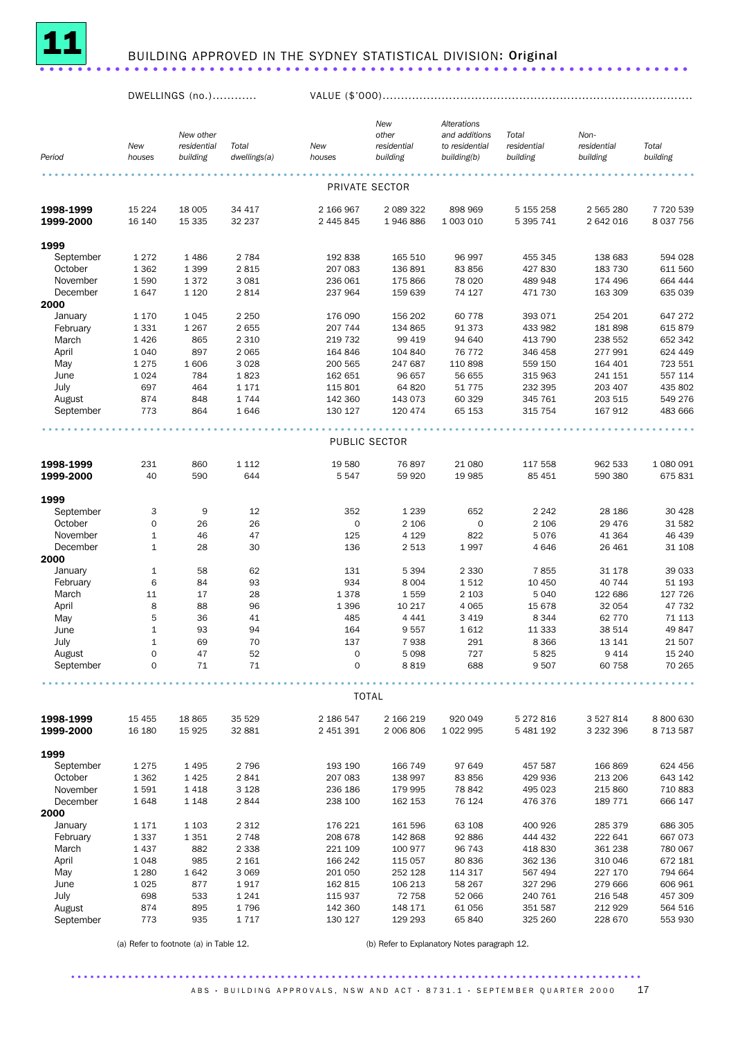

#### DWELLINGS (no.)............ VALUE (\$'000)....................................................................................

| Period                 | New<br>houses               | New other<br>residential<br>building | Total<br>dwellings(a) | New<br>houses          | New<br>other<br>residential<br>building | Alterations<br>and additions<br>to residential<br>building(b) | Total<br>residential<br>building | Non-<br>residential<br>building | Total<br>building        |
|------------------------|-----------------------------|--------------------------------------|-----------------------|------------------------|-----------------------------------------|---------------------------------------------------------------|----------------------------------|---------------------------------|--------------------------|
|                        |                             |                                      |                       |                        | PRIVATE SECTOR                          |                                                               |                                  |                                 |                          |
| 1998-1999<br>1999-2000 | 15 2 24<br>16 140           | 18 005<br>15 3 35                    | 34 417<br>32 237      | 2 166 967<br>2 445 845 | 2 089 322<br>1946886                    | 898 969<br>1 003 010                                          | 5 155 258<br>5 395 741           | 2 565 280<br>2 642 016          | 7720539<br>8 0 3 7 7 5 6 |
| 1999                   |                             |                                      |                       |                        |                                         |                                                               |                                  |                                 |                          |
| September              | 1 2 7 2                     | 1486                                 | 2 7 8 4               | 192 838                | 165 510                                 | 96 997                                                        | 455 345                          | 138 683                         | 594 028                  |
| October                | 1 3 6 2                     | 1 3 9 9                              | 2815                  | 207 083                | 136 891                                 | 83 856                                                        | 427 830                          | 183 730                         | 611 560                  |
| November               | 1590                        | 1372                                 | 3 0 8 1               | 236 061                | 175 866                                 | 78 0 20                                                       | 489 948                          | 174 496                         | 664 444                  |
| December               | 1647                        | 1 1 2 0                              | 2 8 1 4               | 237 964                | 159 639                                 | 74 127                                                        | 471 730                          | 163 309                         | 635 039                  |
| 2000<br>January        | 1 1 7 0                     | 1 0 4 5                              | 2 2 5 0               | 176 090                | 156 202                                 | 60 778                                                        | 393 071                          | 254 201                         | 647 272                  |
| February               | 1 3 3 1                     | 1 2 6 7                              | 2 6 5 5               | 207 744                | 134 865                                 | 91 373                                                        | 433 982                          | 181 898                         | 615 879                  |
| March                  | 1426                        | 865                                  | 2 3 1 0               | 219 732                | 99 419                                  | 94 640                                                        | 413 790                          | 238 552                         | 652 342                  |
| April                  | 1040                        | 897                                  | 2 0 6 5               | 164 846                | 104 840                                 | 76 772                                                        | 346 458                          | 277 991                         | 624 449                  |
| May                    | 1 2 7 5                     | 1 606                                | 3 0 28                | 200 565                | 247 687                                 | 110 898                                                       | 559 150                          | 164 401                         | 723 551                  |
| June                   | 1024                        | 784                                  | 1823                  | 162 651                | 96 657                                  | 56 655                                                        | 315 963                          | 241 151                         | 557 114                  |
| July                   | 697                         | 464                                  | 1 1 7 1               | 115 801                | 64 820                                  | 51 775                                                        | 232 395                          | 203 407                         | 435 802                  |
| August<br>September    | 874<br>773                  | 848<br>864                           | 1744<br>1646          | 142 360<br>130 127     | 143 073<br>120 474                      | 60 329<br>65 153                                              | 345 761<br>315 754               | 203 515<br>167 912              | 549 276<br>483 666       |
|                        |                             |                                      |                       |                        |                                         |                                                               |                                  |                                 |                          |
|                        |                             |                                      |                       |                        | PUBLIC SECTOR                           |                                                               |                                  |                                 |                          |
| 1998-1999<br>1999-2000 | 231<br>40                   | 860<br>590                           | 1 1 1 2<br>644        | 19 580<br>5 5 4 7      | 76897<br>59 920                         | 21 080<br>19 985                                              | 117 558<br>85 451                | 962 533<br>590 380              | 1 080 091<br>675 831     |
| 1999                   |                             |                                      |                       |                        |                                         |                                                               |                                  |                                 |                          |
| September              | 3                           | 9                                    | 12                    | 352                    | 1 2 3 9                                 | 652                                                           | 2 2 4 2                          | 28 186                          | 30 4 28                  |
| October                | $\mathbf 0$                 | 26                                   | 26                    | $\mathsf{O}\xspace$    | 2 106                                   | $\mathsf{O}\xspace$                                           | 2 1 0 6                          | 29 4 7 6                        | 31 582                   |
| November<br>December   | $\mathbf 1$<br>$\mathbf{1}$ | 46<br>28                             | 47<br>30              | 125<br>136             | 4 1 2 9<br>2 5 1 3                      | 822<br>1997                                                   | 5076<br>4646                     | 41 364<br>26 4 61               | 46 439<br>31 108         |
| 2000                   |                             |                                      |                       |                        |                                         |                                                               |                                  |                                 |                          |
| January                | $\mathbf{1}$                | 58                                   | 62                    | 131                    | 5 3 9 4                                 | 2 3 3 0                                                       | 7855                             | 31 178                          | 39 033                   |
| February               | 6                           | 84                                   | 93                    | 934                    | 8 0 0 4                                 | 1512                                                          | 10 450                           | 40 744                          | 51 193                   |
| March                  | 11                          | 17                                   | 28                    | 1378                   | 1559                                    | 2 1 0 3                                                       | 5 0 4 0                          | 122 686                         | 127 726                  |
| April                  | 8                           | 88                                   | 96                    | 1 3 9 6                | 10 217                                  | 4 0 6 5                                                       | 15 678                           | 32 054                          | 47 732                   |
| May                    | 5                           | 36                                   | 41                    | 485                    | 4 4 4 1                                 | 3 4 1 9                                                       | 8 3 4 4                          | 62 770                          | 71 113                   |
| June<br>July           | $\mathbf 1$<br>$\mathbf{1}$ | 93<br>69                             | 94<br>70              | 164<br>137             | 9557<br>7938                            | 1612<br>291                                                   | 11 3 3 3<br>8 3 6 6              | 38 514                          | 49 847                   |
| August                 | 0                           | 47                                   | 52                    | $\mathsf{O}\xspace$    | 5 0 9 8                                 | 727                                                           | 5825                             | 13 141<br>9 4 1 4               | 21 507<br>15 240         |
| September              | $\overline{0}$              | 71                                   | 71                    | $\mathbf 0$            | 8819                                    | 688                                                           | 9507                             | 60 758                          | 70 265                   |
|                        |                             |                                      |                       |                        |                                         |                                                               |                                  |                                 |                          |
|                        |                             |                                      |                       |                        | <b>TOTAL</b>                            |                                                               |                                  |                                 |                          |
| 1998-1999              | 15 4 55                     | 18 8 65                              | 35 529                | 2 186 547              | 2 166 219                               | 920 049                                                       | 5 272 816                        | 3 5 2 7 8 1 4                   | 8 800 630                |
| 1999-2000              | 16 180                      | 15925                                | 32 881                | 2 451 391              | 2 006 806                               | 1 0 2 9 9 9 5                                                 | 5 481 192                        | 3 2 3 2 3 9 6                   | 8 7 1 3 5 8 7            |
| 1999                   |                             |                                      |                       |                        |                                         |                                                               |                                  |                                 |                          |
| September              | 1 2 7 5                     | 1 4 9 5                              | 2 7 9 6               | 193 190                | 166 749                                 | 97 649                                                        | 457 587                          | 166 869                         | 624 456                  |
| October<br>November    | 1 3 6 2                     | 1425                                 | 2841                  | 207 083                | 138 997                                 | 83 856                                                        | 429 936                          | 213 206                         | 643 142                  |
| December               | 1591<br>1648                | 1418<br>1 1 4 8                      | 3 1 2 8<br>2844       | 236 186<br>238 100     | 179 995<br>162 153                      | 78 842<br>76 124                                              | 495 023<br>476 376               | 215 860<br>189 771              | 710 883<br>666 147       |
| 2000                   |                             |                                      |                       |                        |                                         |                                                               |                                  |                                 |                          |
| January                | 1 1 7 1                     | 1 1 0 3                              | 2 3 1 2               | 176 221                | 161 596                                 | 63 108                                                        | 400 926                          | 285 379                         | 686 305                  |
| February               | 1 3 3 7                     | 1 3 5 1                              | 2 7 4 8               | 208 678                | 142 868                                 | 92 886                                                        | 444 432                          | 222 641                         | 667 073                  |
| March                  | 1437                        | 882                                  | 2 3 3 8               | 221 109                | 100 977                                 | 96 743                                                        | 418 830                          | 361 238                         | 780 067                  |
| April                  | 1048                        | 985                                  | 2 1 6 1               | 166 242                | 115 057                                 | 80 836                                                        | 362 136                          | 310 046                         | 672 181                  |
| May                    | 1 2 8 0                     | 1642                                 | 3 0 6 9               | 201 050                | 252 128                                 | 114 317                                                       | 567 494                          | 227 170                         | 794 664                  |
| June                   | 1 0 2 5                     | 877                                  | 1917                  | 162 815                | 106 213                                 | 58 267                                                        | 327 296                          | 279 666                         | 606 961                  |
| July                   | 698                         | 533                                  | 1 2 4 1               | 115 937                | 72 758                                  | 52 066                                                        | 240 761                          | 216 548                         | 457 309                  |
| August<br>September    | 874<br>773                  | 895<br>935                           | 1796<br>1717          | 142 360<br>130 127     | 148 171<br>129 293                      | 61 056<br>65 840                                              | 351 587<br>325 260               | 212 929<br>228 670              | 564 516<br>553 930       |
|                        |                             |                                      |                       |                        |                                         |                                                               |                                  |                                 |                          |

(a) Refer to footnote (a) in Table 12. (b) Refer to Explanatory Notes paragraph 12.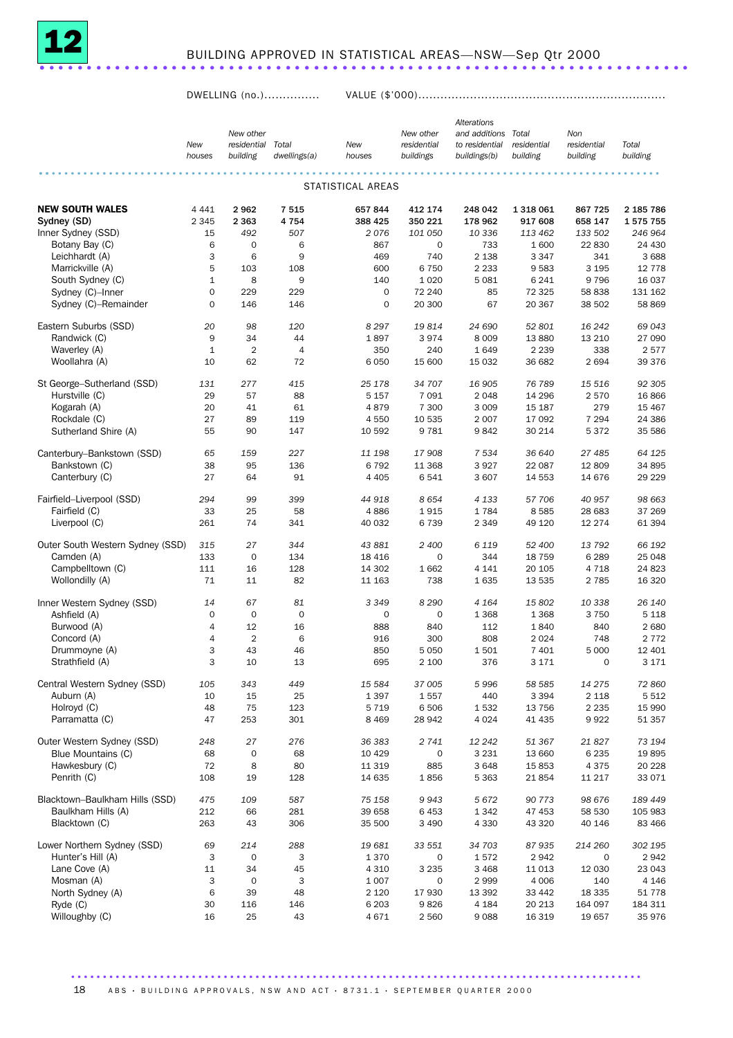

# BUILDING APPROVED IN STATISTICAL AREAS—NSW—Sep Qtr 2000

DWELLING (no.)............... VALUE (\$'000)...................................................................

|                                    | New<br>houses  | New other<br>residential Total<br>building | dwellings(a)   | New<br>houses       | New other<br>residential<br>buildings | Alterations<br>and additions Total<br>to residential<br>buildings(b) | residential<br>building | Non<br>residential<br>building | Total<br>building |
|------------------------------------|----------------|--------------------------------------------|----------------|---------------------|---------------------------------------|----------------------------------------------------------------------|-------------------------|--------------------------------|-------------------|
|                                    |                |                                            |                | STATISTICAL AREAS   |                                       |                                                                      |                         |                                |                   |
| <b>NEW SOUTH WALES</b>             | 4 4 4 1        | 2962                                       | 7 5 1 5        | 657 844             | 412 174                               | 248 042                                                              | 1 318 061               | 867 725                        | 2 185 786         |
| Sydney (SD)                        | 2 3 4 5        | 2 3 6 3                                    | 4 7 5 4        | 388 425             | 350 221                               | 178 962                                                              | 917 608                 | 658 147                        | 1575755           |
| Inner Sydney (SSD)                 | 15             | 492                                        | 507            | 2076                | 101 050                               | 10 336                                                               | 113 462                 | 133 502                        | 246 964           |
| Botany Bay (C)                     | 6              | $\mathbf 0$                                | 6              | 867                 | $\mathbf 0$                           | 733                                                                  | 1 600                   | 22 830                         | 24 430            |
| Leichhardt (A)<br>Marrickville (A) | 3<br>5         | 6<br>103                                   | 9<br>108       | 469<br>600          | 740<br>6 7 5 0                        | 2 1 3 8                                                              | 3 3 4 7                 | 341                            | 3688<br>12 7 7 8  |
| South Sydney (C)                   | $\mathbf{1}$   | 8                                          | 9              | 140                 | 1 0 2 0                               | 2 2 3 3<br>5 0 8 1                                                   | 9583<br>6 2 4 1         | 3 1 9 5<br>9 7 9 6             | 16 037            |
| Sydney (C)-Inner                   | $\mathbf 0$    | 229                                        | 229            | $\mathsf{O}\xspace$ | 72 240                                | 85                                                                   | 72 325                  | 58 838                         | 131 162           |
| Sydney (C)-Remainder               | $\mathbf 0$    | 146                                        | 146            | $\mathbf 0$         | 20 300                                | 67                                                                   | 20 367                  | 38 502                         | 58 869            |
| Eastern Suburbs (SSD)              | 20             | 98                                         | 120            | 8 2 9 7             | 19814                                 | 24 690                                                               | 52 801                  | 16 24 2                        | 69 043            |
| Randwick (C)                       | 9              | 34                                         | 44             | 1897                | 3974                                  | 8 0 0 9                                                              | 13 8 80                 | 13 2 10                        | 27 090            |
| Waverley (A)                       | $1\,$          | $\overline{2}$                             | $\overline{4}$ | 350                 | 240                                   | 1649                                                                 | 2 2 3 9                 | 338                            | 2577              |
| Woollahra (A)                      | 10             | 62                                         | 72             | 6 0 5 0             | 15 600                                | 15 0 32                                                              | 36 682                  | 2694                           | 39 376            |
| St George-Sutherland (SSD)         | 131            | 277                                        | 415            | 25 178              | 34 707                                | 16 905                                                               | 76 789                  | 15 516                         | 92 305            |
| Hurstville (C)                     | 29             | 57                                         | 88             | 5 1 5 7             | 7 0 9 1                               | 2 0 4 8                                                              | 14 296                  | 2570                           | 16866             |
| Kogarah (A)                        | 20             | 41                                         | 61             | 4879                | 7 300                                 | 3 0 0 9                                                              | 15 187                  | 279                            | 15 4 67           |
| Rockdale (C)                       | 27             | 89                                         | 119            | 4 5 5 0             | 10 535                                | 2 0 0 7                                                              | 17 092                  | 7 2 9 4                        | 24 386            |
| Sutherland Shire (A)               | 55             | 90                                         | 147            | 10 592              | 9 7 8 1                               | 9842                                                                 | 30 214                  | 5372                           | 35 586            |
| Canterbury-Bankstown (SSD)         | 65             | 159                                        | 227            | 11 198              | 17908                                 | 7 5 3 4                                                              | 36 640                  | 27 485                         | 64 125            |
| Bankstown (C)                      | 38<br>27       | 95<br>64                                   | 136<br>91      | 6792<br>4 4 0 5     | 11 368<br>6541                        | 3927<br>3 607                                                        | 22 087<br>14 553        | 12 809<br>14 676               | 34 895<br>29 229  |
| Canterbury (C)                     |                |                                            |                |                     |                                       |                                                                      |                         |                                |                   |
| Fairfield-Liverpool (SSD)          | 294            | 99                                         | 399            | 44 918              | 8654                                  | 4 1 3 3                                                              | 57 706                  | 40 957                         | 98 663            |
| Fairfield (C)                      | 33             | 25                                         | 58             | 4886                | 1915                                  | 1784                                                                 | 8585                    | 28 683                         | 37 269            |
| Liverpool (C)                      | 261            | 74                                         | 341            | 40 032              | 6 7 3 9                               | 2 3 4 9                                                              | 49 120                  | 12 2 7 4                       | 61 394            |
| Outer South Western Sydney (SSD)   | 315            | 27                                         | 344            | 43 881              | 2 400                                 | 6 1 1 9                                                              | 52 400                  | 13 792                         | 66 192            |
| Camden (A)                         | 133            | $\mathbf 0$                                | 134            | 18 4 16             | $\mathbf 0$                           | 344                                                                  | 18 7 5 9                | 6 2 8 9                        | 25 048            |
| Campbelltown (C)                   | 111            | 16                                         | 128            | 14 302              | 1662                                  | 4 1 4 1                                                              | 20 105                  | 4 7 1 8                        | 24 823            |
| Wollondilly (A)                    | 71             | 11                                         | 82             | 11 163              | 738                                   | 1635                                                                 | 13 5 35                 | 2 7 8 5                        | 16 3 20           |
| Inner Western Sydney (SSD)         | 14             | 67                                         | 81             | 3 3 4 9             | 8 2 9 0                               | 4 1 6 4                                                              | 15802                   | 10 338                         | 26 140            |
| Ashfield (A)                       | $\mathbf 0$    | $\mathbf 0$                                | $\mathbf 0$    | 0                   | $\mathbf 0$                           | 1 3 6 8                                                              | 1 3 6 8                 | 3 7 5 0                        | 5 1 1 8           |
| Burwood (A)                        | $\overline{4}$ | 12                                         | 16             | 888                 | 840                                   | 112                                                                  | 1840                    | 840                            | 2680              |
| Concord (A)                        | 4              | $\sqrt{2}$                                 | 6              | 916                 | 300                                   | 808                                                                  | 2024                    | 748                            | 2 7 7 2           |
| Drummoyne (A)<br>Strathfield (A)   | 3<br>3         | 43<br>10                                   | 46<br>13       | 850<br>695          | 5 0 5 0<br>2 100                      | 1501<br>376                                                          | 7 4 0 1<br>3 1 7 1      | 5 0 0 0<br>$\mathbf 0$         | 12 401<br>3 1 7 1 |
|                                    |                |                                            |                |                     |                                       |                                                                      |                         |                                |                   |
| Central Western Sydney (SSD)       | 105            | 343                                        | 449            | 15 5 84             | 37 005                                | 5996                                                                 | 58 585                  | 14 275                         | 72 860            |
| Auburn (A)                         | 10             | 15                                         | 25             | 1 3 9 7             | 1557                                  | 440                                                                  | 3 3 9 4                 | 2 1 1 8                        | 5 5 1 2           |
| Holroyd (C)<br>Parramatta (C)      | 48<br>47       | 75<br>253                                  | 123<br>301     | 5 7 1 9<br>8 4 6 9  | 6 50 6<br>28 942                      | 1532<br>4 0 2 4                                                      | 13 7 5 6<br>41 435      | 2 2 3 5<br>9922                | 15 990<br>51 357  |
|                                    |                |                                            |                |                     |                                       |                                                                      |                         |                                |                   |
| Outer Western Sydney (SSD)         | 248            | 27                                         | 276            | 36 383              | 2 7 4 1                               | 12 24 2                                                              | 51 367                  | 21 827                         | 73 194            |
| Blue Mountains (C)                 | 68             | $\mathsf O$                                | 68             | 10 4 29             | $\mathsf{O}\xspace$                   | 3 2 3 1                                                              | 13 660                  | 6 2 3 5                        | 19895             |
| Hawkesbury (C)                     | 72             | 8                                          | 80             | 11 319              | 885                                   | 3 6 4 8                                                              | 15853                   | 4375                           | 20 228            |
| Penrith (C)                        | 108            | 19                                         | 128            | 14 635              | 1856                                  | 5 3 6 3                                                              | 21854                   | 11 217                         | 33 0 71           |
| Blacktown-Baulkham Hills (SSD)     | 475            | 109                                        | 587            | 75 158              | 9943                                  | 5672                                                                 | 90 773                  | 98 676                         | 189 449           |
| Baulkham Hills (A)                 | 212            | 66                                         | 281            | 39 658              | 6 4 5 3                               | 1 3 4 2                                                              | 47 453                  | 58 530                         | 105 983           |
| Blacktown (C)                      | 263            | 43                                         | 306            | 35 500              | 3 4 9 0                               | 4 3 3 0                                                              | 43 320                  | 40 146                         | 83 466            |
| Lower Northern Sydney (SSD)        | 69             | 214                                        | 288            | 19 681              | 33 551                                | 34 703                                                               | 87935                   | 214 260                        | 302 195           |
| Hunter's Hill (A)                  | 3              | 0                                          | 3              | 1370                | $\mathsf{O}\xspace$                   | 1572                                                                 | 2942                    | $\mathsf{O}\xspace$            | 2942              |
| Lane Cove (A)                      | 11             | 34                                         | 45             | 4 3 1 0             | 3 2 3 5                               | 3 4 6 8                                                              | 11 0 13                 | 12 030                         | 23 043            |
| Mosman (A)                         | 3              | 0                                          | 3              | 1 0 0 7             | 0                                     | 2999                                                                 | 4 0 0 6                 | 140                            | 4 1 4 6           |
| North Sydney (A)<br>Ryde(C)        | 6<br>30        | 39<br>116                                  | 48<br>146      | 2 1 2 0<br>6 2 0 3  | 17 930<br>9826                        | 13 392<br>4 1 8 4                                                    | 33 442<br>20 213        | 18 3 35<br>164 097             | 51 778<br>184 311 |
| Willoughby (C)                     | 16             | 25                                         | 43             | 4671                | 2 5 6 0                               | 9088                                                                 | 16 319                  | 19 657                         | 35 976            |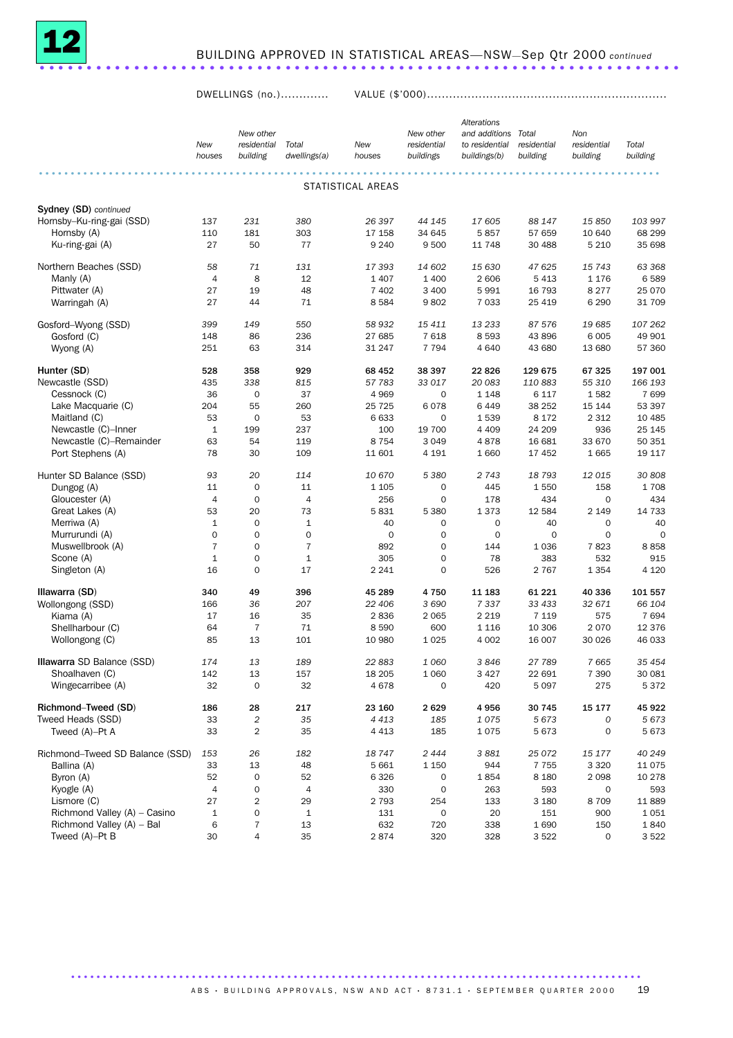

DWELLINGS (no.)............. VALUE (\$'000).................................................................

|                                    |                |                         |                |                   |                 | Alterations        |                   |                     |                   |
|------------------------------------|----------------|-------------------------|----------------|-------------------|-----------------|--------------------|-------------------|---------------------|-------------------|
|                                    |                | New other               |                |                   | New other       | and additions      | Total             | Non                 |                   |
|                                    | New            | residential             | Total          | New               | residential     | to residential     | residential       | residential         | Total             |
|                                    | houses         | building                | dwellings(a)   | houses            | buildings       | buildings(b)       | building          | building            | building          |
|                                    |                |                         |                |                   |                 |                    |                   |                     |                   |
|                                    |                |                         |                | STATISTICAL AREAS |                 |                    |                   |                     |                   |
| <b>Sydney (SD)</b> continued       |                |                         |                |                   |                 |                    |                   |                     |                   |
| Hornsby-Ku-ring-gai (SSD)          | 137            | 231                     | 380            | 26 397            | 44 145          | 17 605             | 88 147            | 15850               | 103 997           |
| Hornsby (A)                        | 110            | 181                     | 303            | 17 158            | 34 645          | 5857               | 57 659            | 10 640              | 68 299            |
| Ku-ring-gai (A)                    | 27             | 50                      | 77             | 9 2 4 0           | 9 500           | 11 748             | 30 488            | 5 2 1 0             | 35 698            |
| Northern Beaches (SSD)             | 58             | 71                      | 131            | 17 393            | 14 602          | 15 630             | 47 625            | 15 743              | 63 368            |
| Manly (A)                          | $\overline{4}$ | 8                       | 12             | 1 4 0 7           | 1 400           | 2 606              | 5 4 1 3           | 1 1 7 6             | 6589              |
| Pittwater (A)                      | 27             | 19                      | 48             | 7 4 0 2           | 3 4 0 0         | 5991               | 16 793            | 8 2 7 7             | 25 0 70           |
| Warringah (A)                      | 27             | 44                      | 71             | 8 5 8 4           | 9802            | 7 0 3 3            | 25 4 19           | 6 2 9 0             | 31 709            |
| Gosford-Wyong (SSD)                | 399            | 149                     | 550            | 58 932            | 15 411          | 13 233             | 87 576            | 19 685              | 107 262           |
| Gosford (C)                        | 148            | 86                      | 236            | 27 685            | 7618            | 8593               | 43 896            | 6 0 0 5             | 49 901            |
| Wyong (A)                          | 251            | 63                      | 314            | 31 247            | 7 7 9 4         | 4 6 4 0            | 43 680            | 13 680              | 57 360            |
| Hunter (SD)                        | 528            | 358                     | 929            | 68 452            | 38 397          | 22 8 26            | 129 675           | 67 325              | 197 001           |
| Newcastle (SSD)                    | 435            | 338                     | 815            | 57 783            | 33 017          | 20 083             | 110883            | 55 310              | 166 193           |
| Cessnock (C)                       | 36             | $\mathbf 0$             | 37             | 4 9 6 9           | 0               | 1 1 4 8            | 6 1 1 7           | 1582                | 7699              |
| Lake Macquarie (C)                 | 204            | 55                      | 260            | 25 7 25           | 6078            | 6449               | 38 25 2           | 15 144              | 53 397            |
| Maitland (C)                       | 53             | $\mathbf 0$             | 53             | 6 6 3 3           | 0               | 1539               | 8 1 7 2           | 2 3 1 2             | 10 4 85           |
| Newcastle (C)-Inner                | $\mathbf{1}$   | 199                     | 237            | 100               | 19 700          | 4 4 0 9            | 24 209            | 936                 | 25 145            |
| Newcastle (C)-Remainder            | 63             | 54                      | 119            | 8 7 5 4           | 3 0 4 9         | 4878               | 16 681            | 33 670              | 50 351            |
| Port Stephens (A)                  | 78             | 30                      | 109            | 11 601            | 4 1 9 1         | 1660               | 17 452            | 1665                | 19 117            |
| Hunter SD Balance (SSD)            | 93             | 20                      | 114            | 10 670            | 5 3 8 0         | 2 7 4 3            | 18 793            | 12 015              | 30 808            |
| Dungog (A)                         | 11             | $\mathsf{O}\xspace$     | 11             | 1 1 0 5           | 0               | 445                | 1 5 5 0           | 158                 | 1708              |
| Gloucester (A)                     | $\overline{4}$ | $\mathbf 0$             | $\overline{4}$ | 256               | $\mathbf 0$     | 178                | 434               | $\mathbf 0$         | 434               |
| Great Lakes (A)                    | 53             | 20                      | 73             | 5831              | 5 3 8 0         | 1373               | 12 5 84           | 2 1 4 9             | 14 733            |
| Merriwa (A)                        | $\mathbf{1}$   | $\mathbf 0$             | $\mathbf{1}$   | 40                | 0               | $\mathbf 0$        | 40                | $\mathbf 0$         | 40                |
| Murrurundi (A)                     | $\mathbf 0$    | $\mathbf 0$             | $\mathbf 0$    | $\mathbf 0$       | 0               | $\mathbf 0$        | 0                 | $\mathbf 0$         | $\circ$           |
| Muswellbrook (A)                   | $\overline{7}$ | $\mathbf 0$             | $\overline{7}$ | 892               | 0               | 144                | 1036              | 7823                | 8858              |
| Scone (A)                          | $\mathbf{1}$   | $\mathbf 0$             | $\mathbf{1}$   | 305               | $\mathbf 0$     | 78                 | 383               | 532                 | 915               |
| Singleton (A)                      | 16             | $\mathbf 0$             | 17             | 2 2 4 1           | 0               | 526                | 2 7 6 7           | 1 3 5 4             | 4 1 2 0           |
|                                    |                |                         |                |                   |                 |                    |                   |                     |                   |
| Illawarra (SD)<br>Wollongong (SSD) | 340<br>166     | 49<br>36                | 396<br>207     | 45 289<br>22 406  | 4750<br>3 6 9 0 | 11 183<br>7337     | 61 221<br>33 433  | 40 336<br>32 671    | 101 557<br>66 104 |
| Kiama (A)                          | 17             | 16                      | 35             | 2836              | 2 0 6 5         | 2 2 1 9            | 7 1 1 9           | 575                 | 7694              |
| Shellharbour (C)                   |                |                         | 71             |                   |                 |                    |                   | 2070                | 12 376            |
| Wollongong (C)                     | 64<br>85       | 7<br>13                 | 101            | 8 5 9 0<br>10 980 | 600<br>1 0 25   | 1 1 1 6<br>4 0 0 2 | 10 30 6<br>16 007 | 30 0 26             | 46 033            |
|                                    |                |                         |                |                   |                 |                    |                   |                     |                   |
| Illawarra SD Balance (SSD)         | 174            | 13                      | 189            | 22 883            | 1 0 6 0         | 3846               | 27 789            | 7665                | 35 454            |
| Shoalhaven (C)                     | 142            | 13                      | 157            | 18 205            | 1 0 6 0         | 3 4 2 7            | 22 691            | 7 3 9 0             | 30 081            |
| Wingecarribee (A)                  | 32             | $\mathsf{O}\xspace$     | 32             | 4678              | 0               | 420                | 5 0 9 7           | 275                 | 5372              |
| Richmond-Tweed (SD)                | 186            | 28                      | 217            | 23 160            | 2629            | 4956               | 30 745            | 15 177              | 45 922            |
| Tweed Heads (SSD)                  | 33             | $\overline{\mathbf{c}}$ | 35             | 4 4 1 3           | 185             | 1075               | 5673              | 0                   | 5 673             |
| Tweed (A)-Pt A                     | 33             | $\overline{c}$          | 35             | 4 4 1 3           | 185             | 1075               | 5673              | 0                   | 5 673             |
| Richmond-Tweed SD Balance (SSD)    | 153            | 26                      | 182            | 18747             | 2444            | 3881               | 25 0 72           | 15 177              | 40 249            |
| Ballina (A)                        | 33             | 13                      | 48             | 5 6 6 1           | 1 1 5 0         | 944                | 7 7 5 5           | 3 3 2 0             | 11 0 75           |
| Byron (A)                          | 52             | $\mathsf{O}\xspace$     | 52             | 6 3 2 6           | 0               | 1854               | 8 1 8 0           | 2 0 9 8             | 10 278            |
| Kyogle (A)                         | 4              | 0                       | 4              | 330               | 0               | 263                | 593               | 0                   | 593               |
| Lismore (C)                        | 27             | $\overline{2}$          | 29             | 2 7 9 3           | 254             | 133                | 3 1 8 0           | 8 7 0 9             | 11889             |
| Richmond Valley (A) - Casino       | $\mathbf{1}$   | 0                       | $\mathbf{1}$   | 131               | 0               | 20                 | 151               | 900                 | 1051              |
| Richmond Valley (A) - Bal          | 6              | $\overline{7}$          | 13             | 632               | 720             | 338                | 1690              | 150                 | 1840              |
| Tweed (A)-Pt B                     | $30\,$         | $\sqrt{4}$              | 35             | 2874              | 320             | 328                | 3 5 2 2           | $\mathsf{O}\xspace$ | 3 5 2 2           |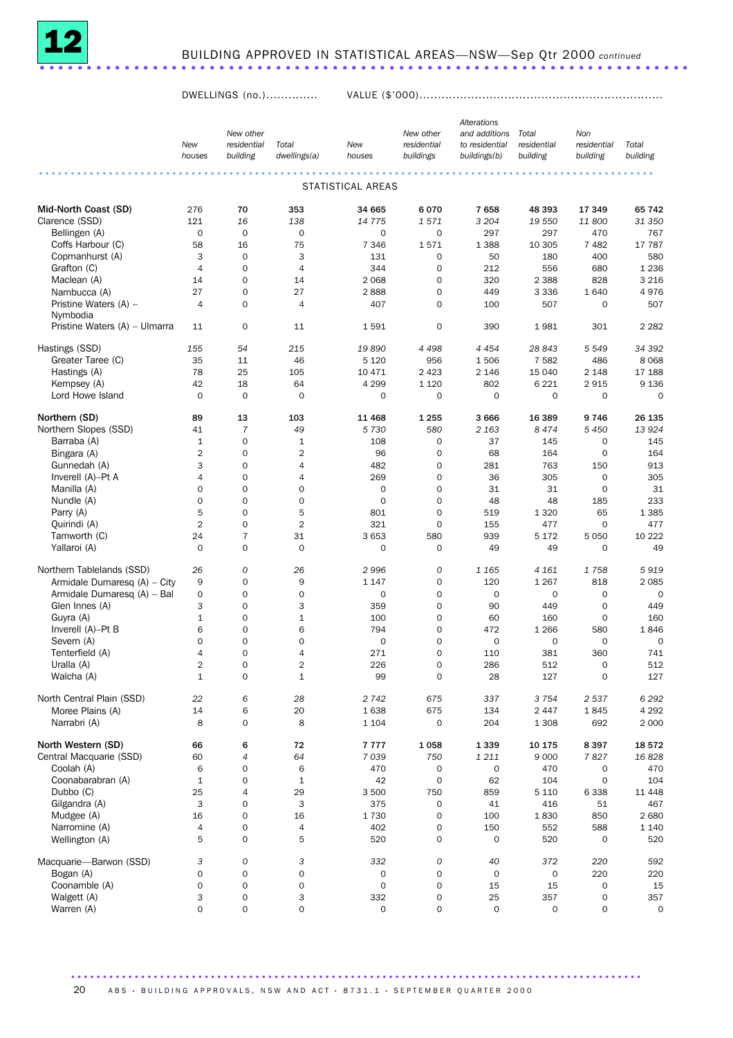

#### BUILDING APPROVED IN STATISTICAL AREAS—NSW—Sep Qtr 2000 *continued* ..................................................................... .

## DWELLINGS (no.).............. VALUE (\$'000)..................................................................

|                               |                |                          |                |                     |                                       | Alterations                     |                      |                    |                     |
|-------------------------------|----------------|--------------------------|----------------|---------------------|---------------------------------------|---------------------------------|----------------------|--------------------|---------------------|
|                               | New            | New other<br>residential | Total          | New                 | New other<br>residential<br>buildings | and additions<br>to residential | Total<br>residential | Non<br>residential | Total               |
|                               | houses         | building                 | dwellings(a)   | houses              |                                       | buildings(b)                    | building             | building           | building            |
|                               |                |                          |                | STATISTICAL AREAS   |                                       |                                 |                      |                    |                     |
| Mid-North Coast (SD)          | 276            | 70                       | 353            | 34 665              | 6070                                  | 7658                            | 48 393               | 17 349             | 65 742              |
| Clarence (SSD)                | 121            | 16                       | 138            | 14 775              | 1571                                  | 3 2 0 4                         | 19 550               | 11800              | 31 350              |
| Bellingen (A)                 | $\mathbf 0$    | $\mathbf 0$              | $\mathbf 0$    | 0                   | $\mathbf 0$                           | 297                             | 297                  | 470                | 767                 |
| Coffs Harbour (C)             | 58             | 16                       | 75             | 7 3 4 6             | 1571                                  | 1 3 8 8                         | 10 30 5              | 7482               | 17 787              |
| Copmanhurst (A)               | 3              | $\mathbf 0$              | 3              | 131                 | $\mathbf 0$                           | 50                              | 180                  | 400                | 580                 |
| Grafton (C)                   | $\overline{4}$ | $\mathbf 0$              | $\overline{4}$ | 344                 | $\mathbf 0$                           | 212                             | 556                  | 680                | 1 2 3 6             |
| Maclean (A)                   | 14             | $\mathbf 0$              | 14             | 2 0 6 8             | $\mathbf 0$                           | 320                             | 2 3 8 8              | 828                | 3 2 1 6             |
| Nambucca (A)                  | 27             | $\mathbf 0$              | 27             | 2888                | $\mathbf 0$                           | 449                             | 3 3 3 6              | 1640               | 4976                |
| Pristine Waters (A) -         | $\overline{4}$ | $\mathbf 0$              | $\overline{4}$ | 407                 | $\mathbf 0$                           | 100                             | 507                  | $\mathbf 0$        | 507                 |
| Nymbodia                      |                |                          |                |                     |                                       |                                 |                      |                    |                     |
| Pristine Waters (A) - Ulmarra | 11             | 0                        | 11             | 1591                | 0                                     | 390                             | 1981                 | 301                | 2 2 8 2             |
| Hastings (SSD)                | 155            | 54                       | 215            | 19890               | 4 4 9 8                               | 4 4 5 4                         | 28 843               | 5 5 4 9            | 34 392              |
| Greater Taree (C)             | 35             | 11                       | 46             | 5 1 2 0             | 956                                   | 1506                            | 7582                 | 486                | 8 0 6 8             |
| Hastings (A)                  | 78             | 25                       | 105            | 10 471              | 2 4 2 3                               | 2 1 4 6                         | 15 040               | 2 1 4 8            | 17 188              |
| Kempsey (A)                   | 42             | 18                       | 64             | 4 2 9 9             | 1 1 2 0                               | 802                             | 6 2 2 1              | 2915               | 9 1 3 6             |
| Lord Howe Island              | 0              | $\mathbf 0$              | $\mathbf 0$    | 0                   | $\mathbf 0$                           | $\mathbf 0$                     | 0                    | $\mathbf 0$        | $\mathbf 0$         |
| Northern (SD)                 | 89             | 13                       | 103            | 11 468              | 1 2 5 5                               | 3666                            | 16 389               | 9746               | 26 135              |
| Northern Slopes (SSD)         | 41             | $\overline{7}$           | 49             | 5 7 3 0             | 580                                   | 2 1 6 3                         | 8474                 | 5 4 5 0            | 13 9 24             |
| Barraba (A)                   | $\mathbf{1}$   | $\mathbf 0$              | $1\,$          | 108                 | $\mathbf 0$                           | 37                              | 145                  | 0                  | 145                 |
| Bingara (A)                   | $\overline{2}$ | $\mathbf 0$              | $\overline{2}$ | 96                  | $\mathbf 0$                           | 68                              | 164                  | $\mathbf 0$        | 164                 |
| Gunnedah (A)                  | 3              | $\mathbf 0$              | 4              | 482                 | $\mathbf 0$                           | 281                             | 763                  | 150                | 913                 |
| Inverell (A)-Pt A             | 4              | $\mathbf 0$              | 4              | 269                 | $\mathbf 0$                           | 36                              | 305                  | $\mathbf 0$        | 305                 |
| Manilla (A)                   | $\mathbf 0$    | $\mathbf 0$              | $\mathbf 0$    | $\mathsf{O}\xspace$ | $\mathbf 0$                           | 31                              | 31                   | $\mathbf 0$        | 31                  |
| Nundle (A)                    | $\mathbf 0$    | $\mathbf 0$              | $\mathbf 0$    | $\mathbf 0$         | $\mathbf 0$                           | 48                              | 48                   | 185                | 233                 |
| Parry (A)                     | 5              | $\mathbf 0$              | 5              | 801                 | $\mathbf 0$                           | 519                             | 1 3 2 0              | 65                 | 1 3 8 5             |
| Quirindi (A)                  | $\overline{2}$ | $\mathbf 0$              | $\overline{2}$ | 321                 | $\mathbf 0$                           | 155                             | 477                  | $\mathbf 0$        | 477                 |
| Tamworth (C)                  | 24             | $\overline{7}$           | 31             | 3 6 5 3             | 580                                   | 939                             | 5 1 7 2              | 5 0 5 0            | 10 222              |
| Yallaroi (A)                  | $\mathbf 0$    | $\mathbf 0$              | $\mathbf 0$    | $\mathbf 0$         | $\mathbf 0$                           | 49                              | 49                   | $\mathbf 0$        | 49                  |
| Northern Tablelands (SSD)     | 26             | 0                        | 26             | 2996                | 0                                     | 1 1 65                          | 4 1 6 1              | 1758               | 5 919               |
| Armidale Dumaresq (A) - City  | 9              | $\mathbf 0$              | 9              | 1 1 4 7             | $\mathbf 0$                           | 120                             | 1 2 6 7              | 818                | 2 0 8 5             |
| Armidale Dumaresq (A) - Bal   | $\mathbf 0$    | $\mathbf 0$              | 0              | $\mathbf 0$         | $\mathbf 0$                           | $\mathbf 0$                     | $\mathbf 0$          | $\mathbf 0$        | $\circ$             |
| Glen Innes (A)                | 3              | $\mathbf 0$              | 3              | 359                 | $\mathbf 0$                           | 90                              | 449                  | $\mathbf 0$        | 449                 |
| Guyra (A)                     | $1\,$          | $\mathbf 0$              | $1\,$          | 100                 | $\mathbf 0$                           | 60                              | 160                  | $\mathbf 0$        | 160                 |
| Inverell (A)-Pt B             | 6              | $\mathbf 0$              | 6              | 794                 | 0                                     | 472                             | 1 2 6 6              | 580                | 1846                |
| Severn (A)                    | $\mathbf 0$    | $\mathbf 0$              | $\mathbf 0$    | $\mathbf 0$         | $\mathbf 0$                           | 0                               | 0                    | 0                  | 0                   |
| Tenterfield (A)               | 4              | $\mathbf 0$              | 4              | 271                 | $\mathbf 0$                           | 110                             | 381                  | 360                | 741                 |
| Uralla (A)                    | $\overline{2}$ | 0                        | $\overline{2}$ | 226                 | 0                                     | 286                             | 512                  | 0                  | 512                 |
| Walcha (A)                    | $1\,$          | $\mathbf 0$              | $\mathbf 1$    | 99                  | $\mathbf 0$                           | 28                              | 127                  | 0                  | 127                 |
| North Central Plain (SSD)     | 22             | 6                        | 28             | 2 742               | 675                                   | 337                             | 3 7 5 4              | 2 5 3 7            | 6 2 9 2             |
| Moree Plains (A)              | 14             | 6                        | 20             | 1638                | 675                                   | 134                             | 2447                 | 1845               | 4 292               |
| Narrabri (A)                  | 8              | 0                        | 8              | 1 1 0 4             | $\mathbf 0$                           | 204                             | 1 3 0 8              | 692                | 2 0 0 0             |
| North Western (SD)            | 66             | 6                        | 72             | 7777                | 1058                                  | 1 3 3 9                         | 10 175               | 8397               | 18572               |
| Central Macquarie (SSD)       | 60             | 4                        | 64             | 7 0 3 9             | 750                                   | 1211                            | 9 0 0 0              | 7827               | 16828               |
| Coolah (A)                    | 6              | 0                        | 6              | 470                 | 0                                     | $\mathsf{O}\xspace$             | 470                  | 0                  | 470                 |
| Coonabarabran (A)             | $\mathbf{1}$   | 0                        | $\mathbf 1$    | 42                  | 0                                     | 62                              | 104                  | 0                  | 104                 |
| Dubbo (C)                     | 25             | 4                        | 29             | 3 500               | 750                                   | 859                             | 5 1 1 0              | 6338               | 11 448              |
| Gilgandra (A)                 | 3              | 0                        | 3              | 375                 | 0                                     | 41                              | 416                  | 51                 | 467                 |
| Mudgee (A)                    | 16             | 0                        | 16             | 1730                | 0                                     | 100                             | 1830                 | 850                | 2 680               |
| Narromine (A)                 | 4              | 0                        | 4              | 402                 | 0                                     | 150                             | 552                  | 588                | 1 1 4 0             |
| Wellington (A)                | 5              | $\mathbf 0$              | 5              | 520                 | 0                                     | $\mathbf 0$                     | 520                  | 0                  | 520                 |
| Macquarie-Barwon (SSD)        | 3              | 0                        | 3              | 332                 | 0                                     | 40                              | 372                  | 220                | 592                 |
| Bogan (A)                     | $\mathbf 0$    | $\mathbf 0$              | 0              | 0                   | $\mathbf 0$                           | 0                               | 0                    | 220                | 220                 |
| Coonamble (A)                 | 0              | $\mathbf 0$              | 0              | 0                   | 0                                     | 15                              | 15                   | 0                  | 15                  |
| Walgett (A)                   | 3              | 0                        | 3              | 332                 | $\mathsf{O}\xspace$                   | 25                              | 357                  | 0                  | 357                 |
| Warren (A)                    | $\mathbf 0$    | $\mathbf 0$              | 0              | 0                   | 0                                     | 0                               | 0                    | 0                  | $\mathsf{O}\xspace$ |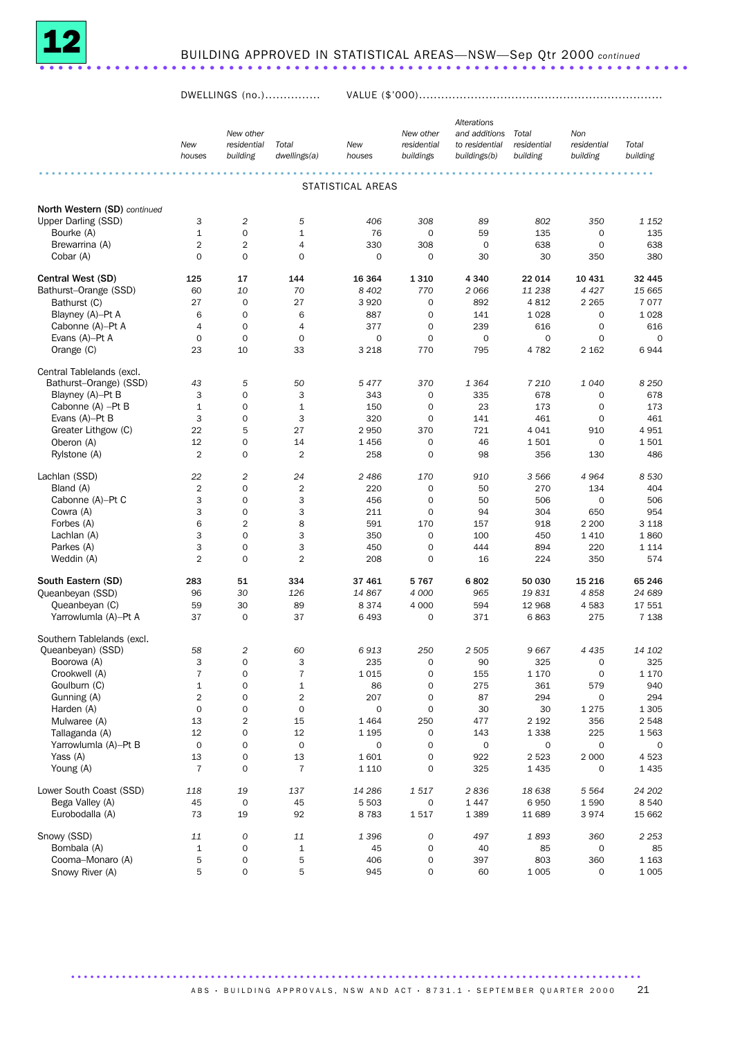

#### BUILDING APPROVED IN STATISTICAL AREAS—NSW—Sep Qtr 2000 *continued* ..................................................................... .

DWELLINGS (no.)............... VALUE (\$'000)..................................................................

|                              |                     |                     |                         |                     |             | Alterations         |                     |              |             |
|------------------------------|---------------------|---------------------|-------------------------|---------------------|-------------|---------------------|---------------------|--------------|-------------|
|                              |                     | New other           |                         |                     | New other   | and additions       | Total               | Non          |             |
|                              | New                 | residential         | Total                   | New                 | residential | to residential      | residential         | residential  | Total       |
|                              | houses              | building            | dwellings(a)            | houses              | buildings   | buildings(b)        | building            | building     | building    |
|                              |                     |                     |                         |                     |             |                     |                     |              |             |
|                              |                     |                     |                         | STATISTICAL AREAS   |             |                     |                     |              |             |
|                              |                     |                     |                         |                     |             |                     |                     |              |             |
| North Western (SD) continued |                     |                     |                         |                     |             |                     |                     |              |             |
| Upper Darling (SSD)          | 3                   | $\overline{c}$      | 5                       | 406                 | 308         | 89                  | 802                 | 350          | 1 1 5 2     |
| Bourke (A)                   | $\mathbf{1}$        | 0                   | $\mathbf{1}$            | 76                  | $\mathbf 0$ | 59                  | 135                 | 0            | 135         |
| Brewarrina (A)               | $\overline{2}$      | $\overline{2}$      | 4                       | 330                 | 308         | $\mathbf 0$         | 638                 | $\mathbf 0$  | 638         |
| Cobar (A)                    | $\mathbf 0$         | $\mathbf 0$         | $\mathbf 0$             | $\mathbf 0$         | 0           | 30                  | 30                  | 350          | 380         |
| Central West (SD)            | 125                 | 17                  | 144                     | 16 364              | 1 3 1 0     | 4 3 4 0             | 22 014              | 10 431       | 32 445      |
| Bathurst-Orange (SSD)        | 60                  | 10                  | 70                      | 8 4 0 2             | 770         | 2066                | 11 238              | 4 4 2 7      | 15 665      |
| Bathurst (C)                 | 27                  | $\mathbf 0$         | 27                      | 3920                | 0           | 892                 | 4812                | 2 2 6 5      | 7077        |
| Blayney (A)-Pt A             | 6                   | $\mathbf 0$         | 6                       | 887                 | 0           | 141                 | 1028                | 0            | 1028        |
| Cabonne (A)-Pt A             | $\overline{4}$      | $\mathbf 0$         | $\overline{4}$          | 377                 | 0           | 239                 | 616                 | $\mathsf{O}$ | 616         |
| Evans (A)-Pt A               | $\mathbf 0$         | $\mathbf 0$         | 0                       | $\mathbf 0$         | 0           | 0                   | 0                   | 0            | $\mathbf 0$ |
| Orange (C)                   | 23                  | 10                  | 33                      | 3 2 1 8             | 770         | 795                 | 4 7 8 2             | 2 1 6 2      | 6944        |
|                              |                     |                     |                         |                     |             |                     |                     |              |             |
| Central Tablelands (excl.    |                     |                     |                         |                     |             |                     |                     | 1040         |             |
| Bathurst-Orange) (SSD)       | 43                  | 5                   | 50                      | 5477                | 370         | 1 3 6 4             | 7 2 1 0             |              | 8 2 5 0     |
| Blayney (A)-Pt B             | 3                   | 0                   | 3                       | 343                 | 0           | 335                 | 678                 | 0            | 678         |
| Cabonne (A) -Pt B            | $\mathbf 1$         | $\mathbf 0$         | $1\,$                   | 150                 | $\mathbf 0$ | 23                  | 173                 | $\mathbf 0$  | 173         |
| Evans (A)-Pt B               | 3                   | $\mathbf 0$         | 3                       | 320                 | $\mathbf 0$ | 141                 | 461                 | $\mathbf 0$  | 461         |
| Greater Lithgow (C)          | 22                  | 5                   | 27                      | 2950                | 370         | 721                 | 4 0 4 1             | 910          | 4951        |
| Oberon (A)                   | 12                  | $\mathbf 0$         | 14                      | 1456                | 0           | 46                  | 1501                | 0            | 1501        |
| Rylstone (A)                 | $\overline{2}$      | 0                   | $\overline{2}$          | 258                 | 0           | 98                  | 356                 | 130          | 486         |
| Lachlan (SSD)                | 22                  | $\overline{c}$      | 24                      | 2486                | 170         | 910                 | 3 5 6 6             | 4 9 6 4      | 8 5 3 0     |
| Bland (A)                    | $\overline{2}$      | $\mathbf 0$         | $\overline{2}$          | 220                 | $\mathbf 0$ | 50                  | 270                 | 134          | 404         |
| Cabonne (A)-Pt C             | 3                   | $\mathbf 0$         | 3                       | 456                 | $\mathbf 0$ | 50                  | 506                 | $\mathbf 0$  | 506         |
| Cowra (A)                    | 3                   | $\mathbf 0$         | 3                       | 211                 | $\mathbf 0$ | 94                  | 304                 | 650          | 954         |
| Forbes (A)                   | 6                   | $\overline{2}$      | 8                       | 591                 | 170         | 157                 | 918                 | 2 2 0 0      | 3 1 1 8     |
|                              | 3                   |                     |                         |                     |             |                     |                     |              |             |
| Lachlan (A)                  |                     | 0                   | 3                       | 350                 | 0           | 100                 | 450                 | 1 4 1 0      | 1860        |
| Parkes (A)                   | 3                   | $\mathbf 0$         | 3                       | 450                 | $\mathbf 0$ | 444                 | 894                 | 220          | 1 1 1 4     |
| Weddin (A)                   | $\overline{2}$      | $\mathbf 0$         | $\overline{2}$          | 208                 | $\mathbf 0$ | 16                  | 224                 | 350          | 574         |
| South Eastern (SD)           | 283                 | 51                  | 334                     | 37 461              | 5767        | 6802                | 50 030              | 15 216       | 65 246      |
| Queanbeyan (SSD)             | 96                  | 30                  | 126                     | 14 867              | 4 0 0 0     | 965                 | 19831               | 4858         | 24 689      |
| Queanbeyan (C)               | 59                  | 30                  | 89                      | 8374                | 4 0 0 0     | 594                 | 12 968              | 4583         | 17 551      |
| Yarrowlumla (A)-Pt A         | 37                  | $\mathbf 0$         | 37                      | 6 4 9 3             | 0           | 371                 | 6863                | 275          | 7 1 38      |
|                              |                     |                     |                         |                     |             |                     |                     |              |             |
| Southern Tablelands (excl.   |                     |                     |                         |                     |             |                     |                     |              |             |
| Queanbeyan) (SSD)            | 58                  | $\overline{2}$      | 60                      | 6913                | 250         | 2 5 0 5             | 9667                | 4 4 3 5      | 14 102      |
| Boorowa (A)                  | 3                   | $\mathbf 0$         | 3                       | 235                 | 0           | 90                  | 325                 | 0            | 325         |
| Crookwell (A)                | $\overline{7}$      | 0                   | $\overline{7}$          | 1015                | 0           | 155                 | 1 1 7 0             | 0            | 1 1 7 0     |
| Goulburn (C)                 | $\mathbf 1$         | $\mathbf 0$         | $\mathbf{1}$            | 86                  | $\mathbf 0$ | 275                 | 361                 | 579          | 940         |
| Gunning (A)                  | $\overline{2}$      | $\mathsf{O}\xspace$ | $\overline{\mathbf{c}}$ | 207                 | 0           | 87                  | 294                 | 0            | 294         |
| Harden (A)                   | $\mathbf 0$         | $\mathsf{O}\xspace$ | 0                       | 0                   | 0           | 30                  | 30                  | 1 2 7 5      | 1 3 0 5     |
| Mulwaree (A)                 | 13                  | $\overline{2}$      | 15                      | 1 4 6 4             | 250         | 477                 | 2 1 9 2             | 356          | 2 5 4 8     |
| Tallaganda (A)               | 12                  | $\mathsf{O}\xspace$ | 12                      | 1 1 9 5             | 0           | 143                 | 1 3 3 8             | 225          | 1563        |
| Yarrowlumla (A)-Pt B         | $\mathsf{O}\xspace$ | $\mathbf 0$         | $\mathbf 0$             | $\mathsf{O}\xspace$ | 0           | $\mathsf{O}\xspace$ | $\mathsf{O}\xspace$ | 0            | 0           |
| Yass (A)                     | 13                  | $\mathsf{O}\xspace$ | 13                      | 1601                | 0           | 922                 | 2 5 2 3             | 2 0 0 0      | 4 5 23      |
| Young (A)                    | $\overline{7}$      | $\mathbf 0$         | $\overline{7}$          | 1 1 1 0             | 0           | 325                 | 1 4 3 5             | 0            | 1 4 3 5     |
| Lower South Coast (SSD)      | 118                 | 19                  | 137                     | 14 286              | 1517        | 2836                | 18 638              | 5 5 6 4      | 24 202      |
| Bega Valley (A)              | 45                  | $\mathsf O$         | 45                      | 5 5 0 3             | 0           | 1447                | 6950                | 1590         | 8 5 4 0     |
| Eurobodalla (A)              | 73                  | 19                  | 92                      | 8783                | 1517        | 1389                | 11 689              | 3974         | 15 662      |
|                              |                     |                     |                         |                     |             |                     |                     |              |             |
| Snowy (SSD)                  | 11                  | 0                   | 11                      | 1 3 9 6             | 0           | 497                 | 1893                | 360          | 2 253       |
| Bombala (A)                  | $\mathbf 1$         | $\mathbf 0$         | $\mathbf 1$             | 45                  | 0           | 40                  | 85                  | 0            | 85          |
| Cooma-Monaro (A)             | 5                   | 0                   | 5                       | 406                 | 0           | 397                 | 803                 | 360          | 1 1 6 3     |
| Snowy River (A)              | 5                   | 0                   | 5                       | 945                 | 0           | 60                  | 1 0 0 5             | 0            | 1 0 0 5     |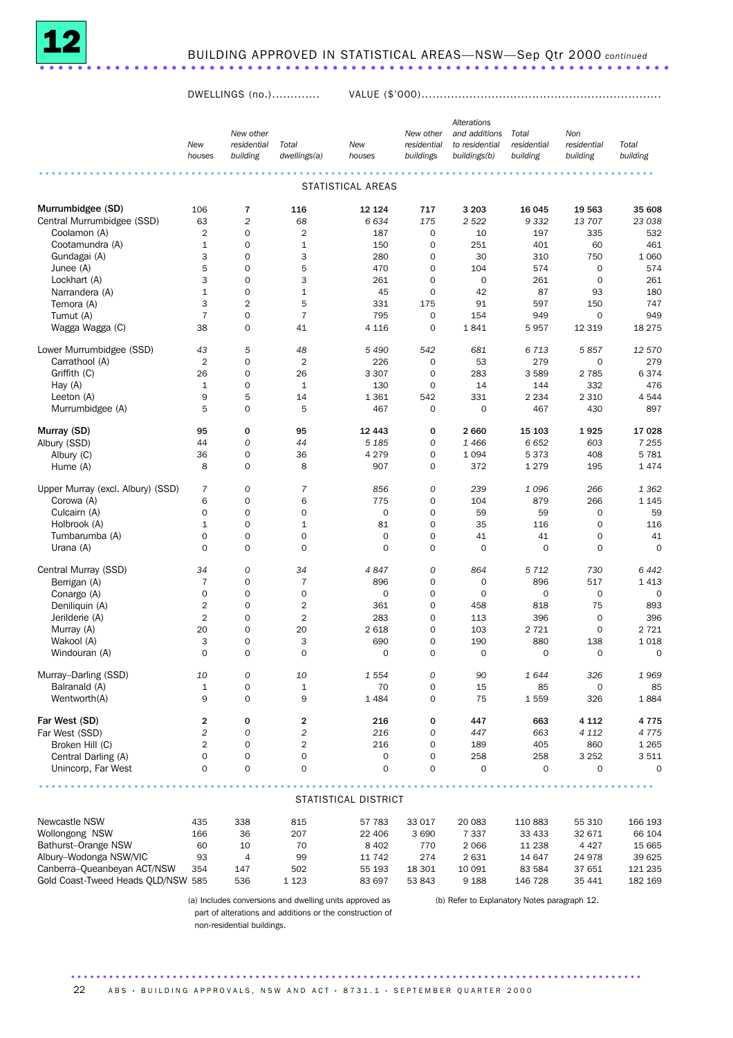

## 12 BUILDING APPROVED IN STATISTICAL AREAS—NSW—Sep Qtr 2000 *continued* ...................................................................

### DWELLINGS (no.)............. VALUE (\$'000).................................................................

|                                    |                         |                         |                     | Alterations          |                     |                |             |             |             |
|------------------------------------|-------------------------|-------------------------|---------------------|----------------------|---------------------|----------------|-------------|-------------|-------------|
|                                    |                         | New other               |                     |                      | New other           | and additions  | Total       | Non         |             |
|                                    | New                     | residential             | Total               | New                  | residential         | to residential | residential | residential | Total       |
|                                    | houses                  | building                | dwellings(a)        | houses               | buildings           | buildings(b)   | building    | building    | building    |
|                                    |                         |                         |                     |                      |                     |                |             |             |             |
|                                    |                         |                         |                     | STATISTICAL AREAS    |                     |                |             |             |             |
|                                    |                         |                         |                     |                      |                     |                |             |             |             |
| Murrumbidgee (SD)                  | 106                     | $\overline{\mathbf{r}}$ | 116                 | 12 1 24              | 717                 | 3 2 0 3        | 16 045      | 19 563      | 35 608      |
| Central Murrumbidgee (SSD)         | 63                      | $\sqrt{2}$              | 68                  | 6634                 | 175                 | 2 5 22         | 9332        | 13 707      | 23 038      |
| Coolamon (A)                       | $\overline{2}$          | $\mathbf 0$             | $\overline{2}$      | 187                  | 0                   | 10             | 197         | 335         | 532         |
| Cootamundra (A)                    | $\mathbf{1}$            | $\mathbf 0$             | $1\,$               | 150                  | $\mathbf 0$         | 251            | 401         | 60          | 461         |
| Gundagai (A)                       | 3                       | $\mathbf 0$             | 3                   | 280                  | $\mathbf 0$         | 30             | 310         | 750         | 1 0 6 0     |
| Junee (A)                          | 5                       | $\mathbf 0$             | 5                   | 470                  | $\mathbf 0$         | 104            | 574         | $\mathbf 0$ | 574         |
| Lockhart (A)                       | 3                       | $\mathbf 0$             | 3                   | 261                  | $\mathbf 0$         | $\mathbf 0$    | 261         | $\mathbf 0$ | 261         |
| Narrandera (A)                     | $\mathbf 1$             | $\mathsf{O}\xspace$     | $\mathbf 1$         | 45                   | $\mathbf 0$         | 42             | 87          | 93          | 180         |
| Temora (A)                         | 3                       | $\overline{2}$          | 5                   | 331                  | 175                 | 91             | 597         | 150         | 747         |
| Tumut (A)                          | $\overline{7}$          | $\mathsf{O}\xspace$     | $\overline{7}$      | 795                  | $\mathbf 0$         | 154            | 949         | $\mathbf 0$ | 949         |
| Wagga Wagga (C)                    | 38                      | $\mathbf 0$             | 41                  | 4 1 1 6              | $\mathbf 0$         | 1841           | 5957        | 12 3 19     | 18 275      |
|                                    |                         |                         |                     |                      |                     |                |             |             |             |
| Lower Murrumbidgee (SSD)           | 43                      | 5                       | 48                  | 5 4 9 0              | 542                 | 681            | 6713        | 5857        | 12 570      |
| Carrathool (A)                     | $\overline{2}$          | $\mathbf 0$             | $\overline{2}$      | 226                  | $\mathbf 0$         | 53             | 279         | $\mathbf 0$ | 279         |
| Griffith (C)                       | 26                      | $\mathbf 0$             | 26                  | 3 3 0 7              | $\mathbf 0$         | 283            | 3589        | 2 7 8 5     | 6374        |
| Hay $(A)$                          | $\mathbf{1}$            | $\mathbf 0$             | $1\,$               | 130                  | $\mathbf 0$         | 14             | 144         | 332         | 476         |
| Leeton (A)                         | 9                       | 5                       | 14                  | 1 3 6 1              | 542                 | 331            | 2 2 3 4     | 2 3 1 0     | 4544        |
|                                    |                         |                         |                     |                      |                     |                |             |             |             |
| Murrumbidgee (A)                   | 5                       | $\mathsf{O}\xspace$     | 5                   | 467                  | $\mathbf 0$         | $\mathbf 0$    | 467         | 430         | 897         |
| Murray (SD)                        | 95                      | 0                       | 95                  | 12 4 43              | 0                   | 2 6 6 0        | 15 103      | 1925        | 17 028      |
| Albury (SSD)                       | 44                      | $\mathcal{O}$           | 44                  | 5 1 8 5              | $\mathcal{O}$       | 1466           | 6652        | 603         | 7 2 5 5     |
| Albury (C)                         | 36                      | 0                       | 36                  | 4 2 7 9              | $\mathbf 0$         | 1 0 9 4        | 5373        | 408         | 5781        |
| Hume (A)                           | 8                       | $\mathbf 0$             | 8                   | 907                  | $\mathbf 0$         | 372            | 1 2 7 9     | 195         | 1474        |
| Upper Murray (excl. Albury) (SSD)  | $\overline{7}$          | 0                       | $\overline{7}$      | 856                  | 0                   | 239            | 1096        | 266         | 1 3 6 2     |
|                                    |                         |                         |                     |                      |                     |                |             |             |             |
| Corowa (A)                         | 6                       | $\mathsf{O}\xspace$     | 6                   | 775                  | $\mathbf 0$         | 104            | 879         | 266         | 1 1 4 5     |
| Culcairn (A)                       | $\mathbf 0$             | $\mathbf 0$             | 0                   | $\mathbf 0$          | $\mathbf 0$         | 59             | 59          | $\mathbf 0$ | 59          |
| Holbrook (A)                       | $1\,$                   | $\mathbf 0$             | $\mathbf{1}$        | 81                   | $\mathbf 0$         | 35             | 116         | $\mathbf 0$ | 116         |
| Tumbarumba (A)                     | $\mathbf 0$             | $\mathbf 0$             | 0                   | 0                    | $\mathbf 0$         | 41             | 41          | $\mathbf 0$ | 41          |
| Urana (A)                          | $\mathbf 0$             | $\mathbf 0$             | $\mathbf 0$         | $\mathbf 0$          | $\mathbf 0$         | $\mathbf 0$    | 0           | $\mathbf 0$ | $\circ$     |
| Central Murray (SSD)               | 34                      | 0                       | 34                  | 4847                 | 0                   | 864            | 5712        | 730         | 6442        |
| Berrigan (A)                       | $\overline{7}$          | $\mathbf 0$             | $\overline{7}$      | 896                  | $\mathbf 0$         | 0              | 896         | 517         | 1 4 1 3     |
| Conargo (A)                        | $\mathbf 0$             | $\mathbf 0$             | 0                   | 0                    | $\mathbf 0$         | $\mathbf 0$    | 0           | $\mathbf 0$ | $\mathbf 0$ |
| Deniliquin (A)                     | $\overline{2}$          | $\mathbf 0$             | $\overline{2}$      | 361                  | $\mathbf 0$         | 458            | 818         | 75          | 893         |
|                                    | $\overline{2}$          | $\mathbf 0$             | $\overline{2}$      | 283                  | $\mathbf 0$         |                |             | $\mathbf 0$ |             |
| Jerilderie (A)                     |                         |                         |                     |                      |                     | 113            | 396         |             | 396         |
| Murray (A)                         | 20                      | $\mathbf 0$             | 20                  | 2 6 18               | $\mathbf 0$         | 103            | 2 7 2 1     | $\mathbf 0$ | 2 7 2 1     |
| Wakool (A)                         | 3                       | $\mathbf 0$             | 3                   | 690                  | $\mathbf 0$         | 190            | 880         | 138         | 1018        |
| Windouran (A)                      | $\mathbf 0$             | $\mathbf 0$             | $\mathbf 0$         | $\mathbf 0$          | $\mathbf 0$         | $\mathbf 0$    | 0           | $\mathbf 0$ | $\mathbf 0$ |
| Murray-Darling (SSD)               | 10                      | 0                       | 10                  | 1 5 5 4              | 0                   | 90             | 1644        | 326         | 1969        |
| Balranald (A)                      | $\mathbf 1$             | 0                       | $\mathbf 1$         | 70                   | $\mathsf{O}\xspace$ | 15             | 85          | $\mathbf 0$ | 85          |
| Wentworth(A)                       | 9                       | $\mathbf 0$             | 9                   | 1 4 8 4              | $\mathsf{O}\xspace$ | 75             | 1559        | 326         | 1884        |
| Far West (SD)                      | $\overline{\mathbf{2}}$ | 0                       | 2                   |                      | 0                   |                |             |             |             |
|                                    |                         |                         |                     | 216                  |                     | 447            | 663         | 4 1 1 2     | 4775        |
| Far West (SSD)                     | $\overline{c}$          | 0                       | $\overline{c}$      | 216                  | 0                   | 447            | 663         | 4 1 1 2     | 4 7 7 5     |
| Broken Hill (C)                    | $\overline{2}$          | $\mathbf 0$             | $\overline{2}$      | 216                  | $\mathsf{O}\xspace$ | 189            | 405         | 860         | 1 2 6 5     |
| Central Darling (A)                | 0                       | $\mathsf{O}\xspace$     | $\mathsf{O}\xspace$ | 0                    | $\mathbf 0$         | 258            | 258         | 3 2 5 2     | 3511        |
| Unincorp, Far West                 | $\mathbf 0$             | $\mathbf 0$             | 0                   | $\mathbf 0$          | $\mathbf 0$         | $\mathbf 0$    | $\circ$     | 0           | 0           |
|                                    |                         |                         |                     | STATISTICAL DISTRICT |                     |                |             |             |             |
|                                    |                         |                         |                     |                      |                     |                |             |             |             |
| Newcastle NSW                      | 435                     | 338                     | 815                 | 57 783               | 33 017              | 20 083         | 110 883     | 55 310      | 166 193     |
| Wollongong NSW                     | 166                     | 36                      | 207                 | 22 406               | 3 6 9 0             | 7 3 3 7        | 33 433      | 32 671      | 66 104      |
| Bathurst-Orange NSW                | 60                      | 10                      | 70                  | 8 4 0 2              | 770                 | 2 0 6 6        | 11 238      | 4 4 2 7     | 15 6 65     |
| Albury-Wodonga NSW/VIC             | 93                      | 4                       | 99                  | 11 742               | 274                 | 2 6 3 1        | 14 647      | 24 978      | 39 625      |
| Canberra-Queanbeyan ACT/NSW        | 354                     | 147                     | 502                 | 55 193               | 18 301              | 10 091         | 83 584      | 37 651      | 121 235     |
| Gold Coast-Tweed Heads QLD/NSW 585 |                         | 536                     | 1 1 2 3             | 83 697               | 53 843              | 9 1 8 8        | 146 728     | 35 4 4 1    | 182 169     |

(a) Includes conversions and dwelling units approved as part of alterations and additions or the construction of

non-residential buildings.

(b) Refer to Explanatory Notes paragraph 12.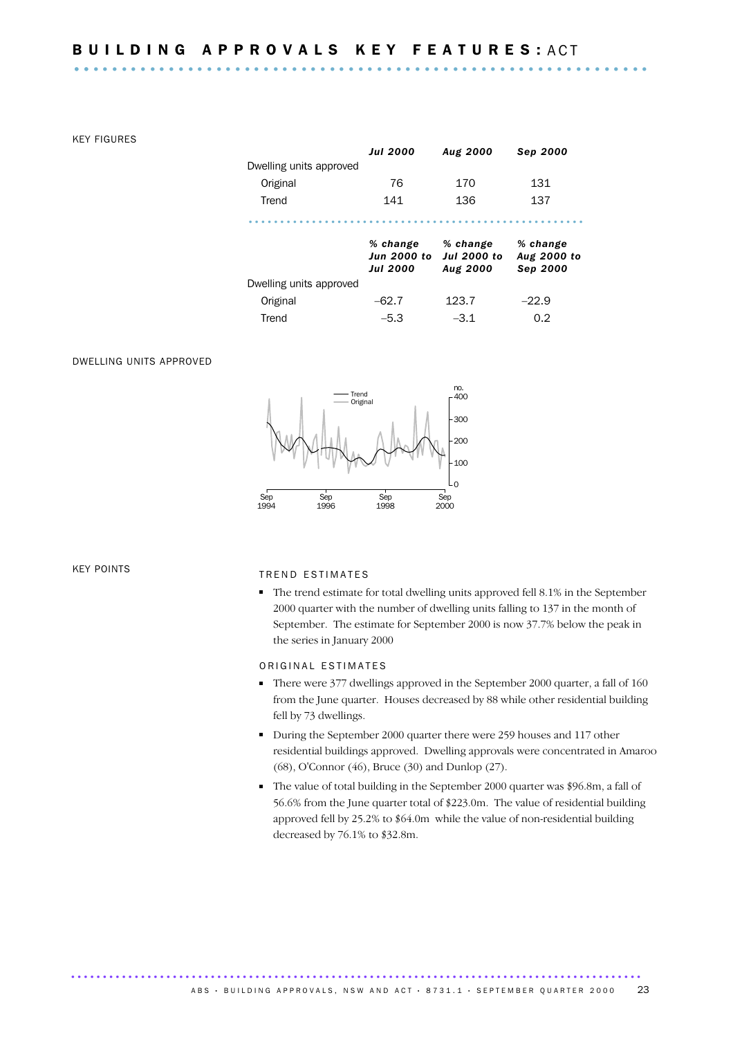#### KEY FIGURES

|                         | <b>Jul 2000</b>                     | <b>Aug 2000</b>                            | Sep 2000                            |
|-------------------------|-------------------------------------|--------------------------------------------|-------------------------------------|
| Dwelling units approved |                                     |                                            |                                     |
| Original                | 76                                  | 170                                        | 131                                 |
| Trend                   | 141                                 | 136                                        | 137                                 |
|                         |                                     |                                            |                                     |
|                         |                                     |                                            |                                     |
|                         | % change<br>Jun 2000 to<br>Jul 2000 | % change<br><b>Jul 2000 to</b><br>Aug 2000 | % change<br>Aug 2000 to<br>Sep 2000 |
| Dwelling units approved |                                     |                                            |                                     |
| Original                | -62.7                               | 123.7                                      | $-22.9$                             |

#### DWELLING UNITS APPROVED



## KEY POINTS<br>
TREND ESTIMATES

The trend estimate for total dwelling units approved fell 8.1% in the September 2000 quarter with the number of dwelling units falling to 137 in the month of September. The estimate for September 2000 is now 37.7% below the peak in the series in January 2000

#### ORIGINAL ESTIMATES

- There were 377 dwellings approved in the September 2000 quarter, a fall of 160 from the June quarter. Houses decreased by 88 while other residential building fell by 73 dwellings.
- During the September 2000 quarter there were 259 houses and 117 other residential buildings approved. Dwelling approvals were concentrated in Amaroo (68), O'Connor (46), Bruce (30) and Dunlop (27).
- The value of total building in the September 2000 quarter was \$96.8m, a fall of 56.6% from the June quarter total of \$223.0m. The value of residential building approved fell by 25.2% to \$64.0m while the value of non-residential building decreased by 76.1% to \$32.8m.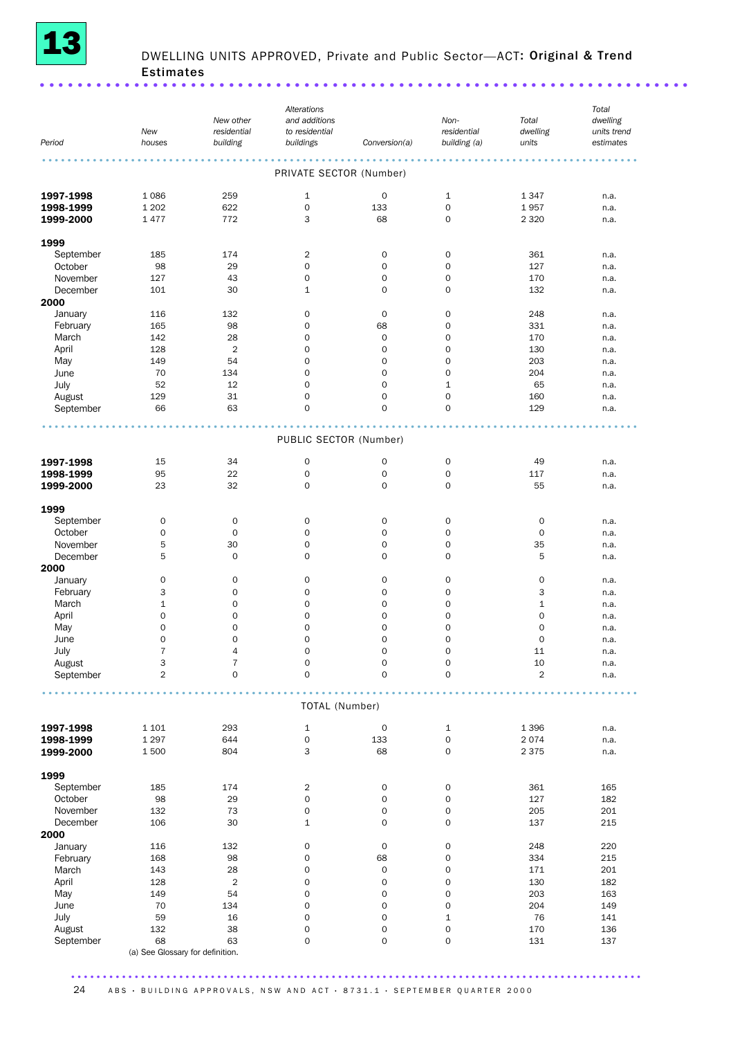

## DWELLING UNITS APPROVED, Private and Public Sector—ACT: Original & Trend Estimates .....................................................................

|           |                                  |                     | Alterations             |                     |                     |                     | Total       |
|-----------|----------------------------------|---------------------|-------------------------|---------------------|---------------------|---------------------|-------------|
|           |                                  | New other           | and additions           |                     | Non-                | Total               | dwelling    |
|           | New                              | residential         | to residential          |                     | residential         | dwelling            | units trend |
| Period    | houses                           | building            | buildings               | Conversion(a)       | building (a)        | units               | estimates   |
|           |                                  |                     |                         |                     |                     |                     |             |
|           |                                  |                     | PRIVATE SECTOR (Number) |                     |                     |                     |             |
| 1997-1998 | 1 0 8 6                          | 259                 | $\mathbf{1}$            | 0                   | 1                   | 1 3 4 7             | n.a.        |
| 1998-1999 | 1 2 0 2                          | 622                 | $\mathsf{O}\xspace$     | 133                 | $\mathsf{O}\xspace$ | 1957                | n.a.        |
| 1999-2000 | 1 4 7 7                          | 772                 | 3                       | 68                  | $\mathbf 0$         | 2 3 2 0             | n.a.        |
|           |                                  |                     |                         |                     |                     |                     |             |
| 1999      |                                  |                     |                         |                     |                     |                     |             |
| September | 185                              | 174                 | $\overline{2}$          | $\mathbf 0$         | $\mathsf{O}\xspace$ | 361                 | n.a.        |
| October   | 98                               | 29                  | $\mathbf 0$             | $\mathbf 0$         | $\mathbf 0$         | 127                 | n.a.        |
| November  | 127                              | 43                  | $\mathbf 0$             | 0                   | $\mathsf{O}\xspace$ | 170                 | n.a.        |
| December  | 101                              | 30                  | $\mathbf{1}$            | $\mathbf 0$         | $\mathbf 0$         | 132                 | n.a.        |
| 2000      |                                  |                     |                         |                     |                     |                     |             |
| January   | 116                              | 132                 | 0                       | $\mathbf 0$         | $\mathbf 0$         | 248                 | n.a.        |
| February  | 165                              | 98                  | 0                       | 68                  | $\mathbf 0$         | 331                 | n.a.        |
| March     | 142                              | 28                  | 0                       | $\mathbf 0$         | $\mathbf 0$         | 170                 | n.a.        |
| April     | 128                              | $\overline{2}$      | 0                       | $\mathbf 0$         | $\mathbf 0$         | 130                 | n.a.        |
| May       | 149                              | 54                  | $\mathbf 0$             | 0                   | 0                   | 203                 | n.a.        |
| June      | 70                               | 134                 | 0                       | $\mathbf 0$         | $\mathbf 0$         | 204                 | n.a.        |
| July      | 52                               | 12                  | $\mathbf 0$             | $\mathbf 0$         | $\mathbf 1$         | 65                  | n.a.        |
| August    | 129                              | 31                  | $\mathbf 0$             | 0                   | $\mathbf 0$         | 160                 |             |
|           |                                  |                     |                         |                     |                     |                     | n.a.        |
| September | 66                               | 63                  | $\mathbf 0$             | $\mathbf 0$         | $\mathbf 0$         | 129                 | n.a.        |
|           |                                  |                     | PUBLIC SECTOR (Number)  |                     |                     |                     |             |
|           |                                  |                     |                         |                     |                     |                     |             |
| 1997-1998 | 15                               | 34                  | 0                       | $\mathbf 0$         | $\mathsf O$         | 49                  | n.a.        |
| 1998-1999 | 95                               | 22                  | 0                       | $\mathsf{O}\xspace$ | 0                   | 117                 | n.a.        |
| 1999-2000 | 23                               | 32                  | $\mathbf 0$             | $\mathbf 0$         | $\mathbf 0$         | 55                  | n.a.        |
| 1999      |                                  |                     |                         |                     |                     |                     |             |
| September | $\mathbf 0$                      | $\mathsf{O}\xspace$ | 0                       | $\mathbf 0$         | $\mathbf 0$         | $\mathsf{O}\xspace$ | n.a.        |
| October   | $\mathbf 0$                      | $\mathbf 0$         | 0                       | $\mathbf 0$         | $\mathbf 0$         | $\mathbf 0$         | n.a.        |
| November  | 5                                | 30                  | 0                       | 0                   | $\mathbf 0$         | 35                  | n.a.        |
| December  | 5                                | $\mathbf 0$         | $\mathbf 0$             | $\mathbf 0$         | $\mathbf 0$         | 5                   | n.a.        |
| 2000      |                                  |                     |                         |                     |                     |                     |             |
| January   | $\mathbf 0$                      | 0                   | 0                       | $\mathbf 0$         | $\mathbf 0$         | 0                   | n.a.        |
| February  | 3                                | 0                   | 0                       | $\mathbf 0$         | $\mathbf 0$         | 3                   | n.a.        |
| March     | $\mathbf 1$                      | 0                   | $\mathbf 0$             | 0                   | $\mathbf 0$         | $\mathbf 1$         |             |
|           | $\mathbf 0$                      | 0                   | $\mathbf 0$             | $\mathbf 0$         | $\mathbf 0$         | $\mathbf 0$         | n.a.        |
| April     |                                  |                     |                         |                     |                     |                     | n.a.        |
| May       | $\mathbf 0$                      | 0                   | 0                       | 0                   | 0                   | 0                   | n.a.        |
| June      | $\mathbf 0$                      | 0                   | 0                       | 0                   | $\mathbf 0$         | $\mathbf 0$         | n.a.        |
| July      | $\overline{7}$                   | $\overline{4}$      | $\mathbf 0$             | $\mathbf 0$         | $\mathbf 0$         | 11                  | n.a.        |
| August    | 3                                | $\overline{7}$      | 0                       | $\mathsf{O}\xspace$ | $\mathsf{O}\xspace$ | 10                  | n.a.        |
| September | $\overline{2}$                   | $\mathbf 0$         | $\mathbf 0$             | $\mathbf 0$         | $\mathbf 0$         | $\overline{2}$      | n.a.        |
|           |                                  |                     |                         |                     |                     |                     |             |
|           |                                  |                     | TOTAL (Number)          |                     |                     |                     |             |
| 1997-1998 | 1 1 0 1                          | 293                 | $\mathbf 1$             | $\mathsf{O}\xspace$ | $\mathbf 1$         | 1 3 9 6             | n.a.        |
| 1998-1999 | 1 2 9 7                          | 644                 | 0                       | 133                 | $\mathsf O$         | 2074                | n.a.        |
| 1999-2000 | 1500                             | 804                 | 3                       | 68                  | $\mathsf{O}\xspace$ | 2 3 7 5             | n.a.        |
| 1999      |                                  |                     |                         |                     |                     |                     |             |
| September | 185                              | 174                 | $\overline{2}$          | $\mathsf{O}\xspace$ | $\mathsf{O}\xspace$ | 361                 | 165         |
| October   | 98                               | 29                  | 0                       | $\mathsf{O}\xspace$ | $\mathsf{O}\xspace$ | 127                 | 182         |
| November  | 132                              | 73                  | $\mathsf{O}\xspace$     | $\mathsf{O}\xspace$ | $\mathsf{O}\xspace$ | 205                 | 201         |
| December  | 106                              | 30                  | $\mathbf{1}$            | $\mathbf 0$         | $\mathbf 0$         | 137                 | 215         |
| 2000      |                                  |                     |                         |                     |                     |                     |             |
| January   | 116                              | 132                 | 0                       | $\mathsf{O}\xspace$ | $\mathsf O$         | 248                 | 220         |
|           |                                  |                     |                         |                     |                     |                     |             |
| February  | 168                              | 98                  | 0                       | 68                  | $\mathsf{O}\xspace$ | 334                 | 215         |
| March     | 143                              | 28                  | $\mathsf{O}\xspace$     | $\mathsf{O}\xspace$ | $\mathsf{O}\xspace$ | 171                 | 201         |
| April     | 128                              | $\sqrt{2}$          | 0                       | $\mathbf 0$         | $\mathsf{O}\xspace$ | 130                 | 182         |
| May       | 149                              | 54                  | 0                       | $\mathsf{O}\xspace$ | 0                   | 203                 | 163         |
| June      | 70                               | 134                 | 0                       | $\mathbf 0$         | $\mathsf{O}\xspace$ | 204                 | 149         |
| July      | 59                               | 16                  | 0                       | $\mathsf{O}\xspace$ | $\mathbf 1$         | 76                  | 141         |
| August    | 132                              | 38                  | $\mathsf{O}\xspace$     | $\mathsf{O}\xspace$ | $\mathsf{O}\xspace$ | 170                 | 136         |
| September | 68                               | 63                  | 0                       | $\mathbf 0$         | 0                   | 131                 | 137         |
|           | (a) See Glossary for definition. |                     |                         |                     |                     |                     |             |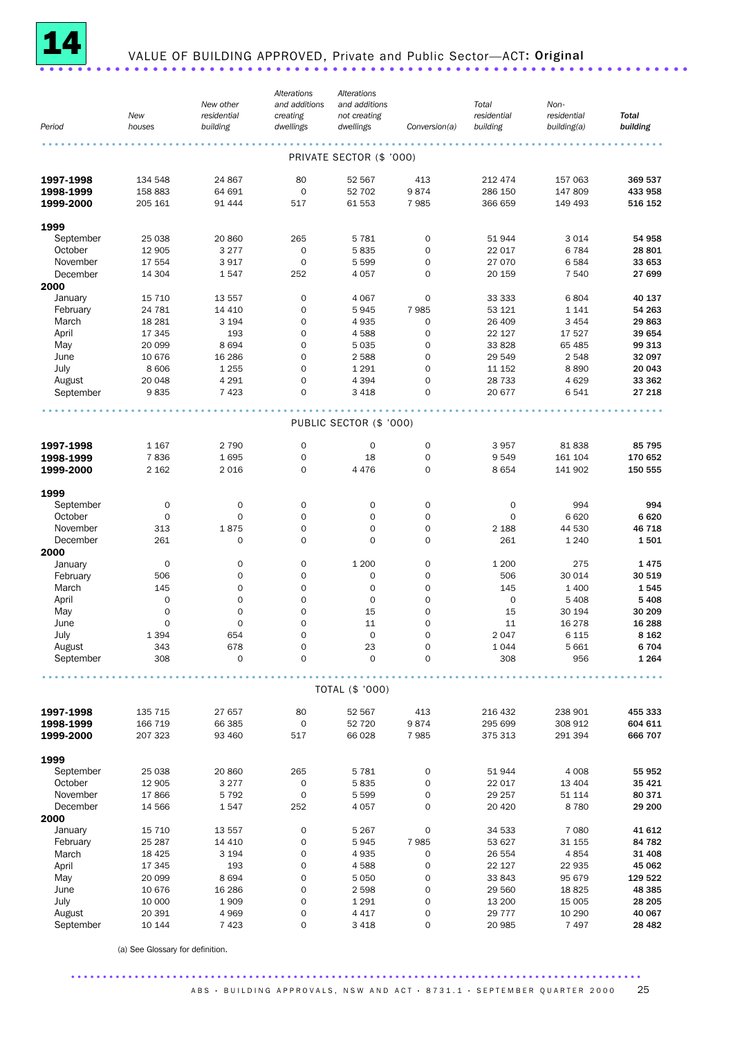

## VALUE OF BUILDING APPROVED, Private and Public Sector—ACT: Original .....................................................................

|           |             |             | Alterations         | Alterations              |                     |             |             |              |
|-----------|-------------|-------------|---------------------|--------------------------|---------------------|-------------|-------------|--------------|
|           |             | New other   | and additions       | and additions            |                     | Total       | Non-        |              |
|           | New         | residential | creating            | not creating             |                     | residential | residential | <b>Total</b> |
| Period    | houses      | building    | dwellings           | dwellings                | Conversion(a)       | building    | building(a) | building     |
|           |             |             |                     |                          |                     |             |             |              |
|           |             |             |                     |                          |                     |             |             |              |
|           |             |             |                     | PRIVATE SECTOR (\$ '000) |                     |             |             |              |
|           |             |             |                     |                          |                     |             |             |              |
| 1997-1998 | 134 548     | 24 867      | 80                  | 52 567                   | 413                 | 212 474     | 157 063     | 369 537      |
| 1998-1999 | 158 883     | 64 691      | 0                   | 52 702                   | 9874                | 286 150     | 147 809     | 433 958      |
| 1999-2000 | 205 161     | 91 444      | 517                 | 61 553                   | 7985                | 366 659     | 149 493     | 516 152      |
|           |             |             |                     |                          |                     |             |             |              |
| 1999      |             |             |                     |                          |                     |             |             |              |
| September | 25 038      | 20 860      | 265                 | 5 7 8 1                  | $\mathsf{O}\xspace$ | 51 944      | 3 0 1 4     | 54 958       |
|           |             |             |                     |                          |                     |             |             |              |
| October   | 12 905      | 3 2 7 7     | $\mathbf 0$         | 5835                     | $\mathbf 0$         | 22 017      | 6784        | 28 801       |
| November  | 17 554      | 3917        | $\mathbf 0$         | 5 5 9 9                  | $\mathbf 0$         | 27 070      | 6584        | 33 653       |
| December  | 14 304      | 1547        | 252                 | 4 0 5 7                  | $\mathbf 0$         | 20 159      | 7 540       | 27 699       |
| 2000      |             |             |                     |                          |                     |             |             |              |
| January   | 15 7 10     | 13 557      | $\mathbf 0$         | 4 0 6 7                  | $\mathbf 0$         | 33 333      | 6804        | 40 137       |
| February  | 24 781      | 14 4 10     | $\mathbf 0$         | 5945                     | 7985                | 53 121      | 1 1 4 1     | 54 263       |
| March     | 18 2 8 1    | 3 1 9 4     | $\mathbf 0$         | 4935                     | $\mathbf 0$         | 26 409      | 3 4 5 4     | 29863        |
| April     | 17 345      | 193         | 0                   | 4588                     | $\mathsf{O}\xspace$ | 22 127      | 17 527      | 39 654       |
| May       | 20 099      | 8694        | $\mathbf 0$         |                          | $\mathbf 0$         | 33 828      |             | 99 313       |
|           |             |             |                     | 5 0 3 5                  |                     |             | 65 485      |              |
| June      | 10 676      | 16 28 6     | $\mathbf 0$         | 2 5 8 8                  | $\mathsf{O}\xspace$ | 29 549      | 2 5 4 8     | 32 097       |
| July      | 8 6 0 6     | 1 2 5 5     | $\mathbf 0$         | 1 2 9 1                  | $\mathbf 0$         | 11 152      | 8890        | 20 043       |
| August    | 20 048      | 4 2 9 1     | $\mathbf 0$         | 4 3 9 4                  | $\mathbf 0$         | 28 7 3 3    | 4 6 2 9     | 33 362       |
| September | 9835        | 7 4 2 3     | 0                   | 3 4 1 8                  | 0                   | 20 677      | 6 5 4 1     | 27 218       |
|           |             |             |                     |                          |                     |             |             |              |
|           |             |             |                     |                          |                     |             |             |              |
|           |             |             |                     | PUBLIC SECTOR (\$ '000)  |                     |             |             |              |
|           |             |             |                     |                          |                     |             |             |              |
| 1997-1998 | 1 1 6 7     | 2 7 9 0     | 0                   | 0                        | $\mathsf{O}\xspace$ | 3 9 5 7     | 81838       | 85 795       |
| 1998-1999 | 7836        | 1695        | 0                   | 18                       | $\mathsf{O}\xspace$ | 9549        | 161 104     | 170 652      |
| 1999-2000 | 2 1 6 2     | 2016        | $\mathbf 0$         | 4 4 7 6                  | $\mathbf 0$         | 8 6 5 4     | 141 902     | 150 555      |
|           |             |             |                     |                          |                     |             |             |              |
| 1999      |             |             |                     |                          |                     |             |             |              |
| September | $\mathbf 0$ | 0           | $\mathbf 0$         | 0                        | $\mathbf 0$         | $\mathbf 0$ | 994         | 994          |
| October   | $\mathbf 0$ | $\mathbf 0$ | 0                   | $\mathbf 0$              | $\mathbf 0$         | $\mathbf 0$ | 6620        | 6620         |
|           |             |             |                     |                          |                     |             |             |              |
| November  | 313         | 1875        | $\mathbf 0$         | $\mathbf 0$              | $\mathbf 0$         | 2 1 8 8     | 44 530      | 46 718       |
| December  | 261         | 0           | $\mathbf 0$         | $\mathbf 0$              | $\mathbf 0$         | 261         | 1 2 4 0     | 1501         |
| 2000      |             |             |                     |                          |                     |             |             |              |
| January   | $\mathbf 0$ | 0           | $\mathbf 0$         | 1 200                    | $\mathbf 0$         | 1 200       | 275         | 1475         |
| February  | 506         | $\mathbf 0$ | 0                   | 0                        | $\mathbf 0$         | 506         | 30 014      | 30 519       |
| March     | 145         | $\mathbf 0$ | $\mathbf 0$         | $\mathbf 0$              | $\mathbf 0$         | 145         | 1 400       | 1545         |
| April     | 0           | $\mathbf 0$ | 0                   | 0                        | $\mathbf 0$         | $\mathbf 0$ | 5 4 0 8     | 5 4 0 8      |
| May       | 0           | $\mathbf 0$ | $\mathbf 0$         | 15                       | $\mathbf 0$         | 15          | 30 194      | 30 209       |
| June      | 0           | 0           | $\mathbf 0$         | 11                       | $\mathbf 0$         | 11          | 16 278      | 16 288       |
|           |             |             | $\overline{0}$      | $\mathbf 0$              | $\mathbf 0$         |             |             |              |
| July      | 1 3 9 4     | 654         |                     |                          |                     | 2 0 4 7     | 6 1 1 5     | 8 1 6 2      |
| August    | 343         | 678         | 0                   | 23                       | $\mathsf{O}\xspace$ | 1 0 4 4     | 5 6 6 1     | 6 7 0 4      |
| September | 308         | 0           | 0                   | 0                        | $\mathsf{O}\xspace$ | 308         | 956         | 1 2 6 4      |
|           |             |             |                     |                          |                     |             |             |              |
|           |             |             |                     | TOTAL (\$ '000)          |                     |             |             |              |
|           |             |             |                     |                          |                     |             |             |              |
| 1997-1998 | 135 715     | 27 657      | 80                  | 52 567                   | 413                 | 216 432     | 238 901     | 455 333      |
|           | 166 719     | 66 385      | 0                   | 52 720                   | 9874                | 295 699     | 308 912     | 604 611      |
| 1998-1999 |             |             |                     |                          |                     |             |             |              |
| 1999-2000 | 207 323     | 93 460      | 517                 | 66 028                   | 7985                | 375 313     | 291 394     | 666 707      |
|           |             |             |                     |                          |                     |             |             |              |
| 1999      |             |             |                     |                          |                     |             |             |              |
| September | 25 038      | 20 860      | 265                 | 5781                     | $\mathsf{O}\xspace$ | 51 944      | 4 0 0 8     | 55 952       |
| October   | 12 905      | 3 2 7 7     | 0                   | 5835                     | $\mathsf{O}\xspace$ | 22 017      | 13 4 04     | 35 4 21      |
| November  | 17866       | 5792        | $\mathsf{O}\xspace$ | 5 5 9 9                  | $\mathsf{O}\xspace$ | 29 257      | 51 114      | 80 371       |
| December  | 14 566      | 1547        | 252                 | 4 0 5 7                  | $\mathsf{O}\xspace$ | 20 4 20     | 8780        | 29 200       |
| 2000      |             |             |                     |                          |                     |             |             |              |
| January   | 15 7 10     | 13 557      | 0                   | 5 2 6 7                  | $\mathsf{O}\xspace$ | 34 533      | 7 0 8 0     | 41 612       |
|           |             |             |                     |                          |                     |             |             |              |
| February  | 25 287      | 14 4 10     | 0                   | 5945                     | 7985                | 53 627      | 31 155      | 84 782       |
| March     | 18 4 25     | 3 1 9 4     | 0                   | 4935                     | $\mathsf{O}\xspace$ | 26 554      | 4854        | 31 408       |
| April     | 17 345      | 193         | 0                   | 4588                     | $\mathsf{O}\xspace$ | 22 127      | 22 935      | 45 062       |
| May       | 20 099      | 8694        | 0                   | 5 0 5 0                  | $\mathsf{O}\xspace$ | 33 843      | 95 679      | 129 522      |
| June      | 10 676      | 16 28 6     | $\mathsf{O}\xspace$ | 2 5 9 8                  | $\mathsf{O}\xspace$ | 29 560      | 18825       | 48 385       |
| July      | 10 000      | 1909        | 0                   | 1 2 9 1                  | $\mathsf{O}\xspace$ | 13 200      | 15 005      | 28 205       |
| August    | 20 391      | 4969        | 0                   | 4 4 1 7                  | $\mathsf{O}\xspace$ | 29 7 7 7    | 10 290      | 40 067       |
| September | 10 144      | 7423        | 0                   | 3 4 1 8                  | $\mathsf{O}$        | 20 985      | 7 4 9 7     | 28 4 82      |
|           |             |             |                     |                          |                     |             |             |              |

(a) See Glossary for definition.

#### ..........................................................................................  $ABS \cdot B$ UILDING APPROVALS, NSW AND ACT  $\cdot$  8731.1  $\cdot$  SEPTEMBER QUARTER 2000 25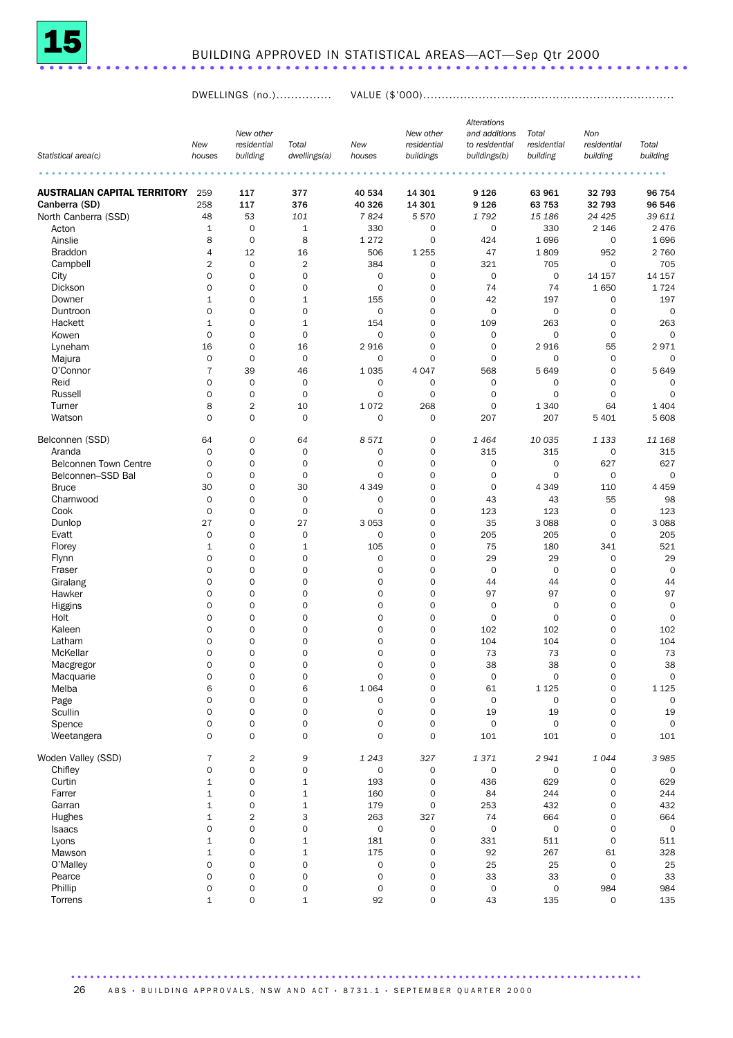

## BUILDING APPROVED IN STATISTICAL AREAS—ACT—Sep Qtr 2000 ..................................................................... .

DWELLINGS (no.)............... VALUE (\$'000)....................................................................

| Statistical area(c)                                  | New<br>houses       | New other<br>residential<br>building | Total<br>dwellings(a) | New<br>houses            | New other<br>residential<br>buildings | Alterations<br>and additions<br>to residential<br>buildings(b) | Total<br>residential<br>building | Non<br>residential<br>building | Total<br>building |
|------------------------------------------------------|---------------------|--------------------------------------|-----------------------|--------------------------|---------------------------------------|----------------------------------------------------------------|----------------------------------|--------------------------------|-------------------|
|                                                      |                     |                                      |                       |                          |                                       |                                                                |                                  |                                |                   |
| <b>AUSTRALIAN CAPITAL TERRITORY</b><br>Canberra (SD) | 259<br>258          | 117<br>117                           | 377<br>376            | 40 534<br>40 326         | 14 301<br>14 301                      | 9 1 2 6<br>9 1 2 6                                             | 63 961<br>63 753                 | 32 793<br>32 793               | 96 754<br>96 546  |
| North Canberra (SSD)                                 | 48                  | 53                                   | 101                   | 7824                     | 5 5 7 0                               | 1792                                                           | 15 186                           | 24 4 25                        | 39 611            |
| Acton                                                | $\mathbf 1$         | $\mathbf 0$                          | $\mathbf{1}$          | 330                      | 0                                     | $\mathbf 0$                                                    | 330                              | 2 1 4 6                        | 2 4 7 6           |
| Ainslie                                              | 8                   | $\mathbf 0$                          | 8                     | 1 2 7 2                  | $\mathbf 0$                           | 424                                                            | 1696                             | $\mathbf 0$                    | 1696              |
| <b>Braddon</b>                                       | 4                   | 12                                   | 16                    | 506                      | 1 2 5 5                               | 47                                                             | 1809                             | 952                            | 2 7 6 0           |
| Campbell                                             | 2                   | $\mathbf 0$                          | $\overline{c}$        | 384                      | 0                                     | 321                                                            | 705                              | $\mathbf 0$                    | 705               |
| City                                                 | $\mathbf 0$         | 0                                    | $\mathsf{O}\xspace$   | $\mathbf 0$              | $\mathbf 0$                           | $\mathbf 0$                                                    | $\mathbf 0$                      | 14 157                         | 14 157            |
| Dickson                                              | $\mathbf 0$         | 0                                    | 0                     | $\mathbf 0$              | $\mathbf 0$                           | 74                                                             | 74                               | 1650                           | 1 7 2 4           |
| Downer                                               | $1\,$               | 0                                    | $\mathbf 1$           | 155                      | $\mathbf 0$                           | 42                                                             | 197                              | $\mathsf{O}\xspace$            | 197               |
| Duntroon                                             | $\mathbf 0$         | 0                                    | $\mathsf{O}\xspace$   | 0                        | $\mathbf 0$                           | $\mathbf 0$                                                    | $\mathbf 0$                      | $\mathbf 0$                    | 0                 |
| Hackett                                              | $\mathbf{1}$        | 0                                    | $\mathbf{1}$          | 154                      | $\mathbf 0$                           | 109                                                            | 263                              | 0                              | 263               |
| Kowen                                                | $\mathbf 0$         | 0                                    | $\mathbf 0$           | 0                        | $\mathbf 0$                           | 0                                                              | $\mathbf 0$                      | $\mathbf 0$                    | $\circ$           |
| Lyneham                                              | 16                  | 0                                    | 16                    | 2916                     | $\mathbf 0$                           | $\mathsf{O}\xspace$                                            | 2916                             | 55                             | 2971              |
| Majura                                               | $\mathbf 0$         | $\mathbf 0$                          | $\mathbf 0$           | 0                        | $\mathbf 0$                           | 0                                                              | 0                                | $\mathbf 0$                    | 0                 |
| O'Connor                                             | $\overline{7}$      | 39                                   | 46                    | 1 0 3 5                  | 4 0 4 7                               | 568                                                            | 5649                             | 0                              | 5 6 4 9           |
| Reid                                                 | 0                   | $\mathbf 0$                          | $\mathbf 0$           | 0                        | 0                                     | 0                                                              | 0                                | $\mathbf 0$                    | 0                 |
| Russell                                              | $\mathbf 0$         | 0                                    | $\mathbf 0$           | 0                        | $\mathbf 0$                           | $\mathbf 0$                                                    | $\mathbf 0$                      | $\mathbf 0$                    | 0                 |
| Turner                                               | 8                   | $\overline{2}$                       | 10                    | 1072                     | 268                                   | $\mathbf 0$                                                    | 1 3 4 0                          | 64                             | 1 4 0 4           |
| Watson                                               | $\mathbf 0$         | $\circ$                              | $\mathbf 0$           | $\mathbf 0$              | $\mathbf 0$                           | 207                                                            | 207                              | 5 4 0 1                        | 5 608             |
| Belconnen (SSD)                                      | 64                  | $\boldsymbol{0}$                     | 64                    | 8571                     | 0                                     | 1464                                                           | 10 035                           | 1 1 3 3                        | 11 168            |
| Aranda                                               | 0                   | 0                                    | $\mathbf 0$           | $\mathbf 0$              | $\mathbf 0$                           | 315                                                            | 315                              | $\mathbf 0$                    | 315               |
| <b>Belconnen Town Centre</b>                         | 0                   | 0                                    | 0                     | $\mathbf 0$              | $\mathbf 0$                           | 0                                                              | 0                                | 627                            | 627               |
| Belconnen-SSD Bal                                    | $\mathbf 0$         | 0                                    | 0                     | 0                        | $\mathbf 0$                           | 0                                                              | $\mathbf 0$                      | $\mathbf 0$                    | $\circ$           |
| <b>Bruce</b>                                         | 30                  | 0                                    | 30                    | 4 3 4 9                  | $\mathbf 0$                           | $\mathbf 0$                                                    | 4 3 4 9                          | 110                            | 4 4 5 9           |
| Charnwood                                            | $\mathbf 0$         | 0                                    | $\mathbf 0$           | 0                        | $\mathbf 0$                           | 43                                                             | 43                               | 55                             | 98                |
| Cook                                                 | $\mathbf 0$         | 0                                    | $\mathsf{O}\xspace$   | $\mathbf 0$              | $\mathbf 0$                           | 123                                                            | 123                              | $\mathbf 0$                    | 123               |
| Dunlop                                               | 27                  | 0                                    | 27                    | 3 0 5 3                  | 0                                     | 35                                                             | 3 0 8 8                          | $\mathbf 0$                    | 3 0 8 8           |
| Evatt                                                | $\mathbf 0$         | 0                                    | 0                     | 0                        | $\mathbf 0$                           | 205                                                            | 205                              | $\mathbf 0$                    | 205               |
| Florey                                               | $\mathbf{1}$        | 0                                    | $\mathbf{1}$          | 105                      | $\mathbf 0$                           | 75                                                             | 180                              | 341                            | 521               |
| Flynn                                                | 0                   | 0                                    | 0                     | $\mathbf 0$              | $\mathbf 0$                           | 29                                                             | 29                               | $\mathbf 0$                    | 29                |
| Fraser                                               | $\mathbf 0$         | 0                                    | 0                     | 0                        | $\mathbf 0$                           | $\mathsf{O}\xspace$                                            | $\mathbf 0$                      | 0                              | 0                 |
| Giralang                                             | 0                   | 0                                    | 0                     | 0                        | $\mathbf 0$                           | 44                                                             | 44                               | 0                              | 44                |
| Hawker                                               | $\mathbf 0$         | 0                                    | $\mathbf 0$           | 0                        | $\mathbf 0$                           | 97                                                             | 97                               | $\mathbf 0$                    | 97                |
| Higgins                                              | $\mathbf 0$         | 0                                    | 0                     | 0                        | $\mathbf 0$                           | $\mathbf 0$                                                    | $\mathbf 0$                      | 0                              | 0                 |
| Holt                                                 | $\mathbf 0$         | 0                                    | 0                     | $\mathbf 0$              | $\mathbf 0$                           | $\mathbf 0$                                                    | $\mathbf 0$                      | 0                              | $\Omega$          |
| Kaleen                                               | 0                   | 0                                    | $\mathbf 0$           | 0                        | $\mathbf 0$                           | 102                                                            | 102                              | 0                              | 102               |
| Latham                                               | 0                   | 0                                    | $\mathbf 0$           | 0                        | 0                                     | 104                                                            | 104                              | $\mathbf 0$                    | 104               |
| McKellar                                             | $\mathbf{O}$        | 0                                    | $\mathbf 0$           | 0                        | 0                                     | 73                                                             | 73                               | 0                              | 73                |
| Macgregor                                            | $\mathbf{O}$        | 0                                    | $\mathbf 0$           | 0                        | 0                                     | 38                                                             | 38                               | 0                              | 38                |
| Macquarie                                            | 0                   | 0                                    | 0                     | 0                        | $\mathsf{O}\xspace$                   | $\mathsf{O}\xspace$                                            | $\mathsf{O}\xspace$              | 0                              | $\circ$           |
| Melba                                                | 6                   | 0                                    | 6                     | 1 0 6 4                  | $\mathsf{O}\xspace$                   | 61                                                             | 1 1 2 5                          | $\mathsf{O}\xspace$            | 1 1 2 5           |
| Page                                                 | $\mathbf 0$         | 0                                    | 0                     | 0                        | $\mathbf 0$                           | $\mathsf O$                                                    | 0                                | 0                              | 0                 |
| Scullin                                              | $\mathbf 0$         | 0                                    | $\mathsf{O}\xspace$   | 0                        | $\mathbf 0$                           | 19                                                             | 19                               | $\mathsf{O}\xspace$            | 19                |
| Spence<br>Weetangera                                 | 0<br>$\mathbf 0$    | 0<br>$\circ$                         | 0<br>0                | 0<br>$\mathsf{O}\xspace$ | $\mathbf 0$<br>$\mathbf 0$            | $\mathsf{O}\xspace$<br>101                                     | 0<br>101                         | 0<br>0                         | 0<br>101          |
| Woden Valley (SSD)                                   | $\overline{7}$      | 2                                    | 9                     | 1 2 4 3                  | 327                                   | 1371                                                           | 2941                             | 1044                           | 3 9 8 5           |
| Chifley                                              | $\mathsf{O}\xspace$ | 0                                    | 0                     | $\mathsf{O}\xspace$      | $\mathsf{O}\xspace$                   | $\mathsf{O}\xspace$                                            | $\mathbf 0$                      | 0                              | 0                 |
| Curtin                                               | $\mathbf{1}$        | 0                                    | $\mathbf{1}$          | 193                      | $\mathbf 0$                           | 436                                                            | 629                              | 0                              | 629               |
| Farrer                                               | $\mathbf 1$         | 0                                    | $\,1\,$               | 160                      | $\mathsf{O}\xspace$                   | 84                                                             | 244                              | 0                              | 244               |
| Garran                                               | 1                   | 0                                    | $\mathbf{1}$          | 179                      | $\mathbf 0$                           | 253                                                            | 432                              | 0                              | 432               |
| Hughes                                               | $1\,$               | 2                                    | 3                     | 263                      | 327                                   | 74                                                             | 664                              | 0                              | 664               |
| Isaacs                                               | 0                   | 0                                    | $\mathsf{O}\xspace$   | $\mathsf{O}\xspace$      | $\mathsf{O}\xspace$                   | $\mathsf{O}\xspace$                                            | $\mathbf 0$                      | 0                              | O                 |
| Lyons                                                | $1\,$               | 0                                    | $\mathbf{1}$          | 181                      | $\mathbf 0$                           | 331                                                            | 511                              | $\mathbf 0$                    | 511               |
| Mawson                                               | $\mathbf 1$         | 0                                    | $\,1\,$               | 175                      | 0                                     | 92                                                             | 267                              | 61                             | 328               |
| O'Malley                                             | 0                   | 0                                    | 0                     | 0                        | $\mathbf 0$                           | 25                                                             | 25                               | 0                              | 25                |
| Pearce                                               | 0                   | 0                                    | 0                     | 0                        | $\mathsf{O}\xspace$                   | 33                                                             | 33                               | $\mathsf O$                    | 33                |
| Phillip                                              | $\mathsf{O}\xspace$ | 0                                    | $\mathsf{O}\xspace$   | 0                        | $\mathsf{O}\xspace$                   | $\mathsf{O}\xspace$                                            | $\mathsf{O}\xspace$              | 984                            | 984               |
| Torrens                                              | $\mathbf{1}$        | 0                                    | 1                     | 92                       | $\mathbf 0$                           | 43                                                             | 135                              | 0                              | 135               |
|                                                      |                     |                                      |                       |                          |                                       |                                                                |                                  |                                |                   |

26 A B S · BUILDING APPROVALS, NSW AND ACT · 8731.1 · SEPTEMBER QUARTER 2000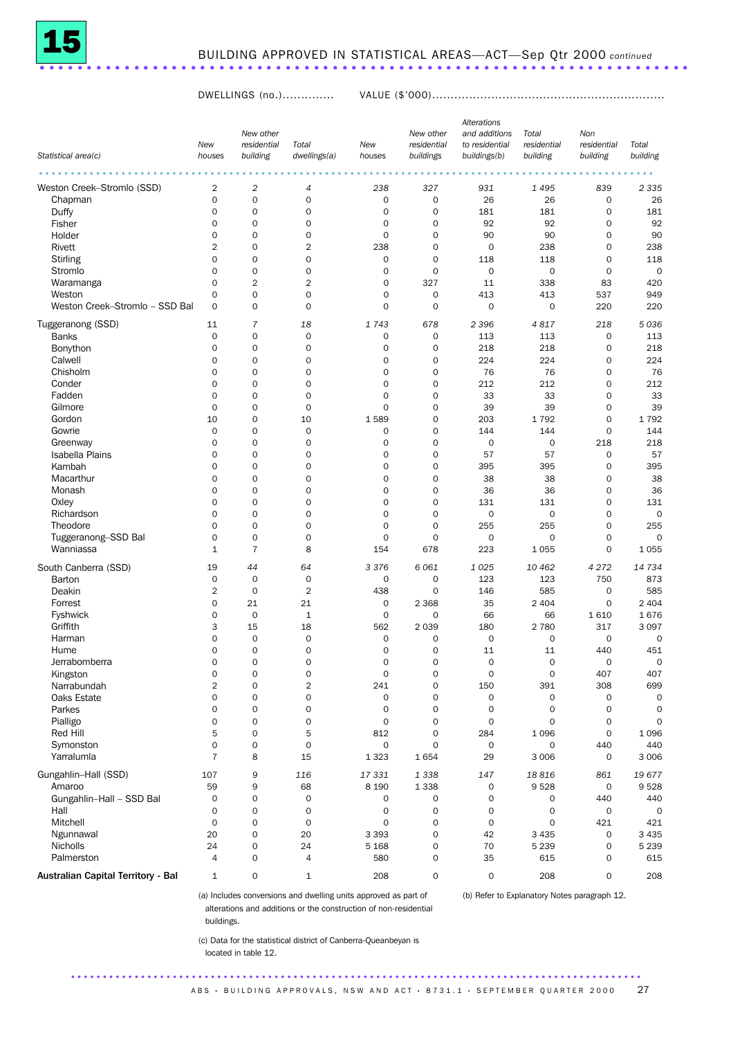

#### 15 BUILDING APPROVED IN STATISTICAL AREAS—ACT—Sep Qtr 2000 *continued* ..................................................................... .

DWELLINGS (no.).............. VALUE (\$'000)...............................................................

| Statistical area(c)                | New<br>houses  | New other<br>residential<br>building | Total<br>dwellings(a)      | New<br>houses              | New other<br>residential<br>buildings | Alterations<br>and additions<br>to residential<br>buildings(b) | Total<br>residential<br>building | Non<br>residential<br>building     | Total<br>building   |
|------------------------------------|----------------|--------------------------------------|----------------------------|----------------------------|---------------------------------------|----------------------------------------------------------------|----------------------------------|------------------------------------|---------------------|
|                                    |                |                                      |                            |                            |                                       |                                                                |                                  |                                    |                     |
| Weston Creek-Stromlo (SSD)         | $\overline{2}$ | $\overline{c}$                       | 4                          | 238                        | 327                                   | 931                                                            | 1 4 9 5                          | 839                                | 2 3 3 5             |
| Chapman                            | $\mathbf 0$    | $\mathsf{O}\xspace$                  | $\mathbf 0$                | $\mathbf 0$                | $\mathbf 0$                           | 26                                                             | 26                               | $\mathsf{O}\xspace$                | 26                  |
| Duffy                              | 0              | $\mathbf 0$                          | 0                          | $\mathbf 0$                | 0                                     | 181                                                            | 181                              | 0                                  | 181                 |
| Fisher                             | 0              | $\mathsf{O}\xspace$                  | $\mathbf 0$                | $\mathbf 0$                | $\mathbf 0$                           | 92                                                             | 92                               | 0                                  | 92                  |
| Holder                             | 0              | 0                                    | 0                          | $\mathbf 0$                | $\mathbf 0$                           | 90                                                             | 90                               | 0                                  | 90                  |
| Rivett                             | 2              | $\mathbf 0$                          | $\overline{2}$             | 238                        | 0                                     | $\mathbf 0$                                                    | 238                              | $\mathbf 0$                        | 238                 |
| <b>Stirling</b>                    | 0              | $\mathsf{O}\xspace$                  | 0                          | $\mathbf 0$<br>$\mathbf 0$ | $\overline{0}$<br>$\mathbf 0$         | 118                                                            | 118                              | $\mathsf{O}\xspace$<br>$\mathbf 0$ | 118<br>$\mathbf 0$  |
| Stromlo<br>Waramanga               | 0<br>0         | $\mathbf 0$<br>$\overline{2}$        | 0<br>$\overline{c}$        | $\mathbf 0$                | 327                                   | $\mathbf 0$<br>11                                              | $\mathbf 0$<br>338               | 83                                 | 420                 |
| Weston                             | 0              | 0                                    | $\mathbf 0$                | $\mathbf 0$                | $\mathbf 0$                           | 413                                                            | 413                              | 537                                | 949                 |
| Weston Creek-Stromlo - SSD Bal     | $\mathbf 0$    | $\mathbf 0$                          | $\mathbf 0$                | $\mathbf 0$                | $\mathbf 0$                           | $\mathbf 0$                                                    | $\mathbf 0$                      | 220                                | 220                 |
|                                    |                |                                      |                            |                            |                                       |                                                                |                                  |                                    |                     |
| Tuggeranong (SSD)                  | 11             | $\overline{7}$                       | 18                         | 1743                       | 678                                   | 2 3 9 6                                                        | 4817                             | 218                                | 5036                |
| <b>Banks</b><br>Bonython           | 0              | $\mathbf 0$                          | $\mathbf 0$                | $\mathbf 0$                | $\mathbf 0$                           | 113                                                            | 113                              | $\mathsf{O}\xspace$                | 113                 |
| Calwell                            | 0<br>0         | $\mathbf 0$<br>$\mathbf 0$           | $\mathbf 0$<br>$\mathbf 0$ | $\mathbf 0$<br>$\mathbf 0$ | 0<br>$\mathbf 0$                      | 218<br>224                                                     | 218<br>224                       | $\mathbf 0$<br>0                   | 218<br>224          |
| Chisholm                           | 0              | $\mathsf{O}\xspace$                  | 0                          | $\mathbf 0$                | $\mathbf 0$                           | 76                                                             | 76                               | 0                                  | 76                  |
| Conder                             | 0              | $\mathbf 0$                          | $\mathbf 0$                | $\mathbf 0$                | 0                                     | 212                                                            | 212                              | 0                                  | 212                 |
| Fadden                             | 0              | $\mathsf{O}\xspace$                  | $\mathbf 0$                | $\mathbf 0$                | 0                                     | 33                                                             | 33                               | $\mathbf 0$                        | 33                  |
| Gilmore                            | $\mathbf 0$    | $\mathbf 0$                          | $\mathbf 0$                | $\mathbf 0$                | 0                                     | 39                                                             | 39                               | $\mathbf 0$                        | 39                  |
| Gordon                             | 10             | $\mathbf 0$                          | 10                         | 1589                       | $\mathbf 0$                           | 203                                                            | 1792                             | 0                                  | 1792                |
| Gowrie                             | $\mathbf 0$    | $\mathbf 0$                          | $\mathbf 0$                | $\mathbf 0$                | 0                                     | 144                                                            | 144                              | $\mathbf 0$                        | 144                 |
| Greenway                           | 0              | $\mathbf 0$                          | $\mathbf 0$                | $\mathbf 0$                | 0                                     | $\mathbf 0$                                                    | $\mathbf 0$                      | 218                                | 218                 |
| <b>Isabella Plains</b>             | 0              | $\mathsf{O}\xspace$                  | $\mathbf 0$                | $\mathbf 0$                | $\mathbf 0$                           | 57                                                             | 57                               | 0                                  | 57                  |
| Kambah                             | 0              | $\mathsf{O}\xspace$                  | 0                          | $\mathbf 0$                | 0                                     | 395                                                            | 395                              | $\mathbf 0$                        | 395                 |
| Macarthur                          | 0              | $\mathbf 0$                          | $\mathbf 0$                | $\mathbf 0$                | $\mathbf 0$                           | 38                                                             | 38                               | 0                                  | 38                  |
| Monash                             | 0              | $\mathbf 0$                          | 0                          | $\mathbf 0$                | 0                                     | 36                                                             | 36                               | 0                                  | 36                  |
| Oxley                              | 0              | $\mathbf 0$                          | $\mathbf 0$                | $\mathbf 0$                | 0                                     | 131                                                            | 131                              | 0                                  | 131                 |
| Richardson                         | 0              | $\mathsf{O}\xspace$                  | $\mathbf 0$                | $\mathbf 0$                | $\overline{0}$                        | $\mathbf 0$                                                    | $\mathbf 0$                      | $\mathsf{O}\xspace$                | $\mathbf 0$         |
| Theodore                           | 0              | $\mathbf 0$                          | $\mathbf 0$                | $\mathbf 0$                | $\mathbf 0$                           | 255                                                            | 255                              | 0                                  | 255                 |
| Tuggeranong-SSD Bal                | 0              | $\mathbf 0$                          | $\mathbf 0$                | $\mathbf 0$                | $\mathbf 0$                           | $\mathbf 0$                                                    | $\mathbf 0$                      | 0                                  | $\mathbf 0$         |
| Wanniassa                          | $\mathbf{1}$   | $\overline{7}$                       | 8                          | 154                        | 678                                   | 223                                                            | 1055                             | 0                                  | 1055                |
| South Canberra (SSD)               | 19             | 44                                   | 64                         | 3 3 7 6                    | 6 0 6 1                               | 1 0 25                                                         | 10 462                           | 4 2 7 2                            | 14 734              |
| Barton                             | 0              | $\mathbf 0$                          | $\mathbf 0$                | $\mathbf 0$                | 0                                     | 123                                                            | 123                              | 750                                | 873                 |
| Deakin                             | 2              | $\mathbf 0$                          | $\overline{2}$             | 438                        | $\mathbf 0$                           | 146                                                            | 585                              | $\mathbf 0$                        | 585                 |
| Forrest                            | 0              | 21                                   | 21                         | 0                          | 2 3 6 8                               | 35                                                             | 2 4 0 4                          | 0                                  | 2 4 0 4             |
| Fyshwick                           | 0              | $\mathbf 0$                          | $\mathbf{1}$               | $\mathbf 0$                | $\mathbf 0$                           | 66                                                             | 66                               | 1610                               | 1676                |
| Griffith                           | 3              | 15                                   | 18                         | 562                        | 2 0 3 9                               | 180                                                            | 2 7 8 0                          | 317                                | 3 0 9 7             |
| Harman                             | 0              | $\mathbf 0$                          | 0                          | 0                          | 0                                     | 0                                                              | $\mathbf 0$                      | $\mathbf 0$                        | $\mathbf 0$         |
| Hume                               | 0              | $\mathbf 0$                          | $\mathbf 0$                | $\mathbf 0$                | 0                                     | 11                                                             | 11                               | 440                                | 451                 |
| Jerrabomberra                      | $\Omega$       | $\Omega$                             | $\Omega$                   | $\Omega$                   | $\Omega$                              | $\Omega$                                                       | $\Omega$                         | 0                                  | $\mathbf 0$         |
| Kingston                           | 0              | 0                                    | $\mathbf 0$                | $\mathbf 0$                | 0                                     | 0                                                              | $\mathsf{O}\xspace$              | 407                                | 407                 |
| Narrabundah                        | $\overline{2}$ | 0                                    | $\overline{2}$             | 241                        | $\mathbf 0$                           | 150                                                            | 391                              | 308                                | 699                 |
| Oaks Estate                        | 0              | $\mathbf 0$                          | 0                          | $\mathbf 0$                | 0                                     | $\mathbf 0$                                                    | 0                                | $\mathbf 0$                        | $\mathbf 0$         |
| Parkes                             | 0              | $\mathbf 0$                          | $\mathbf 0$                | $\mathbf 0$                | 0                                     | $\mathbf 0$                                                    | $\mathbf 0$                      | 0                                  | $\mathsf{O}\xspace$ |
| Pialligo                           | 0              | $\mathsf{O}\xspace$                  | $\mathbf 0$                | $\mathbf 0$                | 0                                     | $\mathbf 0$                                                    | $\mathbf 0$                      | $\mathbf 0$                        | 0                   |
| Red Hill                           | 5              | $\mathbf 0$                          | 5                          | 812                        | 0                                     | 284                                                            | 1 0 9 6                          | $\mathbf 0$                        | 1096                |
| Symonston                          | 0              | 0                                    | $\mathbf 0$                | $\mathbf 0$                | $\mathbf 0$                           | 0                                                              | 0                                | 440                                | 440                 |
| Yarralumla                         | $\overline{7}$ | 8                                    | 15                         | 1 3 2 3                    | 1654                                  | 29                                                             | 3 0 0 6                          | 0                                  | 3 0 0 6             |
| Gungahlin-Hall (SSD)               | 107            | 9                                    | 116                        | 17331                      | 1338                                  | 147                                                            | 18816                            | 861                                | 19677               |
| Amaroo                             | 59             | 9                                    | 68                         | 8 1 9 0                    | 1 3 3 8                               | 0                                                              | 9528                             | $\mathsf{O}\xspace$                | 9528                |
| Gungahlin-Hall - SSD Bal           | $\mathbf 0$    | 0                                    | $\mathbf 0$                | $\mathbf 0$                | 0                                     | $\mathbf 0$                                                    | 0                                | 440                                | 440                 |
| Hall                               | 0              | 0                                    | $\mathbf 0$                | $\mathbf 0$                | 0                                     | $\mathbf 0$                                                    | $\mathbf 0$                      | 0                                  | 0                   |
| Mitchell                           | $\mathbf 0$    | 0                                    | $\mathbf 0$                | $\mathbf 0$                | 0                                     | $\mathbf 0$                                                    | $\mathbf 0$                      | 421                                | 421                 |
| Ngunnawal                          | 20             | 0                                    | 20                         | 3 3 9 3                    | $\mathbf 0$                           | 42                                                             | 3 4 3 5                          | $\mathsf{O}\xspace$                | 3 4 3 5             |
| Nicholls                           | 24             | 0                                    | 24                         | 5 1 6 8                    | 0                                     | 70                                                             | 5 2 3 9                          | $\mathsf{O}\xspace$                | 5 2 3 9             |
| Palmerston                         | 4              | 0                                    | 4                          | 580                        | 0                                     | 35                                                             | 615                              | $\mathsf{O}\xspace$                | 615                 |
| Australian Capital Territory - Bal | $\mathbf{1}$   | 0                                    | $\mathbf{1}$               | 208                        | 0                                     | 0                                                              | 208                              | $\mathsf{O}$                       | 208                 |

(a) Includes conversions and dwelling units approved as part of alterations and additions or the construction of non-residential

buildings.

(c) Data for the statistical district of Canberra-Queanbeyan is

..........................................................................................

located in table 12.

(b) Refer to Explanatory Notes paragraph 12.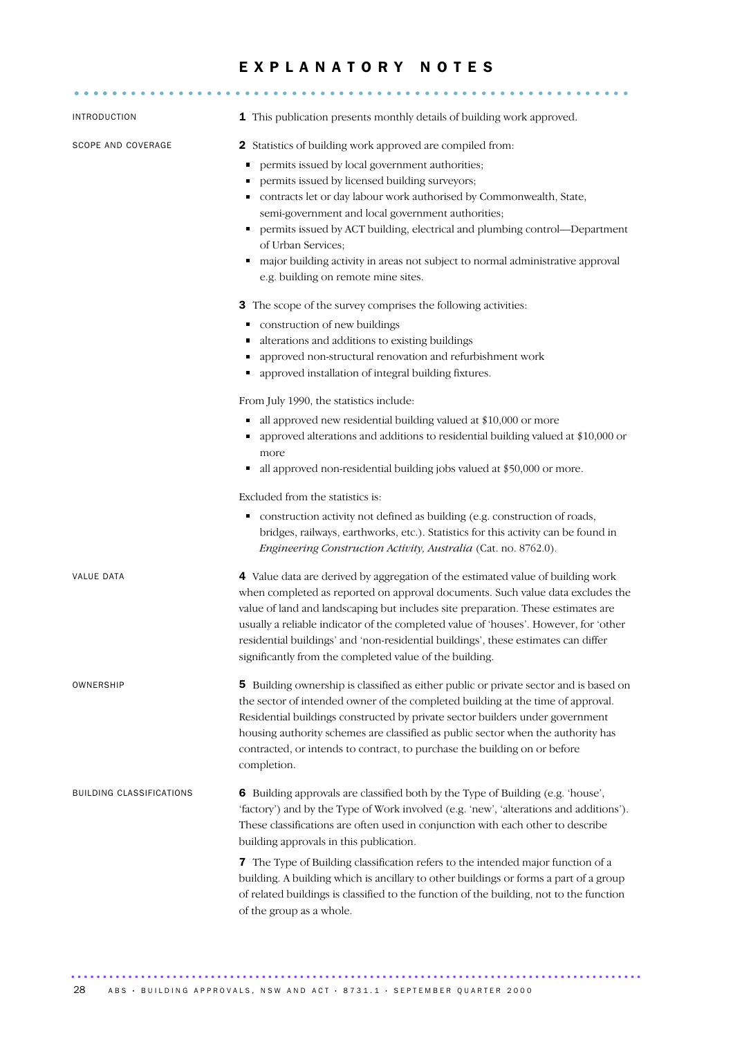## EXPLANATORY NOTES

| INTRODUCTION             | 1 This publication presents monthly details of building work approved.                                                                                                                                                                                                                                                                                                                                                                                                                                                                                                                                                                                                                                                                                                                                                                                   |
|--------------------------|----------------------------------------------------------------------------------------------------------------------------------------------------------------------------------------------------------------------------------------------------------------------------------------------------------------------------------------------------------------------------------------------------------------------------------------------------------------------------------------------------------------------------------------------------------------------------------------------------------------------------------------------------------------------------------------------------------------------------------------------------------------------------------------------------------------------------------------------------------|
| SCOPE AND COVERAGE       | <b>2</b> Statistics of building work approved are compiled from:<br>permits issued by local government authorities;<br>permits issued by licensed building surveyors;<br>contracts let or day labour work authorised by Commonwealth, State,<br>semi-government and local government authorities;<br>permits issued by ACT building, electrical and plumbing control-Department<br>of Urban Services;<br>major building activity in areas not subject to normal administrative approval<br>e.g. building on remote mine sites.<br>3 The scope of the survey comprises the following activities:<br>construction of new buildings<br>۳<br>alterations and additions to existing buildings<br>approved non-structural renovation and refurbishment work<br>approved installation of integral building fixtures.<br>From July 1990, the statistics include: |
|                          | all approved new residential building valued at \$10,000 or more<br>approved alterations and additions to residential building valued at \$10,000 or<br>more<br>all approved non-residential building jobs valued at \$50,000 or more.<br>٠<br>Excluded from the statistics is:<br>construction activity not defined as building (e.g. construction of roads,<br>bridges, railways, earthworks, etc.). Statistics for this activity can be found in<br>Engineering Construction Activity, Australia (Cat. no. 8762.0).                                                                                                                                                                                                                                                                                                                                   |
| VALUE DATA               | 4 Value data are derived by aggregation of the estimated value of building work<br>when completed as reported on approval documents. Such value data excludes the<br>value of land and landscaping but includes site preparation. These estimates are<br>usually a reliable indicator of the completed value of 'houses'. However, for 'other<br>residential buildings' and 'non-residential buildings', these estimates can differ<br>significantly from the completed value of the building.                                                                                                                                                                                                                                                                                                                                                           |
| OWNERSHIP                | 5 Building ownership is classified as either public or private sector and is based on<br>the sector of intended owner of the completed building at the time of approval.<br>Residential buildings constructed by private sector builders under government<br>housing authority schemes are classified as public sector when the authority has<br>contracted, or intends to contract, to purchase the building on or before<br>completion.                                                                                                                                                                                                                                                                                                                                                                                                                |
| BUILDING CLASSIFICATIONS | 6 Building approvals are classified both by the Type of Building (e.g. 'house',<br>'factory') and by the Type of Work involved (e.g. 'new', 'alterations and additions').<br>These classifications are often used in conjunction with each other to describe<br>building approvals in this publication.                                                                                                                                                                                                                                                                                                                                                                                                                                                                                                                                                  |
|                          | 7 The Type of Building classification refers to the intended major function of a<br>building. A building which is ancillary to other buildings or forms a part of a group<br>of related buildings is classified to the function of the building, not to the function<br>of the group as a whole.                                                                                                                                                                                                                                                                                                                                                                                                                                                                                                                                                         |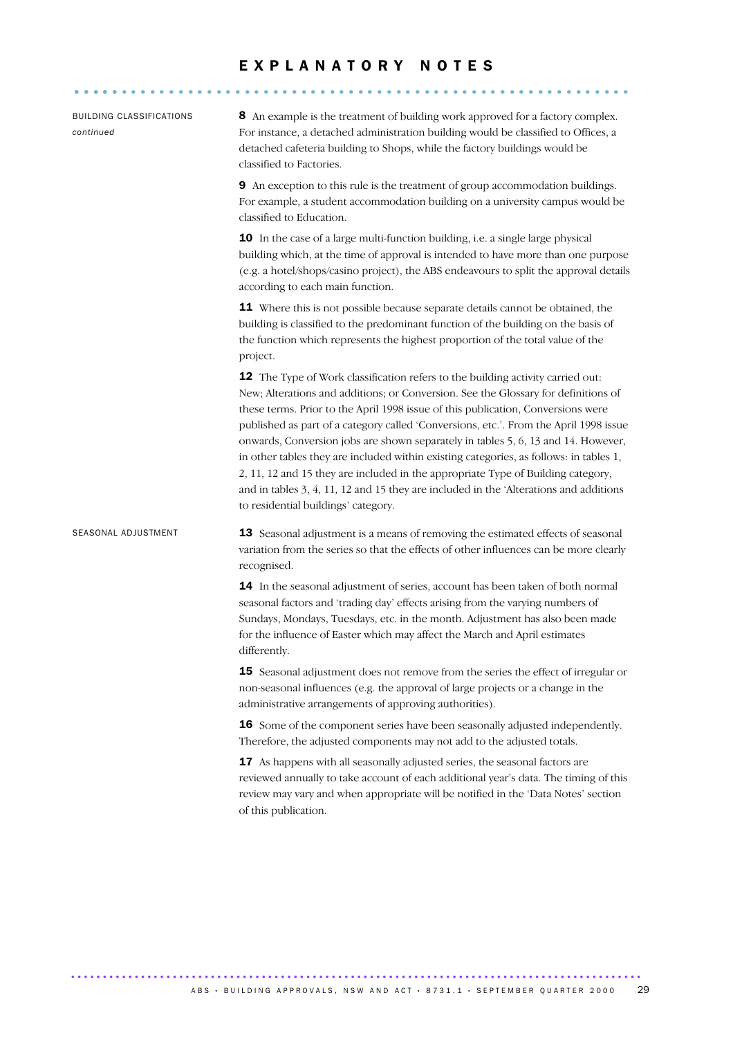## E X P L A N A T O R Y N O T E S ........................................................... .....

BUILDING CLASSIFICATIONS *continued*

8 An example is the treatment of building work approved for a factory complex. For instance, a detached administration building would be classified to Offices, a detached cafeteria building to Shops, while the factory buildings would be classified to Factories.

9 An exception to this rule is the treatment of group accommodation buildings. For example, a student accommodation building on a university campus would be classified to Education.

10 In the case of a large multi-function building, i.e. a single large physical building which, at the time of approval is intended to have more than one purpose (e.g. a hotel/shops/casino project), the ABS endeavours to split the approval details according to each main function.

11 Where this is not possible because separate details cannot be obtained, the building is classified to the predominant function of the building on the basis of the function which represents the highest proportion of the total value of the project.

12 The Type of Work classification refers to the building activity carried out: New; Alterations and additions; or Conversion. See the Glossary for definitions of these terms. Prior to the April 1998 issue of this publication, Conversions were published as part of a category called 'Conversions, etc.'. From the April 1998 issue onwards, Conversion jobs are shown separately in tables 5, 6, 13 and 14. However, in other tables they are included within existing categories, as follows: in tables 1, 2, 11, 12 and 15 they are included in the appropriate Type of Building category, and in tables 3, 4, 11, 12 and 15 they are included in the 'Alterations and additions to residential buildings' category.

SEASONAL ADJUSTMENT 13 Seasonal adjustment is a means of removing the estimated effects of seasonal variation from the series so that the effects of other influences can be more clearly recognised.

> 14 In the seasonal adjustment of series, account has been taken of both normal seasonal factors and 'trading day' effects arising from the varying numbers of Sundays, Mondays, Tuesdays, etc. in the month. Adjustment has also been made for the influence of Easter which may affect the March and April estimates differently.

15 Seasonal adjustment does not remove from the series the effect of irregular or non-seasonal influences (e.g. the approval of large projects or a change in the administrative arrangements of approving authorities).

16 Some of the component series have been seasonally adjusted independently. Therefore, the adjusted components may not add to the adjusted totals.

17 As happens with all seasonally adjusted series, the seasonal factors are reviewed annually to take account of each additional year's data. The timing of this review may vary and when appropriate will be notified in the 'Data Notes' section of this publication.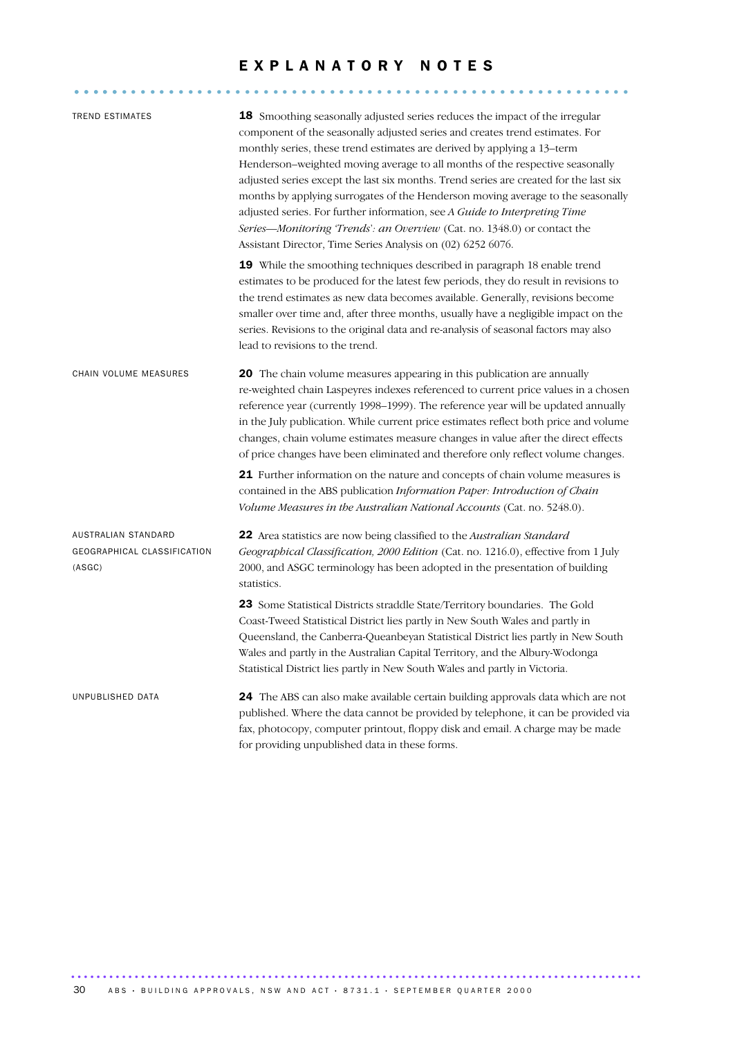## EXPLANATORY NOTES

........................................................... .....

| <b>TREND ESTIMATES</b>                                       | 18 Smoothing seasonally adjusted series reduces the impact of the irregular<br>component of the seasonally adjusted series and creates trend estimates. For<br>monthly series, these trend estimates are derived by applying a 13-term<br>Henderson-weighted moving average to all months of the respective seasonally<br>adjusted series except the last six months. Trend series are created for the last six<br>months by applying surrogates of the Henderson moving average to the seasonally<br>adjusted series. For further information, see A Guide to Interpreting Time<br>Series-Monitoring 'Trends': an Overview (Cat. no. 1348.0) or contact the<br>Assistant Director, Time Series Analysis on (02) 6252 6076. |
|--------------------------------------------------------------|-----------------------------------------------------------------------------------------------------------------------------------------------------------------------------------------------------------------------------------------------------------------------------------------------------------------------------------------------------------------------------------------------------------------------------------------------------------------------------------------------------------------------------------------------------------------------------------------------------------------------------------------------------------------------------------------------------------------------------|
|                                                              | <b>19</b> While the smoothing techniques described in paragraph 18 enable trend<br>estimates to be produced for the latest few periods, they do result in revisions to<br>the trend estimates as new data becomes available. Generally, revisions become<br>smaller over time and, after three months, usually have a negligible impact on the<br>series. Revisions to the original data and re-analysis of seasonal factors may also<br>lead to revisions to the trend.                                                                                                                                                                                                                                                    |
| CHAIN VOLUME MEASURES                                        | <b>20</b> The chain volume measures appearing in this publication are annually<br>re-weighted chain Laspeyres indexes referenced to current price values in a chosen<br>reference year (currently 1998-1999). The reference year will be updated annually<br>in the July publication. While current price estimates reflect both price and volume<br>changes, chain volume estimates measure changes in value after the direct effects<br>of price changes have been eliminated and therefore only reflect volume changes.                                                                                                                                                                                                  |
|                                                              | 21 Further information on the nature and concepts of chain volume measures is<br>contained in the ABS publication Information Paper: Introduction of Chain<br>Volume Measures in the Australian National Accounts (Cat. no. 5248.0).                                                                                                                                                                                                                                                                                                                                                                                                                                                                                        |
| AUSTRALIAN STANDARD<br>GEOGRAPHICAL CLASSIFICATION<br>(ASGC) | 22 Area statistics are now being classified to the Australian Standard<br>Geographical Classification, 2000 Edition (Cat. no. 1216.0), effective from 1 July<br>2000, and ASGC terminology has been adopted in the presentation of building<br>statistics.                                                                                                                                                                                                                                                                                                                                                                                                                                                                  |
|                                                              | 23 Some Statistical Districts straddle State/Territory boundaries. The Gold<br>Coast-Tweed Statistical District lies partly in New South Wales and partly in<br>Queensland, the Canberra-Queanbeyan Statistical District lies partly in New South<br>Wales and partly in the Australian Capital Territory, and the Albury-Wodonga<br>Statistical District lies partly in New South Wales and partly in Victoria.                                                                                                                                                                                                                                                                                                            |
| UNPUBLISHED DATA                                             | <b>24</b> The ABS can also make available certain building approvals data which are not<br>published. Where the data cannot be provided by telephone, it can be provided via<br>fax, photocopy, computer printout, floppy disk and email. A charge may be made                                                                                                                                                                                                                                                                                                                                                                                                                                                              |

for providing unpublished data in these forms.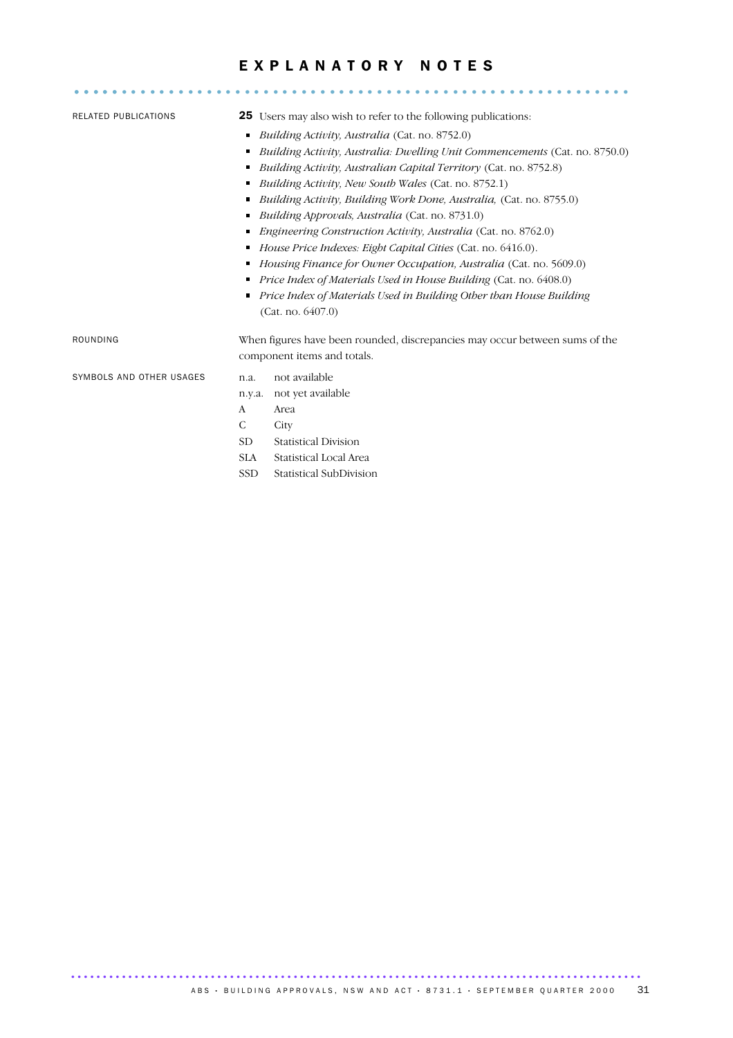### E X P L A N A T O R Y N O T E S

- RELATED PUBLICATIONS 25 Users may also wish to refer to the following publications:
	- *Building Activity, Australia* (Cat. no. 8752.0)

........................................................... .....

- *Building Activity, Australia: Dwelling Unit Commencements* (Cat. no. 8750.0)
- *Building Activity, Australian Capital Territory* (Cat. no. 8752.8)
- *Building Activity, New South Wales* (Cat. no. 8752.1)
- *Building Activity, Building Work Done, Australia,* (Cat. no. 8755.0)
- *Building Approvals, Australia* (Cat. no. 8731.0)
- *Engineering Construction Activity, Australia* (Cat. no. 8762.0)
- *House Price Indexes: Eight Capital Cities* (Cat. no. 6416.0).
- *Housing Finance for Owner Occupation, Australia* (Cat. no. 5609.0)
- *Price Index of Materials Used in House Building* (Cat. no. 6408.0)
- *Price Index of Materials Used in Building Other than House Building*  (Cat. no. 6407.0)

#### ROUNDING When figures have been rounded, discrepancies may occur between sums of the

SYMBOLS AND OTHER USAGES n.a. not available

component items and totals.

- n.y.a. not yet available
- A Area
- C City
- SD Statistical Division
- SLA Statistical Local Area
- SSD Statistical SubDivision

#### .......................................................................................... ABS · BUILDING APPROVALS, NSW AND ACT · 8731.1 · SEPTEMBER QUARTER 2000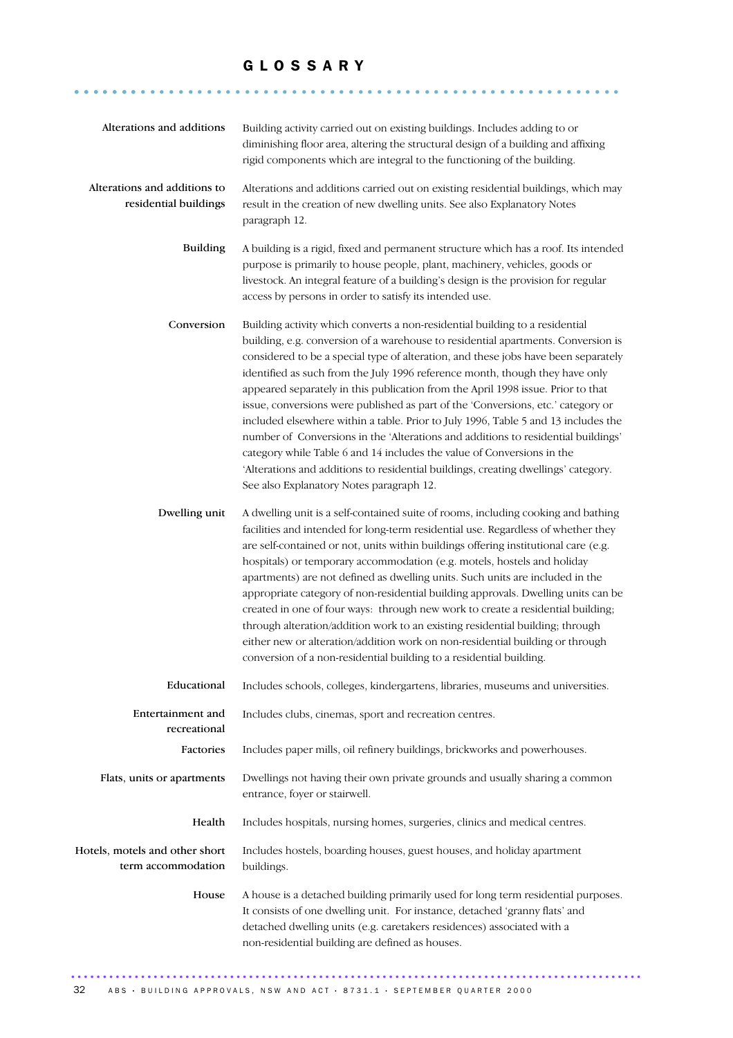## G L O S S A R Y

.......................................................... .......

| Alterations and additions                             | Building activity carried out on existing buildings. Includes adding to or<br>diminishing floor area, altering the structural design of a building and affixing<br>rigid components which are integral to the functioning of the building.                                                                                                                                                                                                                                                                                                                                                                                                                                                                                                                                                                                                                                                             |
|-------------------------------------------------------|--------------------------------------------------------------------------------------------------------------------------------------------------------------------------------------------------------------------------------------------------------------------------------------------------------------------------------------------------------------------------------------------------------------------------------------------------------------------------------------------------------------------------------------------------------------------------------------------------------------------------------------------------------------------------------------------------------------------------------------------------------------------------------------------------------------------------------------------------------------------------------------------------------|
| Alterations and additions to<br>residential buildings | Alterations and additions carried out on existing residential buildings, which may<br>result in the creation of new dwelling units. See also Explanatory Notes<br>paragraph 12.                                                                                                                                                                                                                                                                                                                                                                                                                                                                                                                                                                                                                                                                                                                        |
| <b>Building</b>                                       | A building is a rigid, fixed and permanent structure which has a roof. Its intended<br>purpose is primarily to house people, plant, machinery, vehicles, goods or<br>livestock. An integral feature of a building's design is the provision for regular<br>access by persons in order to satisfy its intended use.                                                                                                                                                                                                                                                                                                                                                                                                                                                                                                                                                                                     |
| Conversion                                            | Building activity which converts a non-residential building to a residential<br>building, e.g. conversion of a warehouse to residential apartments. Conversion is<br>considered to be a special type of alteration, and these jobs have been separately<br>identified as such from the July 1996 reference month, though they have only<br>appeared separately in this publication from the April 1998 issue. Prior to that<br>issue, conversions were published as part of the 'Conversions, etc.' category or<br>included elsewhere within a table. Prior to July 1996, Table 5 and 13 includes the<br>number of Conversions in the 'Alterations and additions to residential buildings'<br>category while Table 6 and 14 includes the value of Conversions in the<br>'Alterations and additions to residential buildings, creating dwellings' category.<br>See also Explanatory Notes paragraph 12. |
| Dwelling unit                                         | A dwelling unit is a self-contained suite of rooms, including cooking and bathing<br>facilities and intended for long-term residential use. Regardless of whether they<br>are self-contained or not, units within buildings offering institutional care (e.g.<br>hospitals) or temporary accommodation (e.g. motels, hostels and holiday<br>apartments) are not defined as dwelling units. Such units are included in the<br>appropriate category of non-residential building approvals. Dwelling units can be<br>created in one of four ways: through new work to create a residential building;<br>through alteration/addition work to an existing residential building; through<br>either new or alteration/addition work on non-residential building or through<br>conversion of a non-residential building to a residential building.                                                             |
| Educational                                           | Includes schools, colleges, kindergartens, libraries, museums and universities.                                                                                                                                                                                                                                                                                                                                                                                                                                                                                                                                                                                                                                                                                                                                                                                                                        |
| <b>Entertainment</b> and<br>recreational              | Includes clubs, cinemas, sport and recreation centres.                                                                                                                                                                                                                                                                                                                                                                                                                                                                                                                                                                                                                                                                                                                                                                                                                                                 |
| Factories                                             | Includes paper mills, oil refinery buildings, brickworks and powerhouses.                                                                                                                                                                                                                                                                                                                                                                                                                                                                                                                                                                                                                                                                                                                                                                                                                              |
| Flats, units or apartments                            | Dwellings not having their own private grounds and usually sharing a common<br>entrance, foyer or stairwell.                                                                                                                                                                                                                                                                                                                                                                                                                                                                                                                                                                                                                                                                                                                                                                                           |
| Health                                                | Includes hospitals, nursing homes, surgeries, clinics and medical centres.                                                                                                                                                                                                                                                                                                                                                                                                                                                                                                                                                                                                                                                                                                                                                                                                                             |
| Hotels, motels and other short<br>term accommodation  | Includes hostels, boarding houses, guest houses, and holiday apartment<br>buildings.                                                                                                                                                                                                                                                                                                                                                                                                                                                                                                                                                                                                                                                                                                                                                                                                                   |
| House                                                 | A house is a detached building primarily used for long term residential purposes.<br>It consists of one dwelling unit. For instance, detached 'granny flats' and<br>detached dwelling units (e.g. caretakers residences) associated with a<br>non-residential building are defined as houses.                                                                                                                                                                                                                                                                                                                                                                                                                                                                                                                                                                                                          |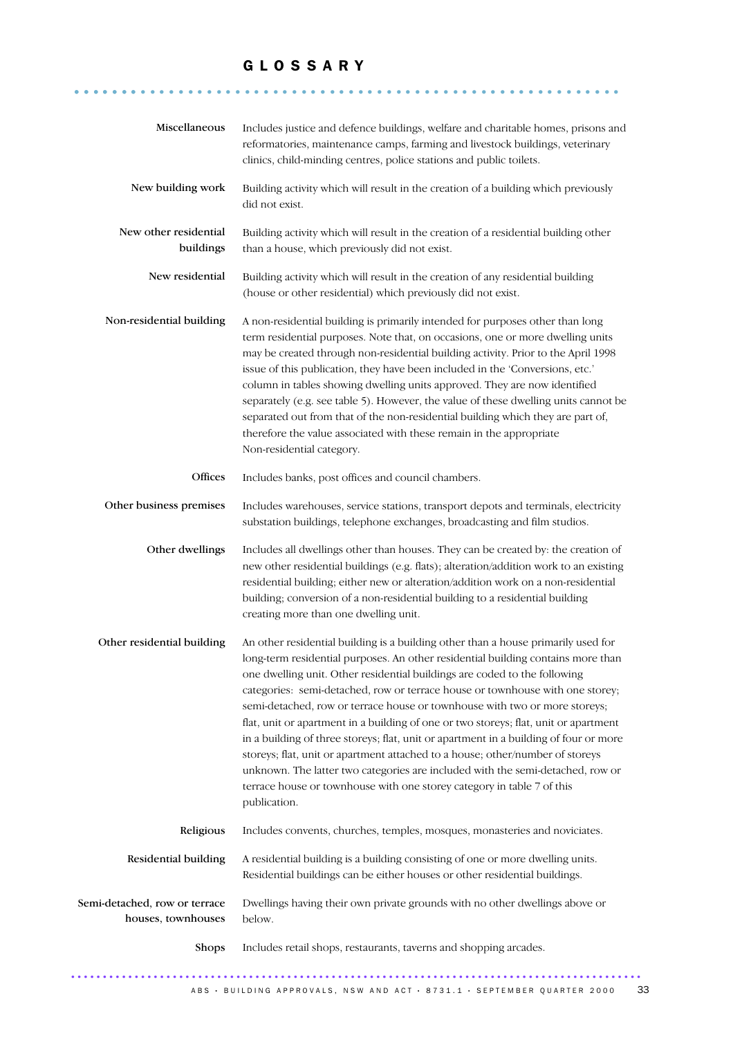## G L O S S A R Y

.......................................................... .......

| Miscellaneous                                       | Includes justice and defence buildings, welfare and charitable homes, prisons and<br>reformatories, maintenance camps, farming and livestock buildings, veterinary<br>clinics, child-minding centres, police stations and public toilets.                                                                                                                                                                                                                                                                                                                                                                                                                                                                                                                                                                                                                       |
|-----------------------------------------------------|-----------------------------------------------------------------------------------------------------------------------------------------------------------------------------------------------------------------------------------------------------------------------------------------------------------------------------------------------------------------------------------------------------------------------------------------------------------------------------------------------------------------------------------------------------------------------------------------------------------------------------------------------------------------------------------------------------------------------------------------------------------------------------------------------------------------------------------------------------------------|
| New building work                                   | Building activity which will result in the creation of a building which previously<br>did not exist.                                                                                                                                                                                                                                                                                                                                                                                                                                                                                                                                                                                                                                                                                                                                                            |
| New other residential<br>buildings                  | Building activity which will result in the creation of a residential building other<br>than a house, which previously did not exist.                                                                                                                                                                                                                                                                                                                                                                                                                                                                                                                                                                                                                                                                                                                            |
| New residential                                     | Building activity which will result in the creation of any residential building<br>(house or other residential) which previously did not exist.                                                                                                                                                                                                                                                                                                                                                                                                                                                                                                                                                                                                                                                                                                                 |
| Non-residential building                            | A non-residential building is primarily intended for purposes other than long<br>term residential purposes. Note that, on occasions, one or more dwelling units<br>may be created through non-residential building activity. Prior to the April 1998<br>issue of this publication, they have been included in the 'Conversions, etc.'<br>column in tables showing dwelling units approved. They are now identified<br>separately (e.g. see table 5). However, the value of these dwelling units cannot be<br>separated out from that of the non-residential building which they are part of,<br>therefore the value associated with these remain in the appropriate<br>Non-residential category.                                                                                                                                                                |
| Offices                                             | Includes banks, post offices and council chambers.                                                                                                                                                                                                                                                                                                                                                                                                                                                                                                                                                                                                                                                                                                                                                                                                              |
| Other business premises                             | Includes warehouses, service stations, transport depots and terminals, electricity<br>substation buildings, telephone exchanges, broadcasting and film studios.                                                                                                                                                                                                                                                                                                                                                                                                                                                                                                                                                                                                                                                                                                 |
| Other dwellings                                     | Includes all dwellings other than houses. They can be created by: the creation of<br>new other residential buildings (e.g. flats); alteration/addition work to an existing<br>residential building; either new or alteration/addition work on a non-residential<br>building; conversion of a non-residential building to a residential building<br>creating more than one dwelling unit.                                                                                                                                                                                                                                                                                                                                                                                                                                                                        |
| Other residential building                          | An other residential building is a building other than a house primarily used for<br>long-term residential purposes. An other residential building contains more than<br>one dwelling unit. Other residential buildings are coded to the following<br>categories: semi-detached, row or terrace house or townhouse with one storey;<br>semi-detached, row or terrace house or townhouse with two or more storeys;<br>flat, unit or apartment in a building of one or two storeys; flat, unit or apartment<br>in a building of three storeys; flat, unit or apartment in a building of four or more<br>storeys; flat, unit or apartment attached to a house; other/number of storeys<br>unknown. The latter two categories are included with the semi-detached, row or<br>terrace house or townhouse with one storey category in table 7 of this<br>publication. |
| Religious                                           | Includes convents, churches, temples, mosques, monasteries and noviciates.                                                                                                                                                                                                                                                                                                                                                                                                                                                                                                                                                                                                                                                                                                                                                                                      |
| Residential building                                | A residential building is a building consisting of one or more dwelling units.<br>Residential buildings can be either houses or other residential buildings.                                                                                                                                                                                                                                                                                                                                                                                                                                                                                                                                                                                                                                                                                                    |
| Semi-detached, row or terrace<br>houses, townhouses | Dwellings having their own private grounds with no other dwellings above or<br>below.                                                                                                                                                                                                                                                                                                                                                                                                                                                                                                                                                                                                                                                                                                                                                                           |
| <b>Shops</b>                                        | Includes retail shops, restaurants, taverns and shopping arcades.                                                                                                                                                                                                                                                                                                                                                                                                                                                                                                                                                                                                                                                                                                                                                                                               |